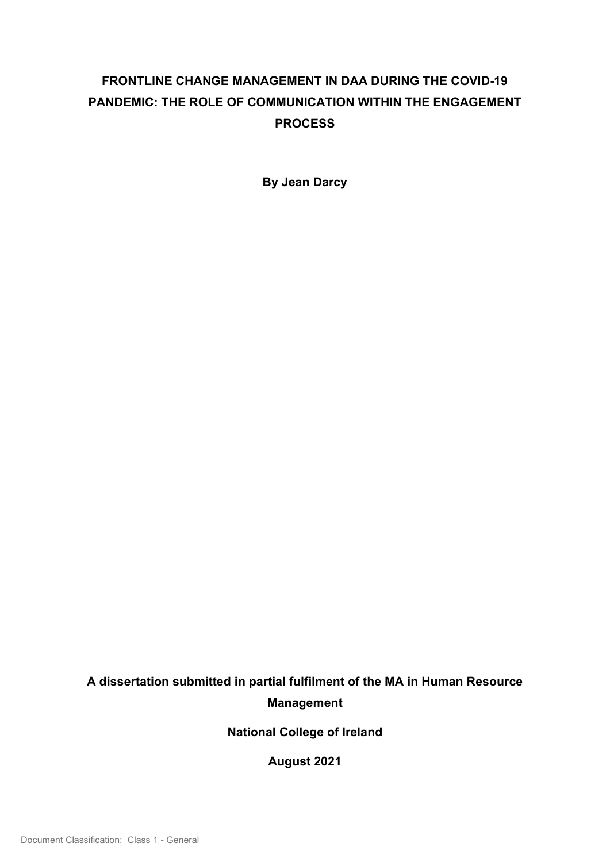# FRONTLINE CHANGE MANAGEMENT IN DAA DURING THE COVID-19 PANDEMIC: THE ROLE OF COMMUNICATION WITHIN THE ENGAGEMENT PROCESS

By Jean Darcy

# A dissertation submitted in partial fulfilment of the MA in Human Resource Management

National College of Ireland

August 2021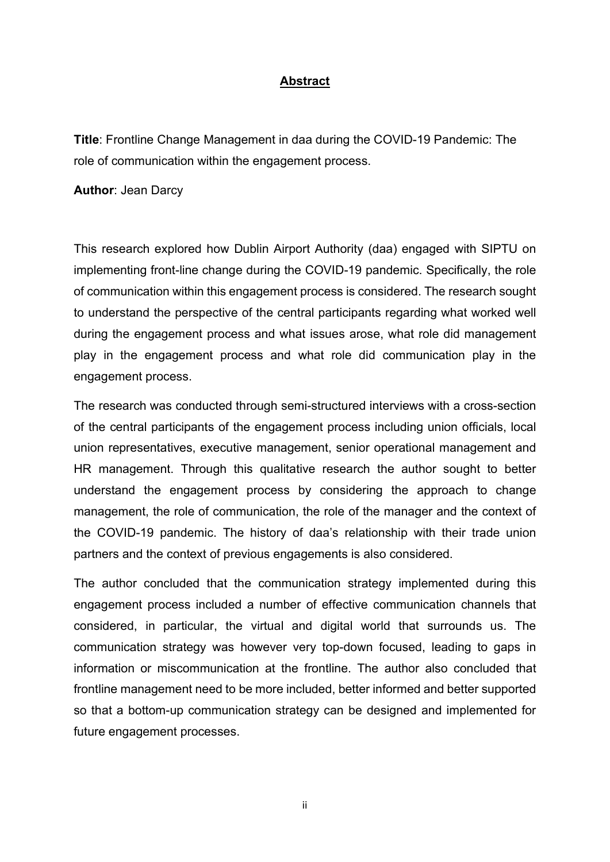### Abstract

Title: Frontline Change Management in daa during the COVID-19 Pandemic: The role of communication within the engagement process.

Author: Jean Darcy

This research explored how Dublin Airport Authority (daa) engaged with SIPTU on implementing front-line change during the COVID-19 pandemic. Specifically, the role of communication within this engagement process is considered. The research sought to understand the perspective of the central participants regarding what worked well during the engagement process and what issues arose, what role did management play in the engagement process and what role did communication play in the engagement process.

The research was conducted through semi-structured interviews with a cross-section of the central participants of the engagement process including union officials, local union representatives, executive management, senior operational management and HR management. Through this qualitative research the author sought to better understand the engagement process by considering the approach to change management, the role of communication, the role of the manager and the context of the COVID-19 pandemic. The history of daa's relationship with their trade union partners and the context of previous engagements is also considered.

The author concluded that the communication strategy implemented during this engagement process included a number of effective communication channels that considered, in particular, the virtual and digital world that surrounds us. The communication strategy was however very top-down focused, leading to gaps in information or miscommunication at the frontline. The author also concluded that frontline management need to be more included, better informed and better supported so that a bottom-up communication strategy can be designed and implemented for future engagement processes.

ii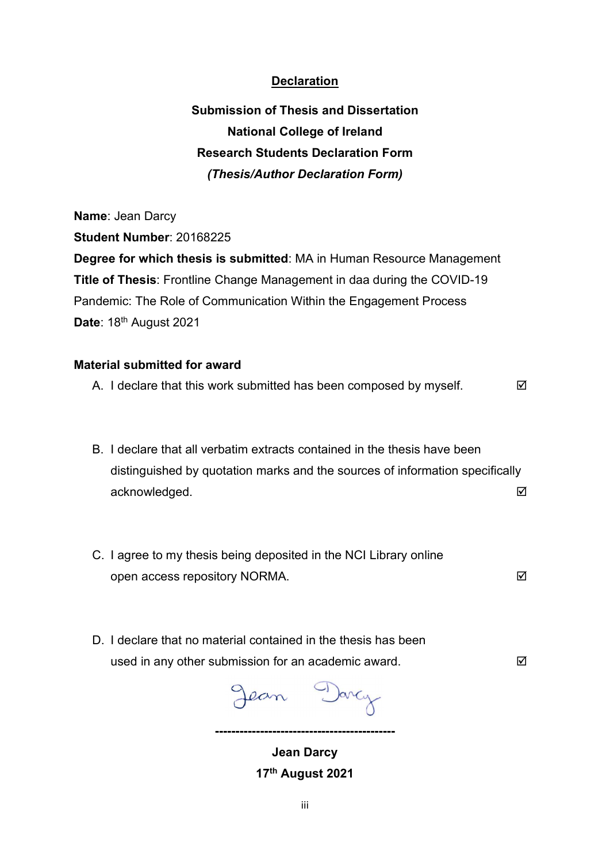## **Declaration**

Submission of Thesis and Dissertation National College of Ireland Research Students Declaration Form (Thesis/Author Declaration Form)

Name: Jean Darcy Student Number: 20168225 Degree for which thesis is submitted: MA in Human Resource Management Title of Thesis: Frontline Change Management in daa during the COVID-19 Pandemic: The Role of Communication Within the Engagement Process Date: 18<sup>th</sup> August 2021

#### Material submitted for award

- A. I declare that this work submitted has been composed by myself.
- B. I declare that all verbatim extracts contained in the thesis have been distinguished by quotation marks and the sources of information specifically acknowledged. The contract of the contract of the contract of the contract of the contract of the contract of the contract of the contract of the contract of the contract of the contract of the contract of the contract of
- C. I agree to my thesis being deposited in the NCI Library online open access repository NORMA.
- D. I declare that no material contained in the thesis has been used in any other submission for an academic award.

Jean Darcy

--------------------------------------------

Jean Darcy 17th August 2021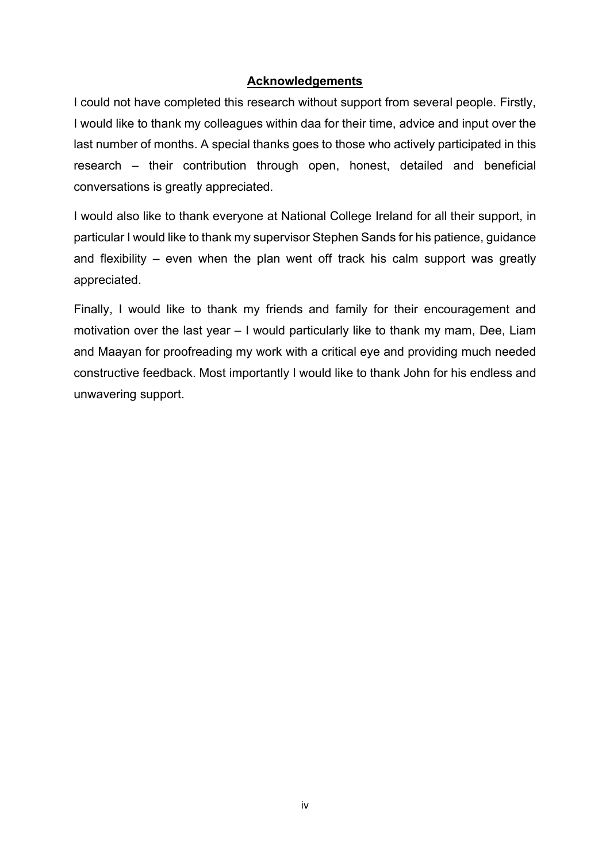## Acknowledgements

I could not have completed this research without support from several people. Firstly, I would like to thank my colleagues within daa for their time, advice and input over the last number of months. A special thanks goes to those who actively participated in this research – their contribution through open, honest, detailed and beneficial conversations is greatly appreciated.

I would also like to thank everyone at National College Ireland for all their support, in particular I would like to thank my supervisor Stephen Sands for his patience, guidance and flexibility – even when the plan went off track his calm support was greatly appreciated.

Finally, I would like to thank my friends and family for their encouragement and motivation over the last year – I would particularly like to thank my mam, Dee, Liam and Maayan for proofreading my work with a critical eye and providing much needed constructive feedback. Most importantly I would like to thank John for his endless and unwavering support.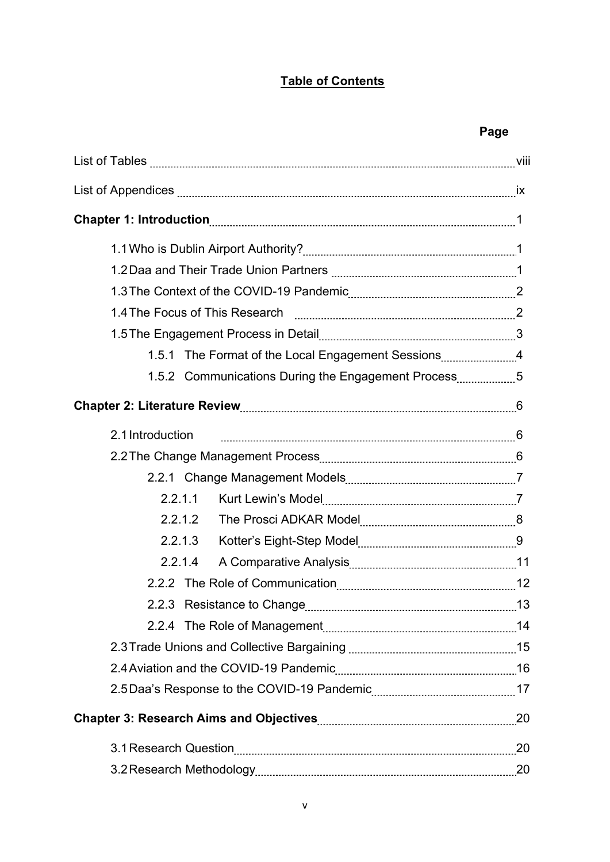# Table of Contents

# Page

| 1.5.1 The Format of the Local Engagement Sessions4  |  |
|-----------------------------------------------------|--|
| 1.5.2 Communications During the Engagement Process5 |  |
|                                                     |  |
| 2.1 Introduction                                    |  |
|                                                     |  |
|                                                     |  |
| 2.2.1.1                                             |  |
| 2.2.1.2                                             |  |
| 2.2.1.3                                             |  |
| 2.2.1.4                                             |  |
|                                                     |  |
| 2.2.3 Resistance to Change                          |  |
|                                                     |  |
|                                                     |  |
|                                                     |  |
|                                                     |  |
|                                                     |  |
|                                                     |  |
|                                                     |  |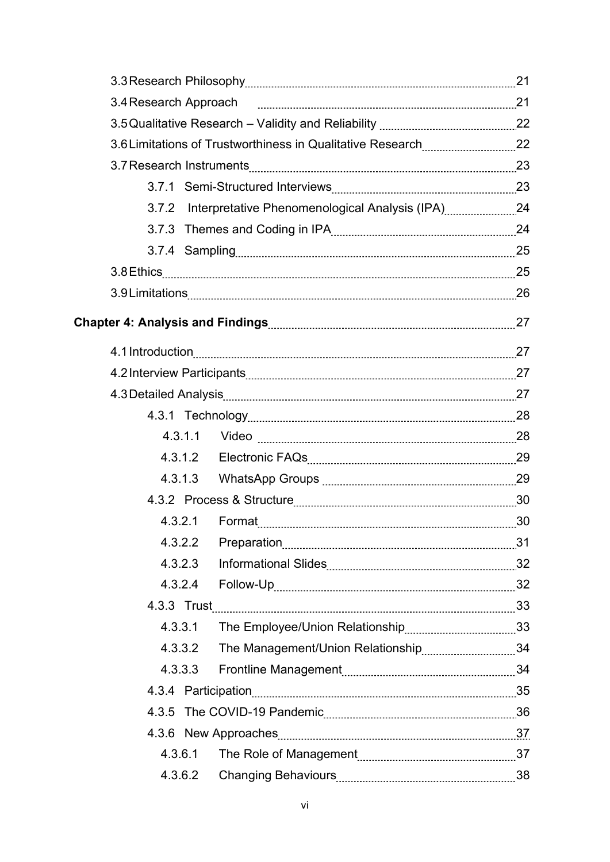|         | 3.7.2 Interpretative Phenomenological Analysis (IPA) 24 |  |
|---------|---------------------------------------------------------|--|
|         |                                                         |  |
|         |                                                         |  |
|         |                                                         |  |
|         |                                                         |  |
|         |                                                         |  |
|         | 4.1 Introduction 27                                     |  |
|         |                                                         |  |
|         |                                                         |  |
|         |                                                         |  |
|         |                                                         |  |
|         |                                                         |  |
|         |                                                         |  |
|         |                                                         |  |
|         |                                                         |  |
|         |                                                         |  |
| 4.3.2.3 |                                                         |  |
|         |                                                         |  |
|         | 4.3.3 Trust 33                                          |  |
| 4.3.3.1 |                                                         |  |
|         |                                                         |  |
|         |                                                         |  |
|         |                                                         |  |
|         |                                                         |  |
|         |                                                         |  |
| 4.3.6.1 |                                                         |  |
| 4.3.6.2 |                                                         |  |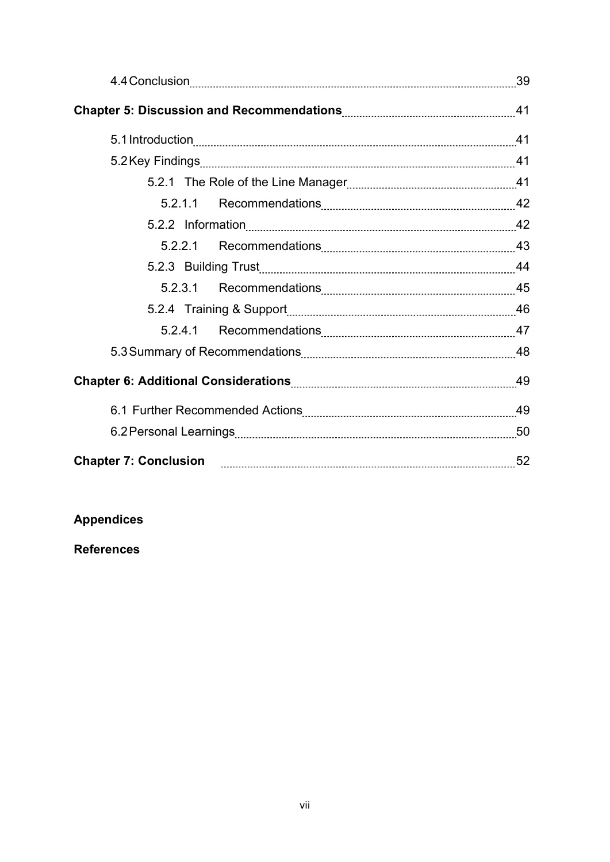|  | 52 |
|--|----|

# Appendices

# References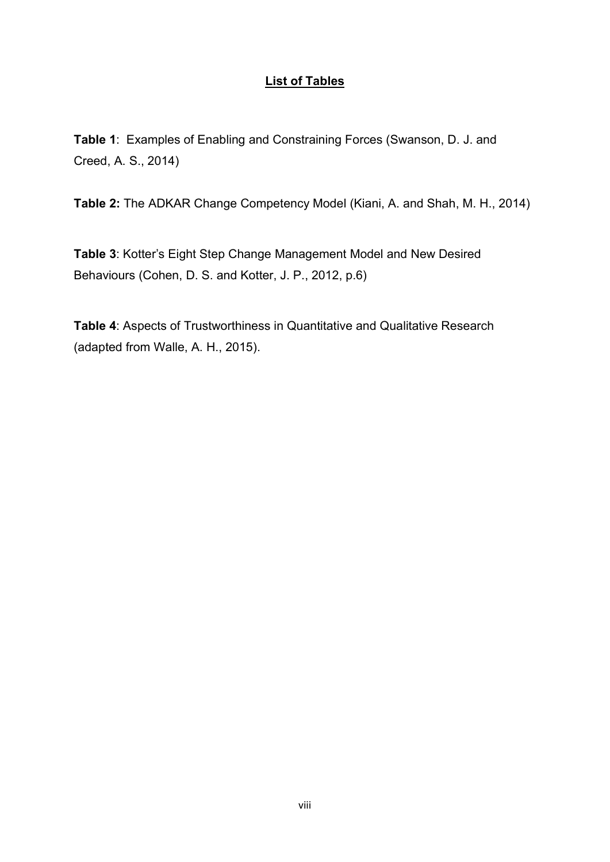# List of Tables

Table 1: Examples of Enabling and Constraining Forces (Swanson, D. J. and Creed, A. S., 2014)

Table 2: The ADKAR Change Competency Model (Kiani, A. and Shah, M. H., 2014)

Table 3: Kotter's Eight Step Change Management Model and New Desired Behaviours (Cohen, D. S. and Kotter, J. P., 2012, p.6)

Table 4: Aspects of Trustworthiness in Quantitative and Qualitative Research (adapted from Walle, A. H., 2015).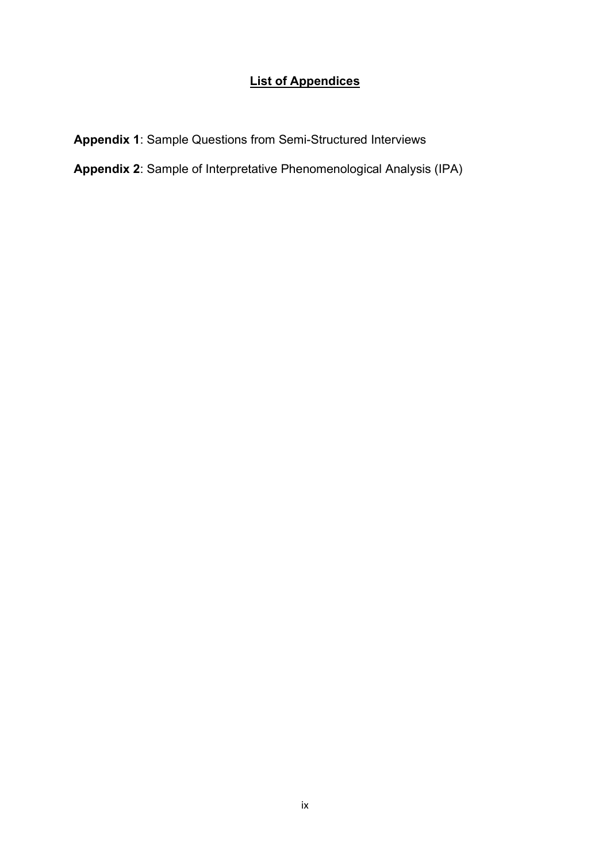# List of Appendices

Appendix 1: Sample Questions from Semi-Structured Interviews

Appendix 2: Sample of Interpretative Phenomenological Analysis (IPA)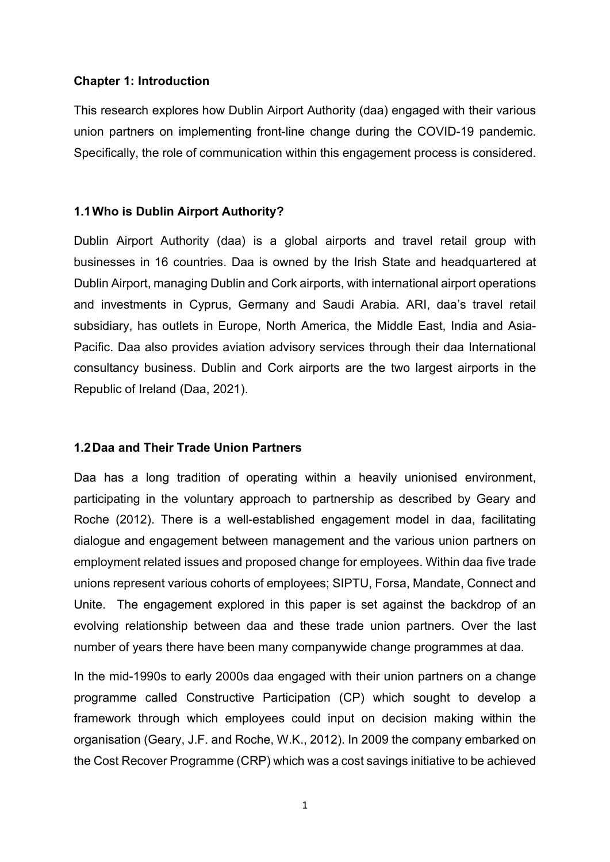#### Chapter 1: Introduction

This research explores how Dublin Airport Authority (daa) engaged with their various union partners on implementing front-line change during the COVID-19 pandemic. Specifically, the role of communication within this engagement process is considered.

#### 1.1 Who is Dublin Airport Authority?

Dublin Airport Authority (daa) is a global airports and travel retail group with businesses in 16 countries. Daa is owned by the Irish State and headquartered at Dublin Airport, managing Dublin and Cork airports, with international airport operations and investments in Cyprus, Germany and Saudi Arabia. ARI, daa's travel retail subsidiary, has outlets in Europe, North America, the Middle East, India and Asia-Pacific. Daa also provides aviation advisory services through their daa International consultancy business. Dublin and Cork airports are the two largest airports in the Republic of Ireland (Daa, 2021).

#### 1.2 Daa and Their Trade Union Partners

Daa has a long tradition of operating within a heavily unionised environment, participating in the voluntary approach to partnership as described by Geary and Roche (2012). There is a well-established engagement model in daa, facilitating dialogue and engagement between management and the various union partners on employment related issues and proposed change for employees. Within daa five trade unions represent various cohorts of employees; SIPTU, Forsa, Mandate, Connect and Unite. The engagement explored in this paper is set against the backdrop of an evolving relationship between daa and these trade union partners. Over the last number of years there have been many companywide change programmes at daa.

In the mid-1990s to early 2000s daa engaged with their union partners on a change programme called Constructive Participation (CP) which sought to develop a framework through which employees could input on decision making within the organisation (Geary, J.F. and Roche, W.K., 2012). In 2009 the company embarked on the Cost Recover Programme (CRP) which was a cost savings initiative to be achieved

<sup>1</sup>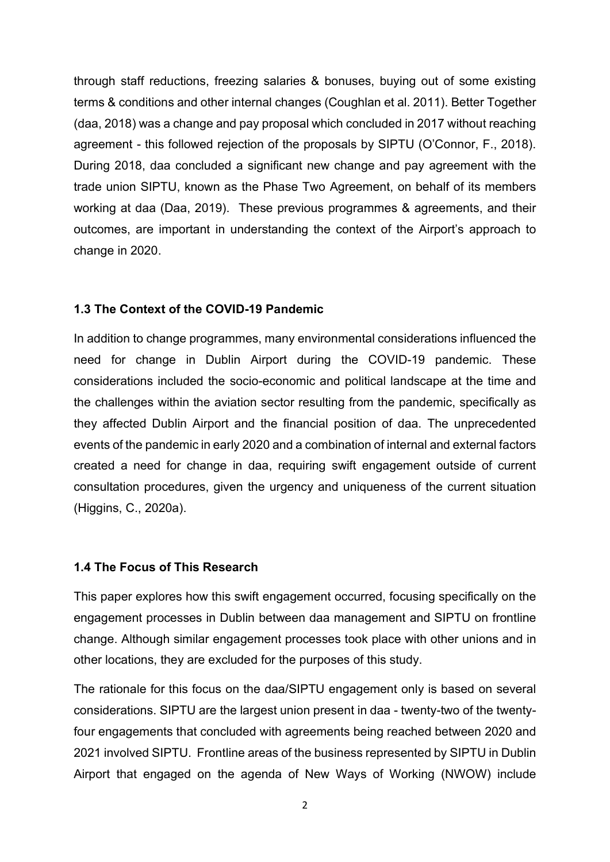through staff reductions, freezing salaries & bonuses, buying out of some existing terms & conditions and other internal changes (Coughlan et al. 2011). Better Together (daa, 2018) was a change and pay proposal which concluded in 2017 without reaching agreement - this followed rejection of the proposals by SIPTU (O'Connor, F., 2018). During 2018, daa concluded a significant new change and pay agreement with the trade union SIPTU, known as the Phase Two Agreement, on behalf of its members working at daa (Daa, 2019). These previous programmes & agreements, and their outcomes, are important in understanding the context of the Airport's approach to change in 2020.

## 1.3 The Context of the COVID-19 Pandemic

In addition to change programmes, many environmental considerations influenced the need for change in Dublin Airport during the COVID-19 pandemic. These considerations included the socio-economic and political landscape at the time and the challenges within the aviation sector resulting from the pandemic, specifically as they affected Dublin Airport and the financial position of daa. The unprecedented events of the pandemic in early 2020 and a combination of internal and external factors created a need for change in daa, requiring swift engagement outside of current consultation procedures, given the urgency and uniqueness of the current situation (Higgins, C., 2020a).

## 1.4 The Focus of This Research

This paper explores how this swift engagement occurred, focusing specifically on the engagement processes in Dublin between daa management and SIPTU on frontline change. Although similar engagement processes took place with other unions and in other locations, they are excluded for the purposes of this study.

The rationale for this focus on the daa/SIPTU engagement only is based on several considerations. SIPTU are the largest union present in daa - twenty-two of the twentyfour engagements that concluded with agreements being reached between 2020 and 2021 involved SIPTU. Frontline areas of the business represented by SIPTU in Dublin Airport that engaged on the agenda of New Ways of Working (NWOW) include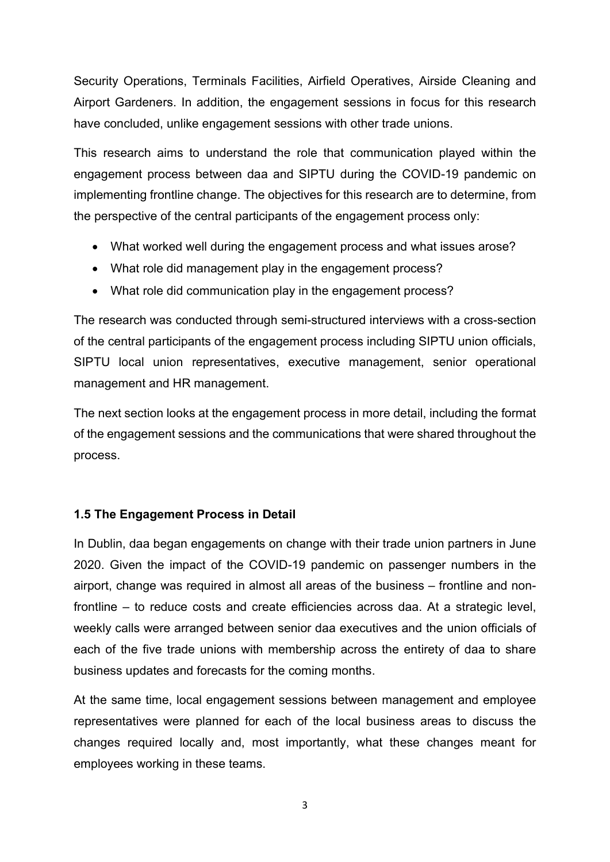Security Operations, Terminals Facilities, Airfield Operatives, Airside Cleaning and Airport Gardeners. In addition, the engagement sessions in focus for this research have concluded, unlike engagement sessions with other trade unions.

This research aims to understand the role that communication played within the engagement process between daa and SIPTU during the COVID-19 pandemic on implementing frontline change. The objectives for this research are to determine, from the perspective of the central participants of the engagement process only:

- What worked well during the engagement process and what issues arose?
- What role did management play in the engagement process?
- What role did communication play in the engagement process?

The research was conducted through semi-structured interviews with a cross-section of the central participants of the engagement process including SIPTU union officials, SIPTU local union representatives, executive management, senior operational management and HR management.

The next section looks at the engagement process in more detail, including the format of the engagement sessions and the communications that were shared throughout the process.

# 1.5 The Engagement Process in Detail

In Dublin, daa began engagements on change with their trade union partners in June 2020. Given the impact of the COVID-19 pandemic on passenger numbers in the airport, change was required in almost all areas of the business – frontline and nonfrontline – to reduce costs and create efficiencies across daa. At a strategic level, weekly calls were arranged between senior daa executives and the union officials of each of the five trade unions with membership across the entirety of daa to share business updates and forecasts for the coming months.

At the same time, local engagement sessions between management and employee representatives were planned for each of the local business areas to discuss the changes required locally and, most importantly, what these changes meant for employees working in these teams.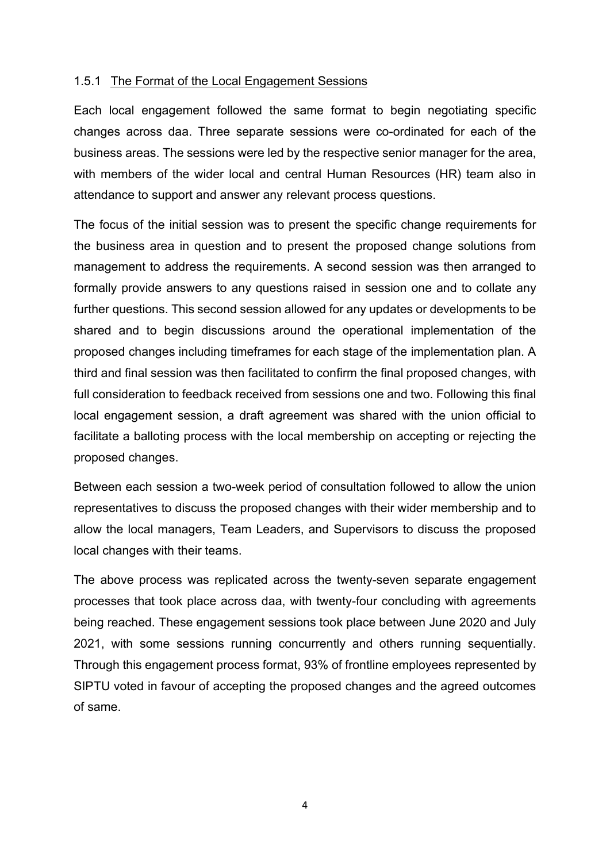#### 1.5.1 The Format of the Local Engagement Sessions

Each local engagement followed the same format to begin negotiating specific changes across daa. Three separate sessions were co-ordinated for each of the business areas. The sessions were led by the respective senior manager for the area, with members of the wider local and central Human Resources (HR) team also in attendance to support and answer any relevant process questions.

The focus of the initial session was to present the specific change requirements for the business area in question and to present the proposed change solutions from management to address the requirements. A second session was then arranged to formally provide answers to any questions raised in session one and to collate any further questions. This second session allowed for any updates or developments to be shared and to begin discussions around the operational implementation of the proposed changes including timeframes for each stage of the implementation plan. A third and final session was then facilitated to confirm the final proposed changes, with full consideration to feedback received from sessions one and two. Following this final local engagement session, a draft agreement was shared with the union official to facilitate a balloting process with the local membership on accepting or rejecting the proposed changes.

Between each session a two-week period of consultation followed to allow the union representatives to discuss the proposed changes with their wider membership and to allow the local managers, Team Leaders, and Supervisors to discuss the proposed local changes with their teams.

The above process was replicated across the twenty-seven separate engagement processes that took place across daa, with twenty-four concluding with agreements being reached. These engagement sessions took place between June 2020 and July 2021, with some sessions running concurrently and others running sequentially. Through this engagement process format, 93% of frontline employees represented by SIPTU voted in favour of accepting the proposed changes and the agreed outcomes of same.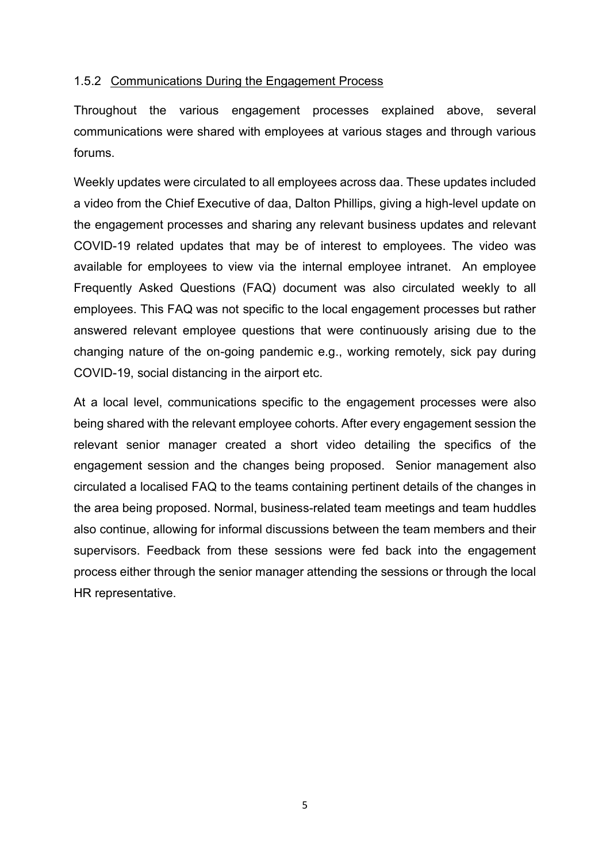## 1.5.2 Communications During the Engagement Process

Throughout the various engagement processes explained above, several communications were shared with employees at various stages and through various forums.

Weekly updates were circulated to all employees across daa. These updates included a video from the Chief Executive of daa, Dalton Phillips, giving a high-level update on the engagement processes and sharing any relevant business updates and relevant COVID-19 related updates that may be of interest to employees. The video was available for employees to view via the internal employee intranet. An employee Frequently Asked Questions (FAQ) document was also circulated weekly to all employees. This FAQ was not specific to the local engagement processes but rather answered relevant employee questions that were continuously arising due to the changing nature of the on-going pandemic e.g., working remotely, sick pay during COVID-19, social distancing in the airport etc.

At a local level, communications specific to the engagement processes were also being shared with the relevant employee cohorts. After every engagement session the relevant senior manager created a short video detailing the specifics of the engagement session and the changes being proposed. Senior management also circulated a localised FAQ to the teams containing pertinent details of the changes in the area being proposed. Normal, business-related team meetings and team huddles also continue, allowing for informal discussions between the team members and their supervisors. Feedback from these sessions were fed back into the engagement process either through the senior manager attending the sessions or through the local HR representative.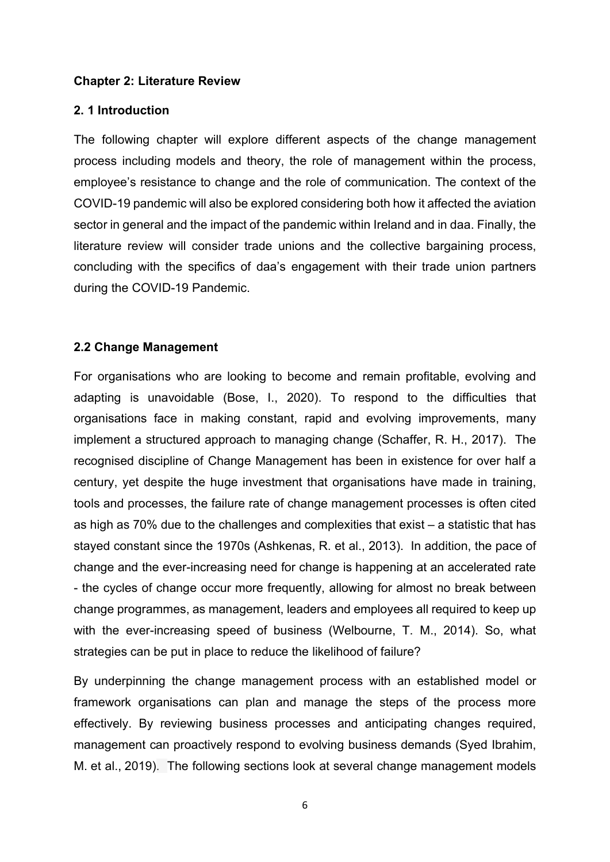#### Chapter 2: Literature Review

#### 2. 1 Introduction

The following chapter will explore different aspects of the change management process including models and theory, the role of management within the process, employee's resistance to change and the role of communication. The context of the COVID-19 pandemic will also be explored considering both how it affected the aviation sector in general and the impact of the pandemic within Ireland and in daa. Finally, the literature review will consider trade unions and the collective bargaining process, concluding with the specifics of daa's engagement with their trade union partners during the COVID-19 Pandemic.

#### 2.2 Change Management

For organisations who are looking to become and remain profitable, evolving and adapting is unavoidable (Bose, I., 2020). To respond to the difficulties that organisations face in making constant, rapid and evolving improvements, many implement a structured approach to managing change (Schaffer, R. H., 2017). The recognised discipline of Change Management has been in existence for over half a century, yet despite the huge investment that organisations have made in training, tools and processes, the failure rate of change management processes is often cited as high as 70% due to the challenges and complexities that exist – a statistic that has stayed constant since the 1970s (Ashkenas, R. et al., 2013). In addition, the pace of change and the ever-increasing need for change is happening at an accelerated rate - the cycles of change occur more frequently, allowing for almost no break between change programmes, as management, leaders and employees all required to keep up with the ever-increasing speed of business (Welbourne, T. M., 2014). So, what strategies can be put in place to reduce the likelihood of failure?

By underpinning the change management process with an established model or framework organisations can plan and manage the steps of the process more effectively. By reviewing business processes and anticipating changes required, management can proactively respond to evolving business demands (Syed Ibrahim, M. et al., 2019). The following sections look at several change management models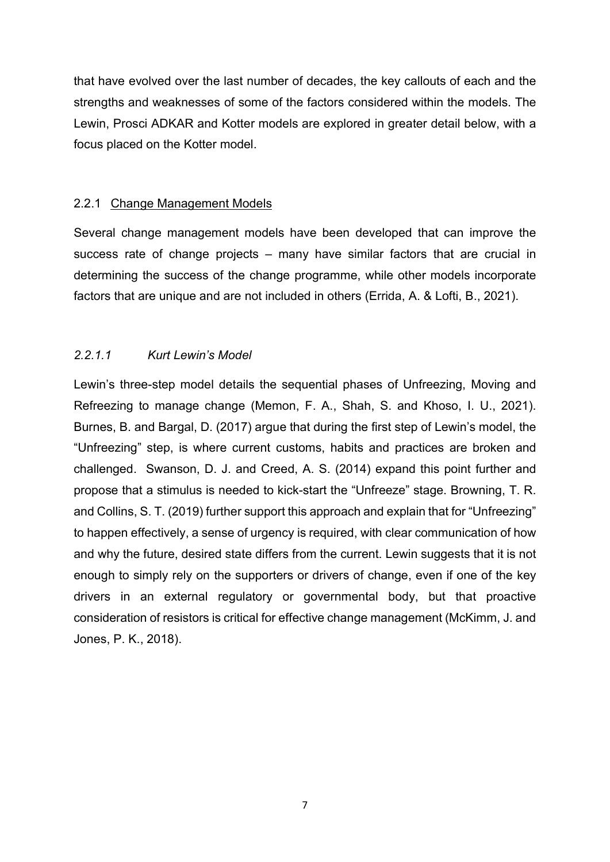that have evolved over the last number of decades, the key callouts of each and the strengths and weaknesses of some of the factors considered within the models. The Lewin, Prosci ADKAR and Kotter models are explored in greater detail below, with a focus placed on the Kotter model.

## 2.2.1 Change Management Models

Several change management models have been developed that can improve the success rate of change projects – many have similar factors that are crucial in determining the success of the change programme, while other models incorporate factors that are unique and are not included in others (Errida, A. & Lofti, B., 2021).

# 2.2.1.1 Kurt Lewin's Model

Lewin's three-step model details the sequential phases of Unfreezing, Moving and Refreezing to manage change (Memon, F. A., Shah, S. and Khoso, I. U., 2021). Burnes, B. and Bargal, D. (2017) argue that during the first step of Lewin's model, the "Unfreezing" step, is where current customs, habits and practices are broken and challenged. Swanson, D. J. and Creed, A. S. (2014) expand this point further and propose that a stimulus is needed to kick-start the "Unfreeze" stage. Browning, T. R. and Collins, S. T. (2019) further support this approach and explain that for "Unfreezing" to happen effectively, a sense of urgency is required, with clear communication of how and why the future, desired state differs from the current. Lewin suggests that it is not enough to simply rely on the supporters or drivers of change, even if one of the key drivers in an external regulatory or governmental body, but that proactive consideration of resistors is critical for effective change management (McKimm, J. and Jones, P. K., 2018).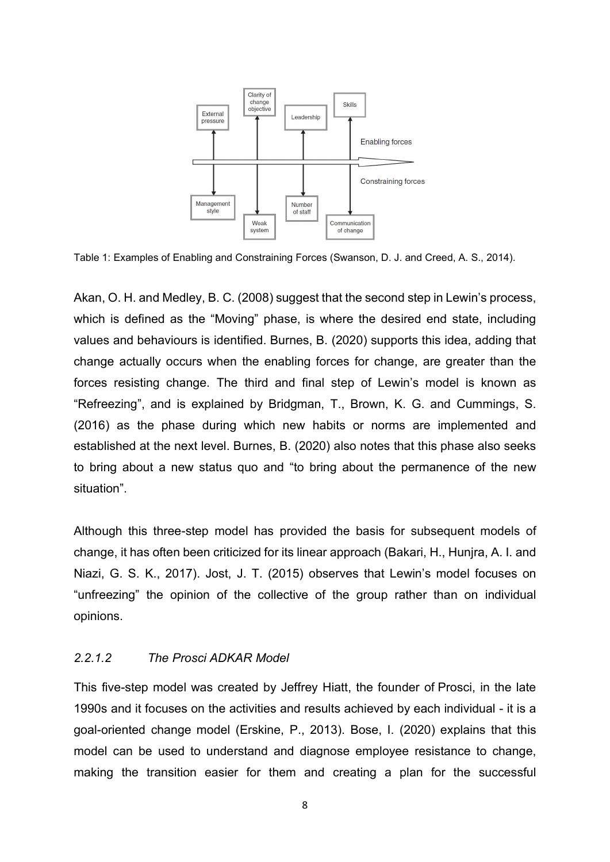

Table 1: Examples of Enabling and Constraining Forces (Swanson, D. J. and Creed, A. S., 2014).

Akan, O. H. and Medley, B. C. (2008) suggest that the second step in Lewin's process, which is defined as the "Moving" phase, is where the desired end state, including values and behaviours is identified. Burnes, B. (2020) supports this idea, adding that change actually occurs when the enabling forces for change, are greater than the forces resisting change. The third and final step of Lewin's model is known as "Refreezing", and is explained by Bridgman, T., Brown, K. G. and Cummings, S. (2016) as the phase during which new habits or norms are implemented and established at the next level. Burnes, B. (2020) also notes that this phase also seeks to bring about a new status quo and "to bring about the permanence of the new situation".

Although this three-step model has provided the basis for subsequent models of change, it has often been criticized for its linear approach (Bakari, H., Hunjra, A. I. and Niazi, G. S. K., 2017). Jost, J. T. (2015) observes that Lewin's model focuses on "unfreezing" the opinion of the collective of the group rather than on individual opinions.

#### 2.2.1.2 The Prosci ADKAR Model

This five-step model was created by Jeffrey Hiatt, the founder of Prosci, in the late 1990s and it focuses on the activities and results achieved by each individual - it is a goal-oriented change model (Erskine, P., 2013). Bose, I. (2020) explains that this model can be used to understand and diagnose employee resistance to change, making the transition easier for them and creating a plan for the successful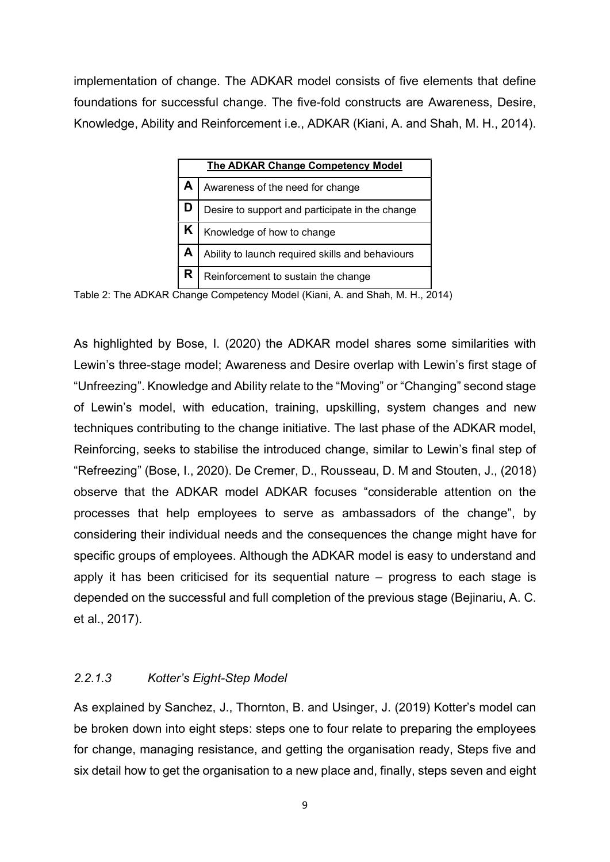implementation of change. The ADKAR model consists of five elements that define foundations for successful change. The five-fold constructs are Awareness, Desire, Knowledge, Ability and Reinforcement i.e., ADKAR (Kiani, A. and Shah, M. H., 2014).

| The ADKAR Change Competency Model                |
|--------------------------------------------------|
| Awareness of the need for change                 |
| Desire to support and participate in the change  |
| Knowledge of how to change                       |
| Ability to launch required skills and behaviours |
| Reinforcement to sustain the change              |

Table 2: The ADKAR Change Competency Model (Kiani, A. and Shah, M. H., 2014)

As highlighted by Bose, I. (2020) the ADKAR model shares some similarities with Lewin's three-stage model; Awareness and Desire overlap with Lewin's first stage of "Unfreezing". Knowledge and Ability relate to the "Moving" or "Changing" second stage of Lewin's model, with education, training, upskilling, system changes and new techniques contributing to the change initiative. The last phase of the ADKAR model, Reinforcing, seeks to stabilise the introduced change, similar to Lewin's final step of "Refreezing" (Bose, I., 2020). De Cremer, D., Rousseau, D. M and Stouten, J., (2018) observe that the ADKAR model ADKAR focuses "considerable attention on the processes that help employees to serve as ambassadors of the change", by considering their individual needs and the consequences the change might have for specific groups of employees. Although the ADKAR model is easy to understand and apply it has been criticised for its sequential nature – progress to each stage is depended on the successful and full completion of the previous stage (Bejinariu, A. C. et al., 2017).

#### 2.2.1.3 Kotter's Eight-Step Model

As explained by Sanchez, J., Thornton, B. and Usinger, J. (2019) Kotter's model can be broken down into eight steps: steps one to four relate to preparing the employees for change, managing resistance, and getting the organisation ready, Steps five and six detail how to get the organisation to a new place and, finally, steps seven and eight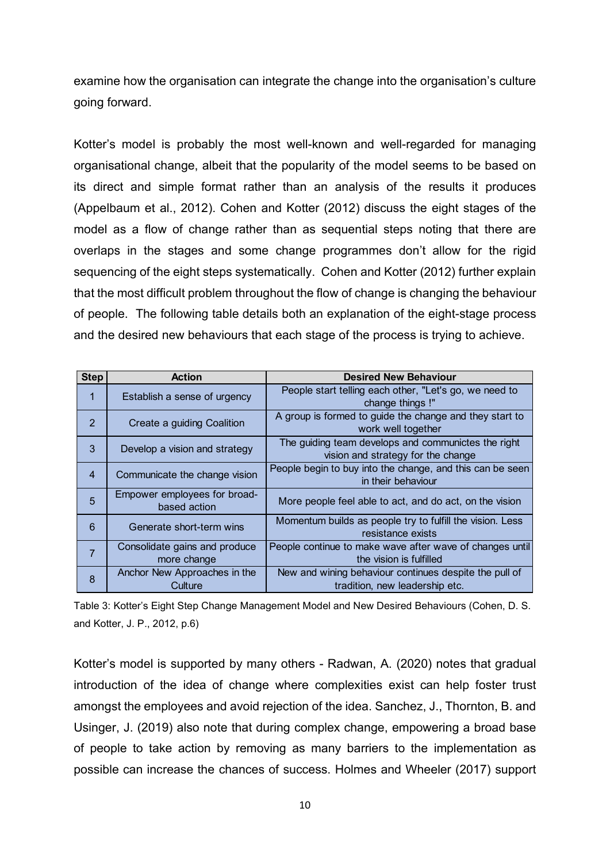examine how the organisation can integrate the change into the organisation's culture going forward.

Kotter's model is probably the most well-known and well-regarded for managing organisational change, albeit that the popularity of the model seems to be based on its direct and simple format rather than an analysis of the results it produces (Appelbaum et al., 2012). Cohen and Kotter (2012) discuss the eight stages of the model as a flow of change rather than as sequential steps noting that there are overlaps in the stages and some change programmes don't allow for the rigid sequencing of the eight steps systematically. Cohen and Kotter (2012) further explain that the most difficult problem throughout the flow of change is changing the behaviour of people. The following table details both an explanation of the eight-stage process and the desired new behaviours that each stage of the process is trying to achieve. otter's model is probably the most well-known and well-regarded for managing<br>rganisational change, albeit that the popularity of the model seems to be based on<br>stirect and simple format rather than an analysis of the resul the is probably the most well-known and well-regarded for managing<br>panisational change, albeit that the popularity of the model seems to be based on<br>direct and simple format rather than an analysis of the results it produc particular change, albeit that the popularity of the model seems to be based on<br>direct and simple format rather than an analysis of the results it produces<br>opelbaum et al., 2012). Cohen and Kotter (2012) discuss the eight direct and simple format rather than an analysis of the results it produces<br>ppelbaum et al., 2012). Cohen and Kotter (2012) discuss the eight stages of the<br>del as a flow of change rather than as sequential steps noting tha

|                                                                                 |                                              | (Appelbaum et al., 2012). Conen and Kotter (2012) discuss the eight stages of the         |
|---------------------------------------------------------------------------------|----------------------------------------------|-------------------------------------------------------------------------------------------|
| model as a flow of change rather than as sequential steps noting that there are |                                              |                                                                                           |
|                                                                                 |                                              | overlaps in the stages and some change programmes don't allow for the rigid               |
|                                                                                 |                                              | sequencing of the eight steps systematically.  Cohen and Kotter (2012) further explain    |
|                                                                                 |                                              | that the most difficult problem throughout the flow of change is changing the behaviour   |
|                                                                                 |                                              | of people. The following table details both an explanation of the eight-stage process     |
|                                                                                 |                                              | and the desired new behaviours that each stage of the process is trying to achieve.       |
|                                                                                 |                                              |                                                                                           |
| <b>Step</b>                                                                     | <b>Action</b>                                | <b>Desired New Behaviour</b><br>People start telling each other, "Let's go, we need to    |
| $\mathbf{1}$                                                                    | Establish a sense of urgency                 | change things !"                                                                          |
| $\overline{2}$                                                                  | Create a guiding Coalition                   | A group is formed to guide the change and they start to<br>work well together             |
| 3 <sup>5</sup>                                                                  | Develop a vision and strategy                | The guiding team develops and communictes the right<br>vision and strategy for the change |
| 4                                                                               | Communicate the change vision                | People begin to buy into the change, and this can be seen<br>in their behaviour           |
| 5                                                                               | Empower employees for broad-<br>based action | More people feel able to act, and do act, on the vision                                   |
| 6                                                                               | Generate short-term wins                     | Momentum builds as people try to fulfill the vision. Less<br>resistance exists            |
| $\overline{7}$                                                                  | Consolidate gains and produce<br>more change | People continue to make wave after wave of changes until<br>the vision is fulfilled       |
| 8                                                                               | Anchor New Approaches in the<br>Culture      | New and wining behaviour continues despite the pull of<br>tradition, new leadership etc.  |
|                                                                                 |                                              |                                                                                           |

Table 3: Kotter's Eight Step Change Management Model and New Desired Behaviours (Cohen, D. S. and Kotter, J. P., 2012, p.6)

Kotter's model is supported by many others - Radwan, A. (2020) notes that gradual introduction of the idea of change where complexities exist can help foster trust amongst the employees and avoid rejection of the idea. Sanchez, J., Thornton, B. and Usinger, J. (2019) also note that during complex change, empowering a broad base of people to take action by removing as many barriers to the implementation as possible can increase the chances of success. Holmes and Wheeler (2017) support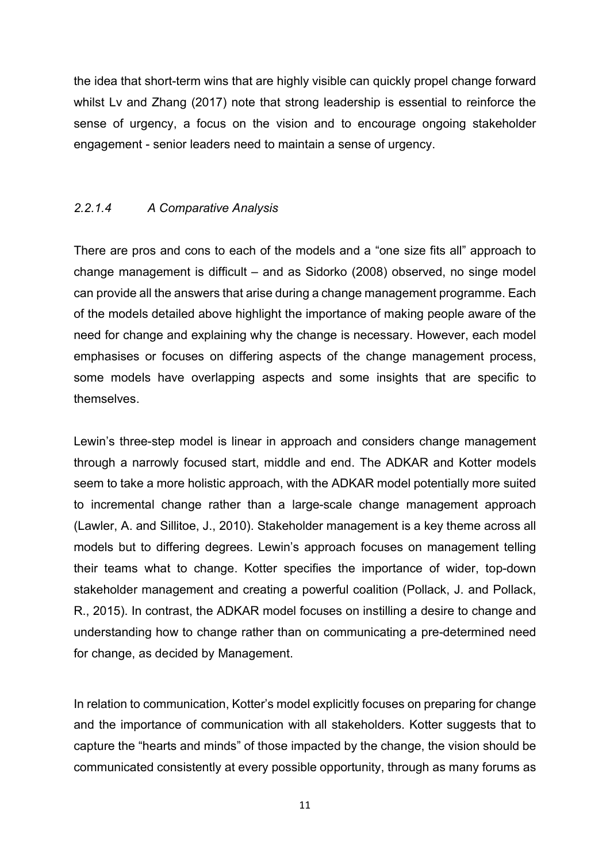the idea that short-term wins that are highly visible can quickly propel change forward whilst Lv and Zhang (2017) note that strong leadership is essential to reinforce the sense of urgency, a focus on the vision and to encourage ongoing stakeholder engagement - senior leaders need to maintain a sense of urgency.

#### 2.2.1.4 A Comparative Analysis

There are pros and cons to each of the models and a "one size fits all" approach to change management is difficult – and as Sidorko (2008) observed, no singe model can provide all the answers that arise during a change management programme. Each of the models detailed above highlight the importance of making people aware of the need for change and explaining why the change is necessary. However, each model emphasises or focuses on differing aspects of the change management process, some models have overlapping aspects and some insights that are specific to themselves.

Lewin's three-step model is linear in approach and considers change management through a narrowly focused start, middle and end. The ADKAR and Kotter models seem to take a more holistic approach, with the ADKAR model potentially more suited to incremental change rather than a large-scale change management approach (Lawler, A. and Sillitoe, J., 2010). Stakeholder management is a key theme across all models but to differing degrees. Lewin's approach focuses on management telling their teams what to change. Kotter specifies the importance of wider, top-down stakeholder management and creating a powerful coalition (Pollack, J. and Pollack, R., 2015). In contrast, the ADKAR model focuses on instilling a desire to change and understanding how to change rather than on communicating a pre-determined need for change, as decided by Management.

In relation to communication, Kotter's model explicitly focuses on preparing for change and the importance of communication with all stakeholders. Kotter suggests that to capture the "hearts and minds" of those impacted by the change, the vision should be communicated consistently at every possible opportunity, through as many forums as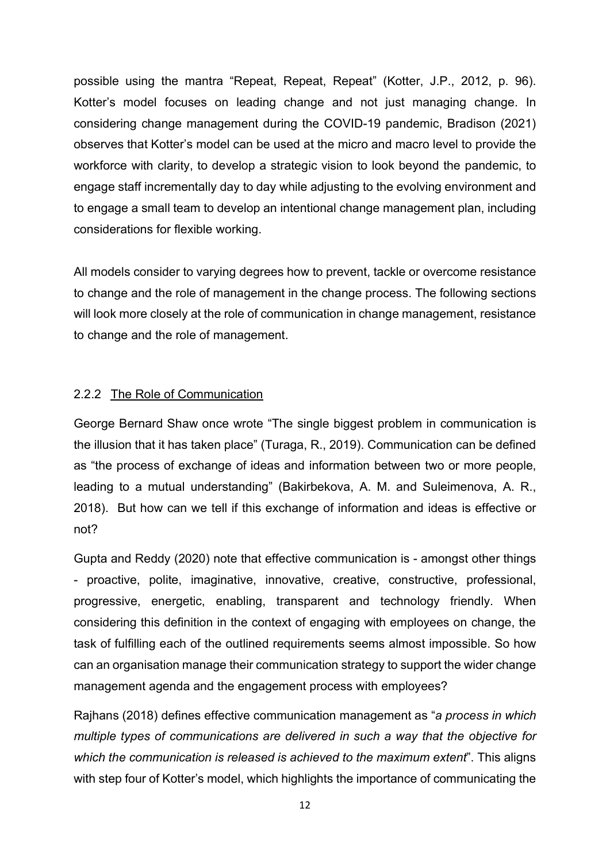possible using the mantra "Repeat, Repeat, Repeat" (Kotter, J.P., 2012, p. 96). Kotter's model focuses on leading change and not just managing change. In considering change management during the COVID-19 pandemic, Bradison (2021) observes that Kotter's model can be used at the micro and macro level to provide the workforce with clarity, to develop a strategic vision to look beyond the pandemic, to engage staff incrementally day to day while adjusting to the evolving environment and to engage a small team to develop an intentional change management plan, including considerations for flexible working.

All models consider to varying degrees how to prevent, tackle or overcome resistance to change and the role of management in the change process. The following sections will look more closely at the role of communication in change management, resistance to change and the role of management.

#### 2.2.2 The Role of Communication

George Bernard Shaw once wrote "The single biggest problem in communication is the illusion that it has taken place" (Turaga, R., 2019). Communication can be defined as "the process of exchange of ideas and information between two or more people, leading to a mutual understanding" (Bakirbekova, A. M. and Suleimenova, A. R., 2018). But how can we tell if this exchange of information and ideas is effective or not?

Gupta and Reddy (2020) note that effective communication is - amongst other things - proactive, polite, imaginative, innovative, creative, constructive, professional, progressive, energetic, enabling, transparent and technology friendly. When considering this definition in the context of engaging with employees on change, the task of fulfilling each of the outlined requirements seems almost impossible. So how can an organisation manage their communication strategy to support the wider change management agenda and the engagement process with employees?

Rajhans (2018) defines effective communication management as "a process in which multiple types of communications are delivered in such a way that the objective for which the communication is released is achieved to the maximum extent". This aligns with step four of Kotter's model, which highlights the importance of communicating the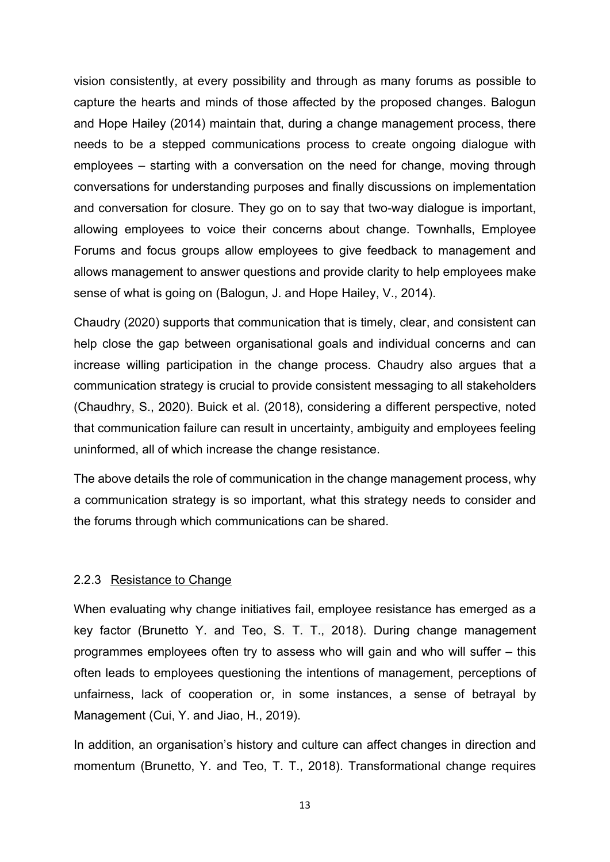vision consistently, at every possibility and through as many forums as possible to capture the hearts and minds of those affected by the proposed changes. Balogun and Hope Hailey (2014) maintain that, during a change management process, there needs to be a stepped communications process to create ongoing dialogue with employees – starting with a conversation on the need for change, moving through conversations for understanding purposes and finally discussions on implementation and conversation for closure. They go on to say that two-way dialogue is important, allowing employees to voice their concerns about change. Townhalls, Employee Forums and focus groups allow employees to give feedback to management and allows management to answer questions and provide clarity to help employees make sense of what is going on (Balogun, J. and Hope Hailey, V., 2014).

Chaudry (2020) supports that communication that is timely, clear, and consistent can help close the gap between organisational goals and individual concerns and can increase willing participation in the change process. Chaudry also argues that a communication strategy is crucial to provide consistent messaging to all stakeholders (Chaudhry, S., 2020). Buick et al. (2018), considering a different perspective, noted that communication failure can result in uncertainty, ambiguity and employees feeling uninformed, all of which increase the change resistance.

The above details the role of communication in the change management process, why a communication strategy is so important, what this strategy needs to consider and the forums through which communications can be shared.

#### 2.2.3 Resistance to Change

When evaluating why change initiatives fail, employee resistance has emerged as a key factor (Brunetto Y. and Teo, S. T. T., 2018). During change management programmes employees often try to assess who will gain and who will suffer – this often leads to employees questioning the intentions of management, perceptions of unfairness, lack of cooperation or, in some instances, a sense of betrayal by Management (Cui, Y. and Jiao, H., 2019).

In addition, an organisation's history and culture can affect changes in direction and momentum (Brunetto, Y. and Teo, T. T., 2018). Transformational change requires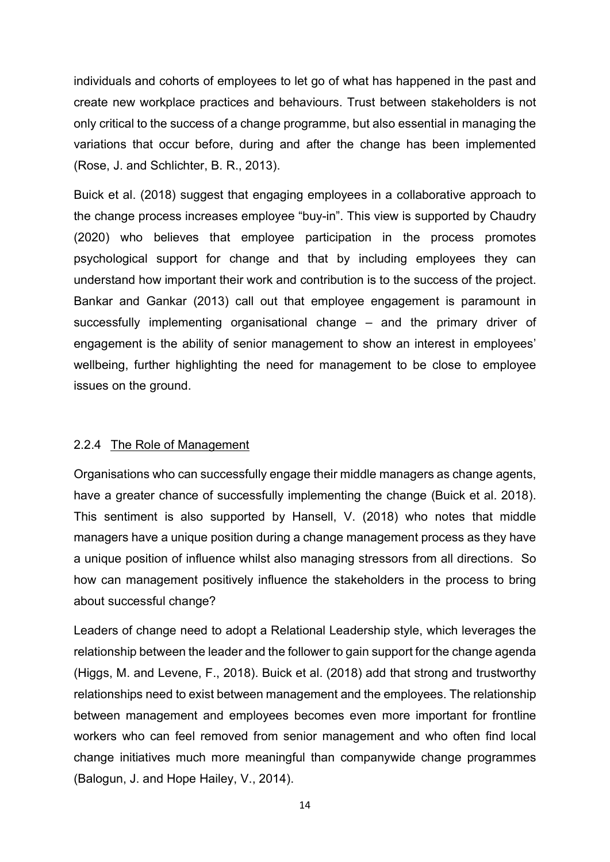individuals and cohorts of employees to let go of what has happened in the past and create new workplace practices and behaviours. Trust between stakeholders is not only critical to the success of a change programme, but also essential in managing the variations that occur before, during and after the change has been implemented (Rose, J. and Schlichter, B. R., 2013).

Buick et al. (2018) suggest that engaging employees in a collaborative approach to the change process increases employee "buy-in". This view is supported by Chaudry (2020) who believes that employee participation in the process promotes psychological support for change and that by including employees they can understand how important their work and contribution is to the success of the project. Bankar and Gankar (2013) call out that employee engagement is paramount in successfully implementing organisational change – and the primary driver of engagement is the ability of senior management to show an interest in employees' wellbeing, further highlighting the need for management to be close to employee issues on the ground.

#### 2.2.4 The Role of Management

Organisations who can successfully engage their middle managers as change agents, have a greater chance of successfully implementing the change (Buick et al. 2018). This sentiment is also supported by Hansell, V. (2018) who notes that middle managers have a unique position during a change management process as they have a unique position of influence whilst also managing stressors from all directions. So how can management positively influence the stakeholders in the process to bring about successful change?

Leaders of change need to adopt a Relational Leadership style, which leverages the relationship between the leader and the follower to gain support for the change agenda (Higgs, M. and Levene, F., 2018). Buick et al. (2018) add that strong and trustworthy relationships need to exist between management and the employees. The relationship between management and employees becomes even more important for frontline workers who can feel removed from senior management and who often find local change initiatives much more meaningful than companywide change programmes (Balogun, J. and Hope Hailey, V., 2014).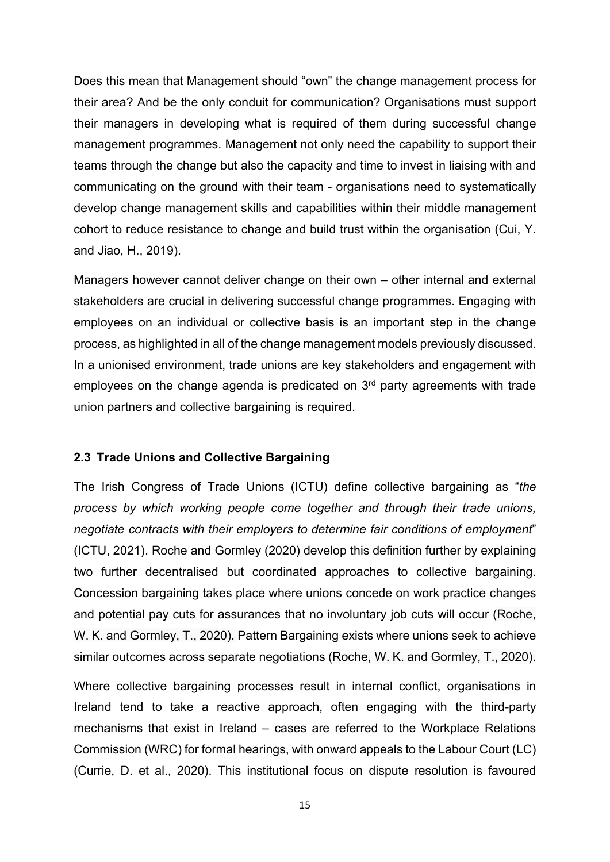Does this mean that Management should "own" the change management process for their area? And be the only conduit for communication? Organisations must support their managers in developing what is required of them during successful change management programmes. Management not only need the capability to support their teams through the change but also the capacity and time to invest in liaising with and communicating on the ground with their team - organisations need to systematically develop change management skills and capabilities within their middle management cohort to reduce resistance to change and build trust within the organisation (Cui, Y. and Jiao, H., 2019).

Managers however cannot deliver change on their own – other internal and external stakeholders are crucial in delivering successful change programmes. Engaging with employees on an individual or collective basis is an important step in the change process, as highlighted in all of the change management models previously discussed. In a unionised environment, trade unions are key stakeholders and engagement with employees on the change agenda is predicated on 3<sup>rd</sup> party agreements with trade union partners and collective bargaining is required.

## 2.3 Trade Unions and Collective Bargaining

The Irish Congress of Trade Unions (ICTU) define collective bargaining as "the process by which working people come together and through their trade unions, negotiate contracts with their employers to determine fair conditions of employment" (ICTU, 2021). Roche and Gormley (2020) develop this definition further by explaining two further decentralised but coordinated approaches to collective bargaining. Concession bargaining takes place where unions concede on work practice changes and potential pay cuts for assurances that no involuntary job cuts will occur (Roche, W. K. and Gormley, T., 2020). Pattern Bargaining exists where unions seek to achieve similar outcomes across separate negotiations (Roche, W. K. and Gormley, T., 2020).

Where collective bargaining processes result in internal conflict, organisations in Ireland tend to take a reactive approach, often engaging with the third-party mechanisms that exist in Ireland – cases are referred to the Workplace Relations Commission (WRC) for formal hearings, with onward appeals to the Labour Court (LC) (Currie, D. et al., 2020). This institutional focus on dispute resolution is favoured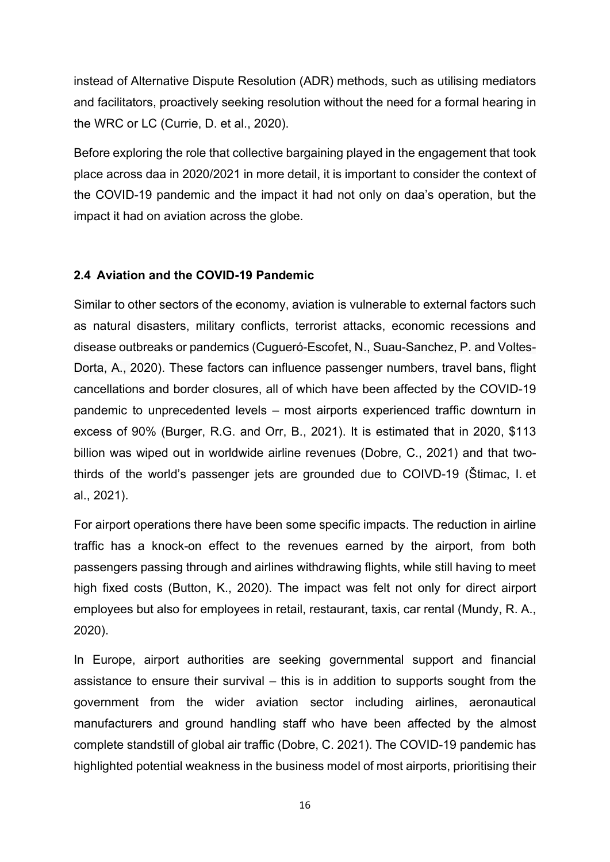instead of Alternative Dispute Resolution (ADR) methods, such as utilising mediators and facilitators, proactively seeking resolution without the need for a formal hearing in the WRC or LC (Currie, D. et al., 2020).

Before exploring the role that collective bargaining played in the engagement that took place across daa in 2020/2021 in more detail, it is important to consider the context of the COVID-19 pandemic and the impact it had not only on daa's operation, but the impact it had on aviation across the globe.

## 2.4 Aviation and the COVID-19 Pandemic

Similar to other sectors of the economy, aviation is vulnerable to external factors such as natural disasters, military conflicts, terrorist attacks, economic recessions and disease outbreaks or pandemics (Cugueró-Escofet, N., Suau-Sanchez, P. and Voltes-Dorta, A., 2020). These factors can influence passenger numbers, travel bans, flight cancellations and border closures, all of which have been affected by the COVID-19 pandemic to unprecedented levels – most airports experienced traffic downturn in excess of 90% (Burger, R.G. and Orr, B., 2021). It is estimated that in 2020, \$113 billion was wiped out in worldwide airline revenues (Dobre, C., 2021) and that twothirds of the world's passenger jets are grounded due to COIVD-19 (Štimac, I. et al., 2021).

For airport operations there have been some specific impacts. The reduction in airline traffic has a knock-on effect to the revenues earned by the airport, from both passengers passing through and airlines withdrawing flights, while still having to meet high fixed costs (Button, K., 2020). The impact was felt not only for direct airport employees but also for employees in retail, restaurant, taxis, car rental (Mundy, R. A., 2020).

In Europe, airport authorities are seeking governmental support and financial assistance to ensure their survival – this is in addition to supports sought from the government from the wider aviation sector including airlines, aeronautical manufacturers and ground handling staff who have been affected by the almost complete standstill of global air traffic (Dobre, C. 2021). The COVID-19 pandemic has highlighted potential weakness in the business model of most airports, prioritising their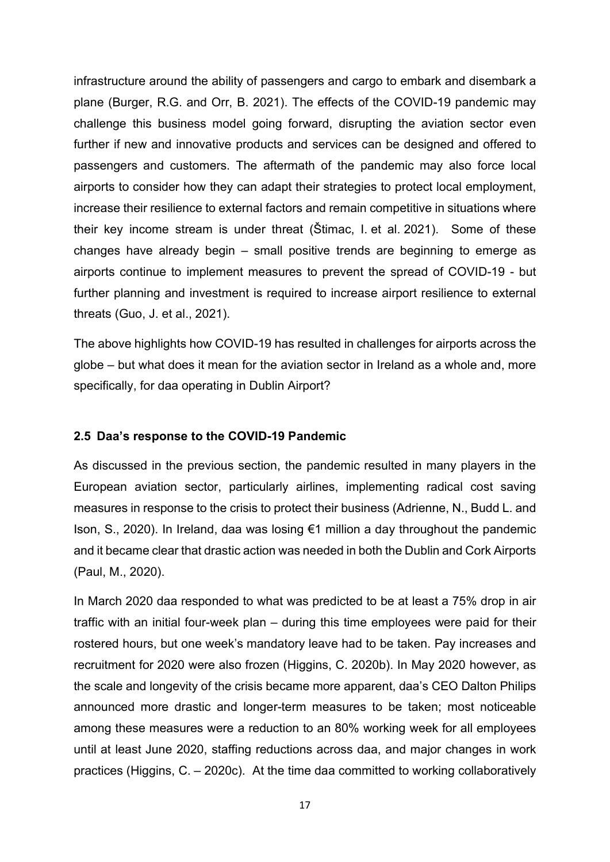infrastructure around the ability of passengers and cargo to embark and disembark a plane (Burger, R.G. and Orr, B. 2021). The effects of the COVID-19 pandemic may challenge this business model going forward, disrupting the aviation sector even further if new and innovative products and services can be designed and offered to passengers and customers. The aftermath of the pandemic may also force local airports to consider how they can adapt their strategies to protect local employment, increase their resilience to external factors and remain competitive in situations where their key income stream is under threat (Štimac, I. et al. 2021). Some of these changes have already begin – small positive trends are beginning to emerge as airports continue to implement measures to prevent the spread of COVID-19 - but further planning and investment is required to increase airport resilience to external threats (Guo, J. et al., 2021).

The above highlights how COVID-19 has resulted in challenges for airports across the globe – but what does it mean for the aviation sector in Ireland as a whole and, more specifically, for daa operating in Dublin Airport?

#### 2.5 Daa's response to the COVID-19 Pandemic

As discussed in the previous section, the pandemic resulted in many players in the European aviation sector, particularly airlines, implementing radical cost saving measures in response to the crisis to protect their business (Adrienne, N., Budd L. and Ison, S., 2020). In Ireland, daa was losing €1 million a day throughout the pandemic and it became clear that drastic action was needed in both the Dublin and Cork Airports (Paul, M., 2020).

In March 2020 daa responded to what was predicted to be at least a 75% drop in air traffic with an initial four-week plan – during this time employees were paid for their rostered hours, but one week's mandatory leave had to be taken. Pay increases and recruitment for 2020 were also frozen (Higgins, C. 2020b). In May 2020 however, as the scale and longevity of the crisis became more apparent, daa's CEO Dalton Philips announced more drastic and longer-term measures to be taken; most noticeable among these measures were a reduction to an 80% working week for all employees until at least June 2020, staffing reductions across daa, and major changes in work practices (Higgins, C. – 2020c). At the time daa committed to working collaboratively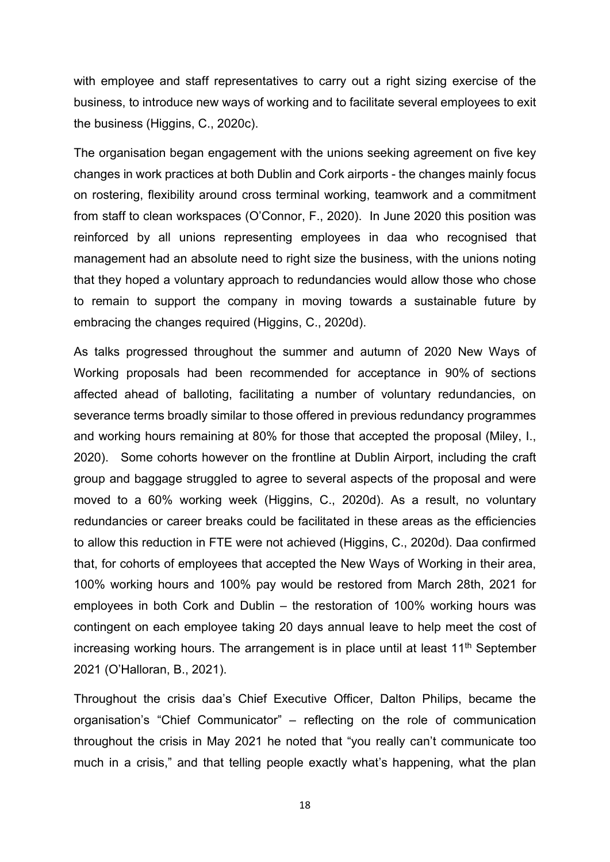with employee and staff representatives to carry out a right sizing exercise of the business, to introduce new ways of working and to facilitate several employees to exit the business (Higgins, C., 2020c).

The organisation began engagement with the unions seeking agreement on five key changes in work practices at both Dublin and Cork airports - the changes mainly focus on rostering, flexibility around cross terminal working, teamwork and a commitment from staff to clean workspaces (O'Connor, F., 2020). In June 2020 this position was reinforced by all unions representing employees in daa who recognised that management had an absolute need to right size the business, with the unions noting that they hoped a voluntary approach to redundancies would allow those who chose to remain to support the company in moving towards a sustainable future by embracing the changes required (Higgins, C., 2020d).

As talks progressed throughout the summer and autumn of 2020 New Ways of Working proposals had been recommended for acceptance in 90% of sections affected ahead of balloting, facilitating a number of voluntary redundancies, on severance terms broadly similar to those offered in previous redundancy programmes and working hours remaining at 80% for those that accepted the proposal (Miley, I., 2020). Some cohorts however on the frontline at Dublin Airport, including the craft group and baggage struggled to agree to several aspects of the proposal and were moved to a 60% working week (Higgins, C., 2020d). As a result, no voluntary redundancies or career breaks could be facilitated in these areas as the efficiencies to allow this reduction in FTE were not achieved (Higgins, C., 2020d). Daa confirmed that, for cohorts of employees that accepted the New Ways of Working in their area, 100% working hours and 100% pay would be restored from March 28th, 2021 for employees in both Cork and Dublin – the restoration of 100% working hours was contingent on each employee taking 20 days annual leave to help meet the cost of increasing working hours. The arrangement is in place until at least  $11<sup>th</sup>$  September 2021 (O'Halloran, B., 2021).

Throughout the crisis daa's Chief Executive Officer, Dalton Philips, became the organisation's "Chief Communicator" – reflecting on the role of communication throughout the crisis in May 2021 he noted that "you really can't communicate too much in a crisis," and that telling people exactly what's happening, what the plan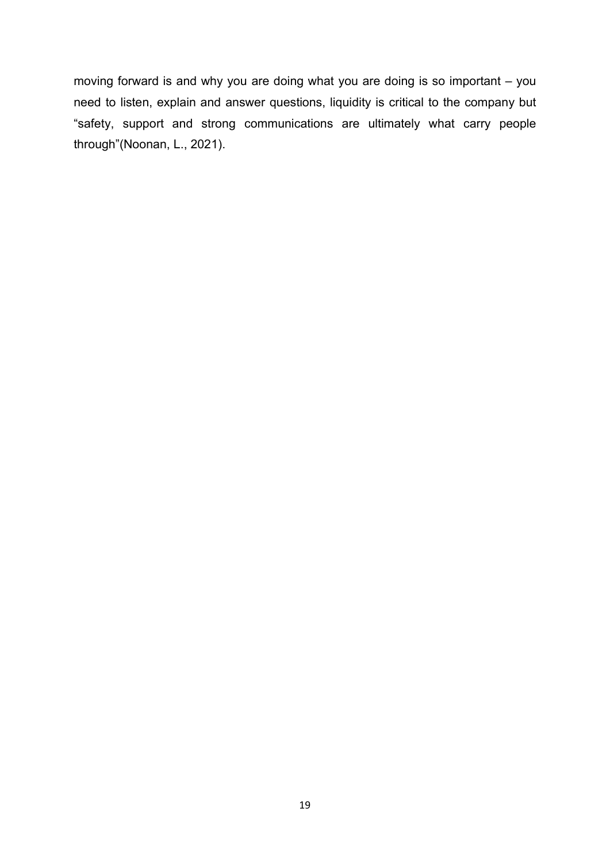moving forward is and why you are doing what you are doing is so important – you need to listen, explain and answer questions, liquidity is critical to the company but "safety, support and strong communications are ultimately what carry people through"(Noonan, L., 2021).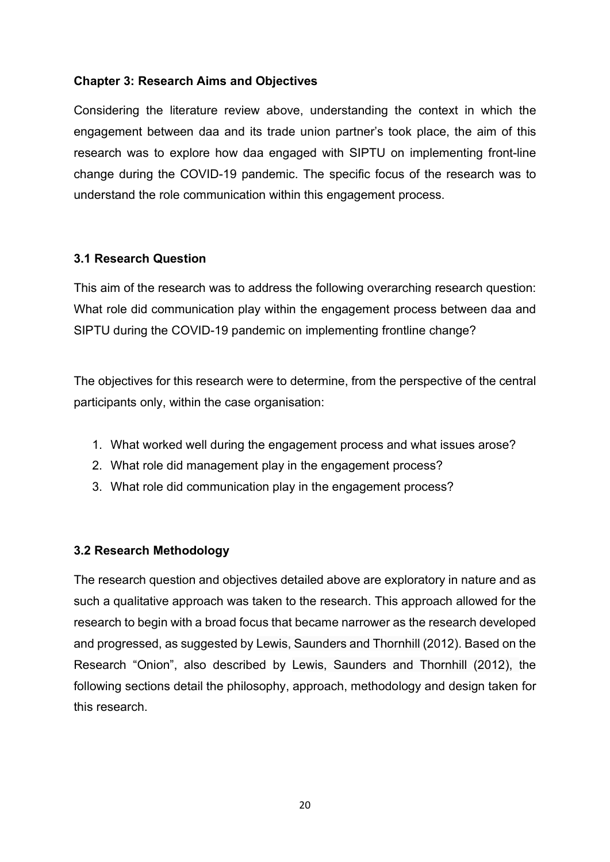## Chapter 3: Research Aims and Objectives

Considering the literature review above, understanding the context in which the engagement between daa and its trade union partner's took place, the aim of this research was to explore how daa engaged with SIPTU on implementing front-line change during the COVID-19 pandemic. The specific focus of the research was to understand the role communication within this engagement process.

## 3.1 Research Question

This aim of the research was to address the following overarching research question: What role did communication play within the engagement process between daa and SIPTU during the COVID-19 pandemic on implementing frontline change?

The objectives for this research were to determine, from the perspective of the central participants only, within the case organisation:

- 1. What worked well during the engagement process and what issues arose?
- 2. What role did management play in the engagement process?
- 3. What role did communication play in the engagement process?

# 3.2 Research Methodology

The research question and objectives detailed above are exploratory in nature and as such a qualitative approach was taken to the research. This approach allowed for the research to begin with a broad focus that became narrower as the research developed and progressed, as suggested by Lewis, Saunders and Thornhill (2012). Based on the Research "Onion", also described by Lewis, Saunders and Thornhill (2012), the following sections detail the philosophy, approach, methodology and design taken for this research.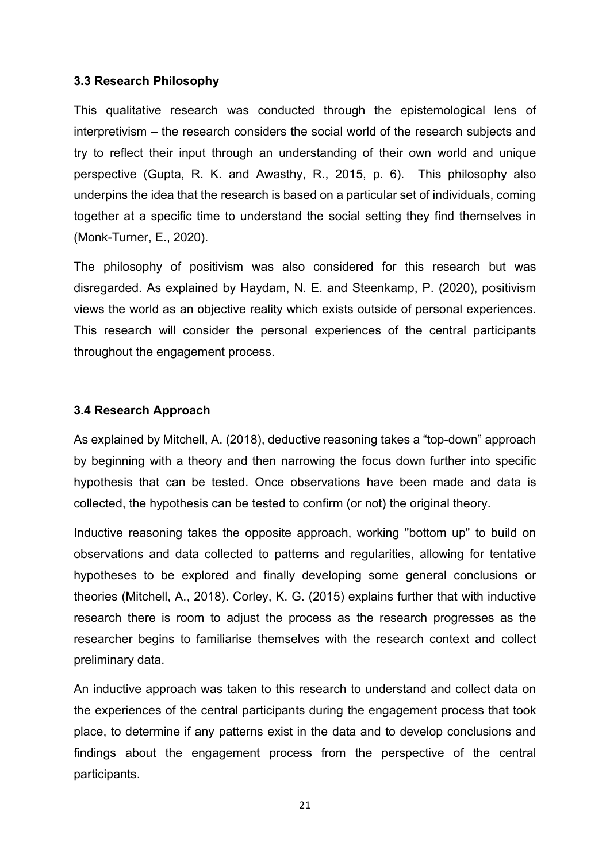#### 3.3 Research Philosophy

This qualitative research was conducted through the epistemological lens of interpretivism – the research considers the social world of the research subjects and try to reflect their input through an understanding of their own world and unique perspective (Gupta, R. K. and Awasthy, R., 2015, p. 6). This philosophy also underpins the idea that the research is based on a particular set of individuals, coming together at a specific time to understand the social setting they find themselves in (Monk-Turner, E., 2020).

The philosophy of positivism was also considered for this research but was disregarded. As explained by Haydam, N. E. and Steenkamp, P. (2020), positivism views the world as an objective reality which exists outside of personal experiences. This research will consider the personal experiences of the central participants throughout the engagement process.

#### 3.4 Research Approach

As explained by Mitchell, A. (2018), deductive reasoning takes a "top-down" approach by beginning with a theory and then narrowing the focus down further into specific hypothesis that can be tested. Once observations have been made and data is collected, the hypothesis can be tested to confirm (or not) the original theory.

Inductive reasoning takes the opposite approach, working "bottom up" to build on observations and data collected to patterns and regularities, allowing for tentative hypotheses to be explored and finally developing some general conclusions or theories (Mitchell, A., 2018). Corley, K. G. (2015) explains further that with inductive research there is room to adjust the process as the research progresses as the researcher begins to familiarise themselves with the research context and collect preliminary data.

An inductive approach was taken to this research to understand and collect data on the experiences of the central participants during the engagement process that took place, to determine if any patterns exist in the data and to develop conclusions and findings about the engagement process from the perspective of the central participants.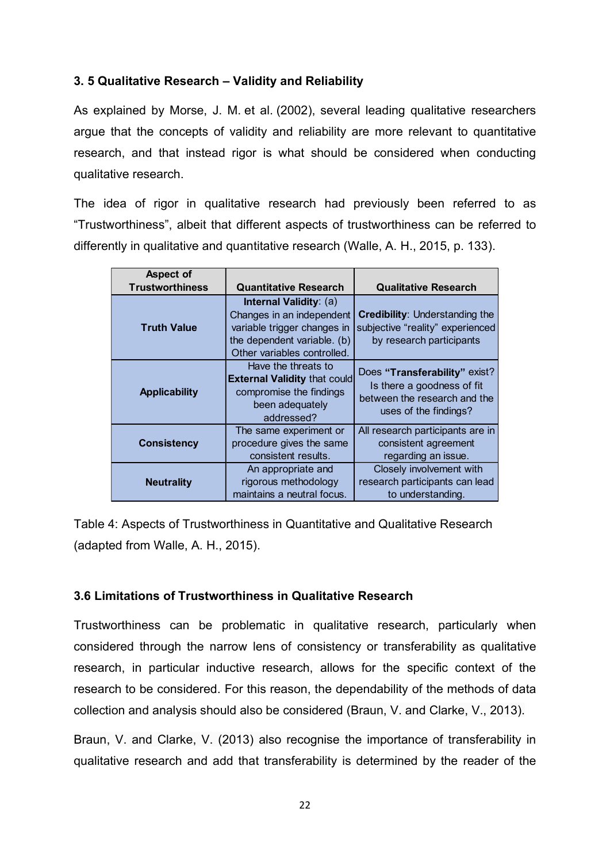# 3. 5 Qualitative Research – Validity and Reliability

As explained by Morse, J. M. et al. (2002), several leading qualitative researchers argue that the concepts of validity and reliability are more relevant to quantitative research, and that instead rigor is what should be considered when conducting qualitative research.

The idea of rigor in qualitative research had previously been referred to as "Trustworthiness", albeit that different aspects of trustworthiness can be referred to differently in qualitative and quantitative research (Walle, A. H., 2015, p. 133).

|                                                | ualitative Research – Validity and Reliability           |                                                                                  |
|------------------------------------------------|----------------------------------------------------------|----------------------------------------------------------------------------------|
|                                                |                                                          | blained by Morse, J. M. et al. (2002), several leading qualitative researchers   |
|                                                |                                                          | that the concepts of validity and reliability are more relevant to quantitative  |
|                                                |                                                          | ch, and that instead rigor is what should be considered when conducting          |
|                                                |                                                          |                                                                                  |
| tive research.                                 |                                                          |                                                                                  |
|                                                |                                                          | lea of rigor in qualitative research had previously been referred to as          |
|                                                |                                                          |                                                                                  |
|                                                |                                                          | vorthiness", albeit that different aspects of trustworthiness can be referred to |
|                                                |                                                          | ntly in qualitative and quantitative research (Walle, A. H., 2015, p. 133).      |
|                                                |                                                          |                                                                                  |
| <b>Aspect of</b>                               |                                                          |                                                                                  |
| <b>Trustworthiness</b>                         | <b>Quantitative Research</b>                             | <b>Qualitative Research</b>                                                      |
|                                                | Internal Validity: (a)                                   | <b>Credibility: Understanding the</b>                                            |
| <b>Truth Value</b>                             | Changes in an independent<br>variable trigger changes in | subjective "reality" experienced                                                 |
|                                                | the dependent variable. (b)                              | by research participants                                                         |
|                                                | Other variables controlled.                              |                                                                                  |
|                                                | Have the threats to                                      | Does "Transferability" exist?                                                    |
|                                                | <b>External Validity that could</b>                      | Is there a goodness of fit                                                       |
| <b>Applicability</b>                           | compromise the findings                                  | between the research and the                                                     |
|                                                | been adequately<br>addressed?                            | uses of the findings?                                                            |
|                                                | The same experiment or                                   | All research participants are in                                                 |
| <b>Consistency</b><br>procedure gives the same |                                                          | consistent agreement                                                             |
|                                                | consistent results.                                      | regarding an issue.                                                              |
|                                                | An appropriate and                                       | Closely involvement with                                                         |
| <b>Neutrality</b>                              | rigorous methodology                                     | research participants can lead                                                   |
|                                                | maintains a neutral focus.                               | to understanding.                                                                |

Table 4: Aspects of Trustworthiness in Quantitative and Qualitative Research (adapted from Walle, A. H., 2015).

# 3.6 Limitations of Trustworthiness in Qualitative Research

Trustworthiness can be problematic in qualitative research, particularly when considered through the narrow lens of consistency or transferability as qualitative research, in particular inductive research, allows for the specific context of the research to be considered. For this reason, the dependability of the methods of data collection and analysis should also be considered (Braun, V. and Clarke, V., 2013).

Braun, V. and Clarke, V. (2013) also recognise the importance of transferability in qualitative research and add that transferability is determined by the reader of the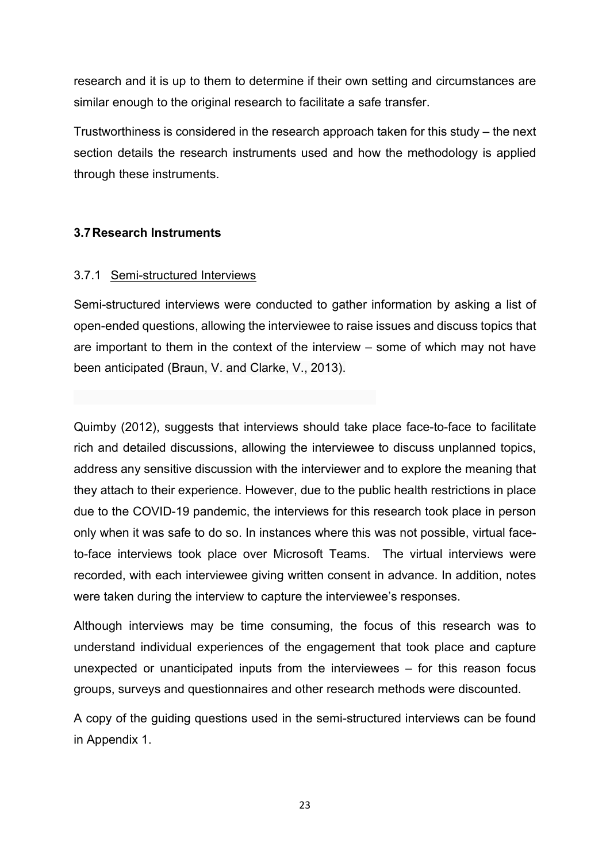research and it is up to them to determine if their own setting and circumstances are similar enough to the original research to facilitate a safe transfer.

Trustworthiness is considered in the research approach taken for this study – the next section details the research instruments used and how the methodology is applied through these instruments.

#### 3.7 Research Instruments

#### 3.7.1 Semi-structured Interviews

Semi-structured interviews were conducted to gather information by asking a list of open-ended questions, allowing the interviewee to raise issues and discuss topics that are important to them in the context of the interview – some of which may not have been anticipated (Braun, V. and Clarke, V., 2013).

Quimby (2012), suggests that interviews should take place face-to-face to facilitate rich and detailed discussions, allowing the interviewee to discuss unplanned topics, address any sensitive discussion with the interviewer and to explore the meaning that they attach to their experience. However, due to the public health restrictions in place due to the COVID-19 pandemic, the interviews for this research took place in person only when it was safe to do so. In instances where this was not possible, virtual faceto-face interviews took place over Microsoft Teams. The virtual interviews were recorded, with each interviewee giving written consent in advance. In addition, notes were taken during the interview to capture the interviewee's responses.

Although interviews may be time consuming, the focus of this research was to understand individual experiences of the engagement that took place and capture unexpected or unanticipated inputs from the interviewees – for this reason focus groups, surveys and questionnaires and other research methods were discounted.

A copy of the guiding questions used in the semi-structured interviews can be found in Appendix 1.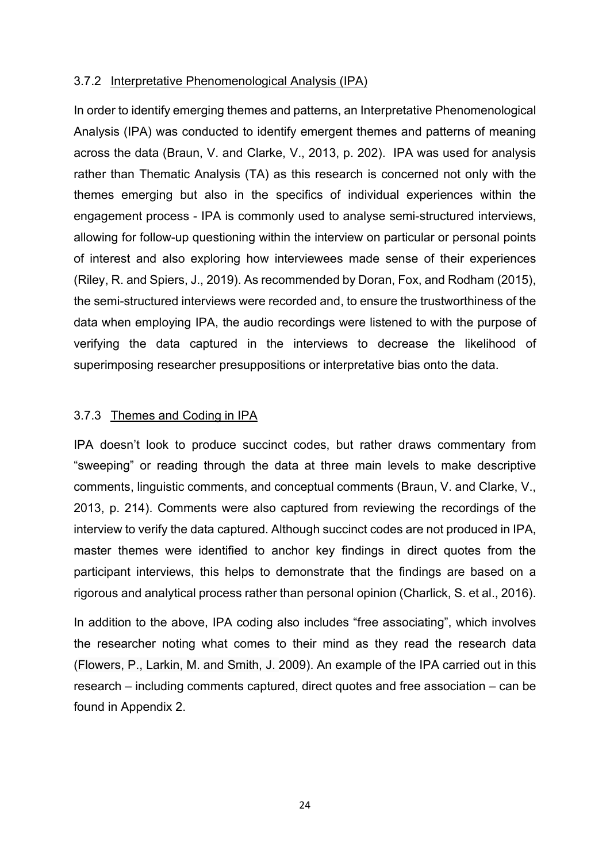#### 3.7.2 Interpretative Phenomenological Analysis (IPA)

In order to identify emerging themes and patterns, an Interpretative Phenomenological Analysis (IPA) was conducted to identify emergent themes and patterns of meaning across the data (Braun, V. and Clarke, V., 2013, p. 202). IPA was used for analysis rather than Thematic Analysis (TA) as this research is concerned not only with the themes emerging but also in the specifics of individual experiences within the engagement process - IPA is commonly used to analyse semi-structured interviews, allowing for follow-up questioning within the interview on particular or personal points of interest and also exploring how interviewees made sense of their experiences (Riley, R. and Spiers, J., 2019). As recommended by Doran, Fox, and Rodham (2015), the semi-structured interviews were recorded and, to ensure the trustworthiness of the data when employing IPA, the audio recordings were listened to with the purpose of verifying the data captured in the interviews to decrease the likelihood of superimposing researcher presuppositions or interpretative bias onto the data.

## 3.7.3 Themes and Coding in IPA

IPA doesn't look to produce succinct codes, but rather draws commentary from "sweeping" or reading through the data at three main levels to make descriptive comments, linguistic comments, and conceptual comments (Braun, V. and Clarke, V., 2013, p. 214). Comments were also captured from reviewing the recordings of the interview to verify the data captured. Although succinct codes are not produced in IPA, master themes were identified to anchor key findings in direct quotes from the participant interviews, this helps to demonstrate that the findings are based on a rigorous and analytical process rather than personal opinion (Charlick, S. et al., 2016).

In addition to the above, IPA coding also includes "free associating", which involves the researcher noting what comes to their mind as they read the research data (Flowers, P., Larkin, M. and Smith, J. 2009). An example of the IPA carried out in this research – including comments captured, direct quotes and free association – can be found in Appendix 2.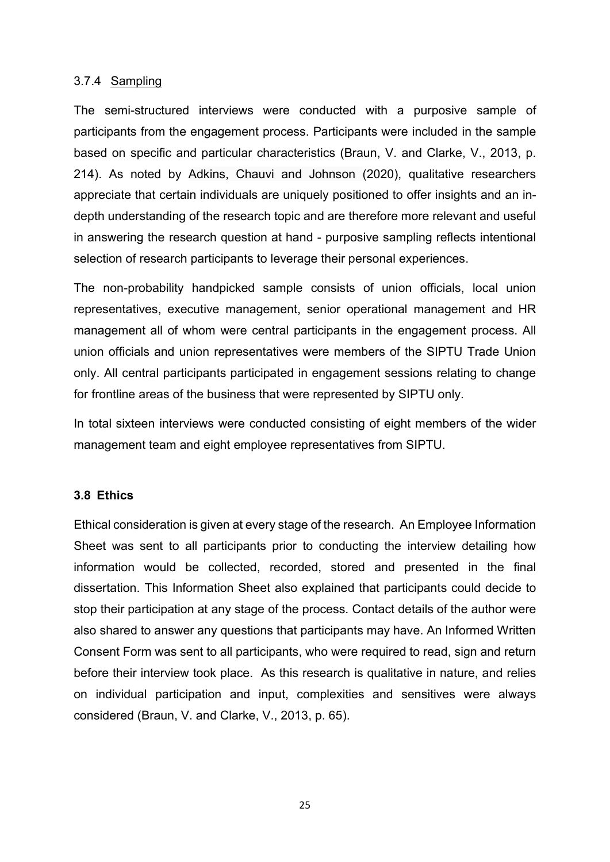#### 3.7.4 Sampling

The semi-structured interviews were conducted with a purposive sample of participants from the engagement process. Participants were included in the sample based on specific and particular characteristics (Braun, V. and Clarke, V., 2013, p. 214). As noted by Adkins, Chauvi and Johnson (2020), qualitative researchers appreciate that certain individuals are uniquely positioned to offer insights and an indepth understanding of the research topic and are therefore more relevant and useful in answering the research question at hand - purposive sampling reflects intentional selection of research participants to leverage their personal experiences.

The non-probability handpicked sample consists of union officials, local union representatives, executive management, senior operational management and HR management all of whom were central participants in the engagement process. All union officials and union representatives were members of the SIPTU Trade Union only. All central participants participated in engagement sessions relating to change for frontline areas of the business that were represented by SIPTU only.

In total sixteen interviews were conducted consisting of eight members of the wider management team and eight employee representatives from SIPTU.

## 3.8 Ethics

Ethical consideration is given at every stage of the research. An Employee Information Sheet was sent to all participants prior to conducting the interview detailing how information would be collected, recorded, stored and presented in the final dissertation. This Information Sheet also explained that participants could decide to stop their participation at any stage of the process. Contact details of the author were also shared to answer any questions that participants may have. An Informed Written Consent Form was sent to all participants, who were required to read, sign and return before their interview took place. As this research is qualitative in nature, and relies on individual participation and input, complexities and sensitives were always considered (Braun, V. and Clarke, V., 2013, p. 65).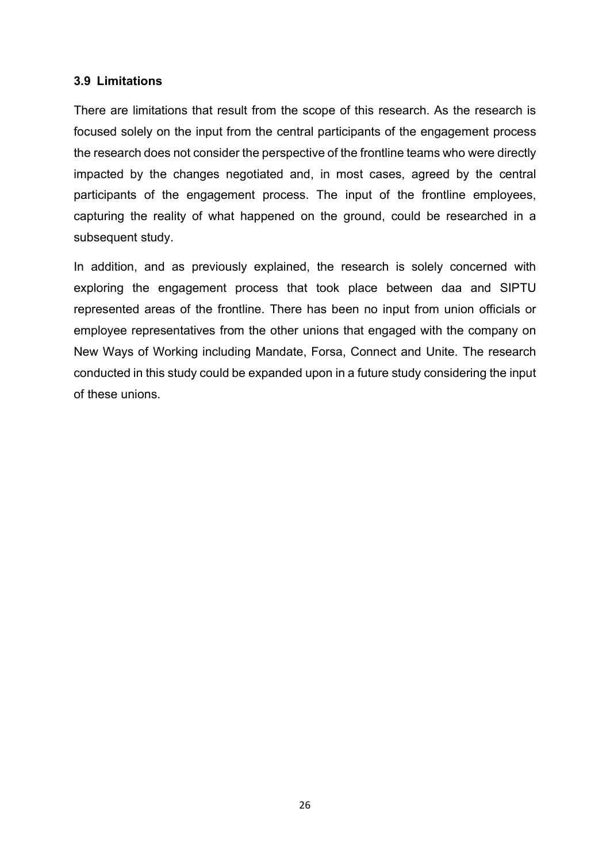## 3.9 Limitations

There are limitations that result from the scope of this research. As the research is focused solely on the input from the central participants of the engagement process the research does not consider the perspective of the frontline teams who were directly impacted by the changes negotiated and, in most cases, agreed by the central participants of the engagement process. The input of the frontline employees, capturing the reality of what happened on the ground, could be researched in a subsequent study.

In addition, and as previously explained, the research is solely concerned with exploring the engagement process that took place between daa and SIPTU represented areas of the frontline. There has been no input from union officials or employee representatives from the other unions that engaged with the company on New Ways of Working including Mandate, Forsa, Connect and Unite. The research conducted in this study could be expanded upon in a future study considering the input of these unions.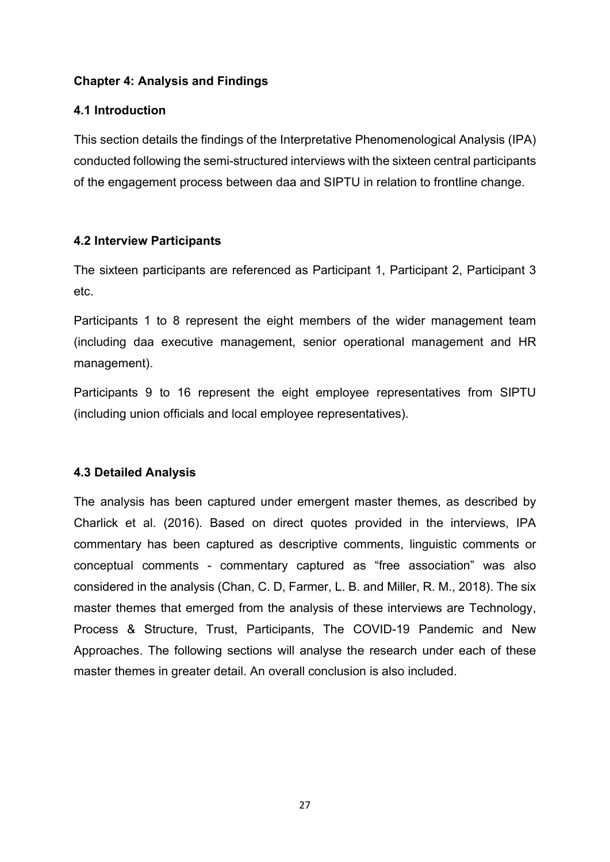# Chapter 4: Analysis and Findings

# 4.1 Introduction

This section details the findings of the Interpretative Phenomenological Analysis (IPA) conducted following the semi-structured interviews with the sixteen central participants of the engagement process between daa and SIPTU in relation to frontline change.

# 4.2 Interview Participants

The sixteen participants are referenced as Participant 1, Participant 2, Participant 3 etc.

Participants 1 to 8 represent the eight members of the wider management team (including daa executive management, senior operational management and HR management).

Participants 9 to 16 represent the eight employee representatives from SIPTU (including union officials and local employee representatives).

# 4.3 Detailed Analysis

The analysis has been captured under emergent master themes, as described by Charlick et al. (2016). Based on direct quotes provided in the interviews, IPA commentary has been captured as descriptive comments, linguistic comments or conceptual comments - commentary captured as "free association" was also considered in the analysis (Chan, C. D, Farmer, L. B. and Miller, R. M., 2018). The six master themes that emerged from the analysis of these interviews are Technology, Process & Structure, Trust, Participants, The COVID-19 Pandemic and New Approaches. The following sections will analyse the research under each of these master themes in greater detail. An overall conclusion is also included.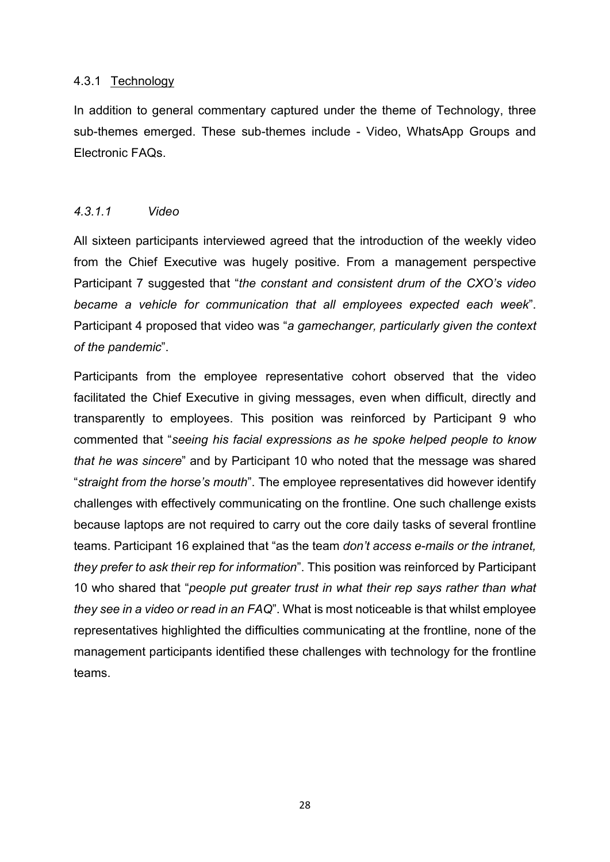## 4.3.1 Technology

In addition to general commentary captured under the theme of Technology, three sub-themes emerged. These sub-themes include - Video, WhatsApp Groups and Electronic FAQs.

## 4.3.1.1 Video

All sixteen participants interviewed agreed that the introduction of the weekly video from the Chief Executive was hugely positive. From a management perspective Participant 7 suggested that "the constant and consistent drum of the CXO's video became a vehicle for communication that all employees expected each week". Participant 4 proposed that video was "a gamechanger, particularly given the context of the pandemic".

Participants from the employee representative cohort observed that the video facilitated the Chief Executive in giving messages, even when difficult, directly and transparently to employees. This position was reinforced by Participant 9 who commented that "seeing his facial expressions as he spoke helped people to know that he was sincere" and by Participant 10 who noted that the message was shared "straight from the horse's mouth". The employee representatives did however identify challenges with effectively communicating on the frontline. One such challenge exists because laptops are not required to carry out the core daily tasks of several frontline teams. Participant 16 explained that "as the team don't access e-mails or the intranet, they prefer to ask their rep for information". This position was reinforced by Participant 10 who shared that "people put greater trust in what their rep says rather than what they see in a video or read in an FAQ". What is most noticeable is that whilst employee representatives highlighted the difficulties communicating at the frontline, none of the management participants identified these challenges with technology for the frontline teams.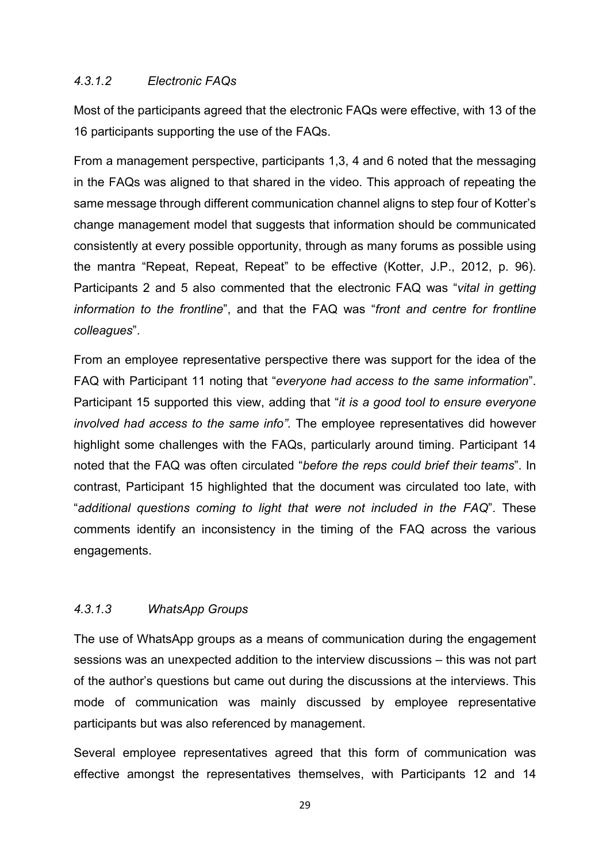## 4.3.1.2 Electronic FAQs

Most of the participants agreed that the electronic FAQs were effective, with 13 of the 16 participants supporting the use of the FAQs.

From a management perspective, participants 1,3, 4 and 6 noted that the messaging in the FAQs was aligned to that shared in the video. This approach of repeating the same message through different communication channel aligns to step four of Kotter's change management model that suggests that information should be communicated consistently at every possible opportunity, through as many forums as possible using the mantra "Repeat, Repeat, Repeat" to be effective (Kotter, J.P., 2012, p. 96). Participants 2 and 5 also commented that the electronic FAQ was "vital in getting information to the frontline", and that the FAQ was "front and centre for frontline colleagues".

From an employee representative perspective there was support for the idea of the FAQ with Participant 11 noting that "everyone had access to the same information". Participant 15 supported this view, adding that "it is a good tool to ensure everyone involved had access to the same info". The employee representatives did however highlight some challenges with the FAQs, particularly around timing. Participant 14 noted that the FAQ was often circulated "before the reps could brief their teams". In contrast, Participant 15 highlighted that the document was circulated too late, with "additional questions coming to light that were not included in the FAQ". These comments identify an inconsistency in the timing of the FAQ across the various engagements.

## 4.3.1.3 WhatsApp Groups

The use of WhatsApp groups as a means of communication during the engagement sessions was an unexpected addition to the interview discussions – this was not part of the author's questions but came out during the discussions at the interviews. This mode of communication was mainly discussed by employee representative participants but was also referenced by management.

Several employee representatives agreed that this form of communication was effective amongst the representatives themselves, with Participants 12 and 14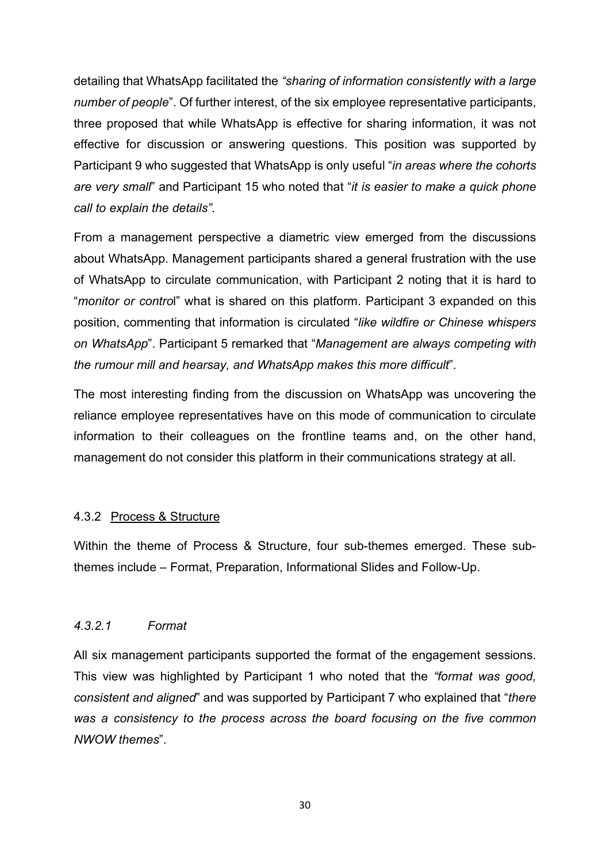detailing that WhatsApp facilitated the "sharing of information consistently with a large number of people". Of further interest, of the six employee representative participants, three proposed that while WhatsApp is effective for sharing information, it was not effective for discussion or answering questions. This position was supported by Participant 9 who suggested that WhatsApp is only useful "in areas where the cohorts" are very small" and Participant 15 who noted that "it is easier to make a quick phone call to explain the details".

From a management perspective a diametric view emerged from the discussions about WhatsApp. Management participants shared a general frustration with the use of WhatsApp to circulate communication, with Participant 2 noting that it is hard to "monitor or control" what is shared on this platform. Participant 3 expanded on this position, commenting that information is circulated "like wildfire or Chinese whispers on WhatsApp". Participant 5 remarked that "Management are always competing with the rumour mill and hearsay, and WhatsApp makes this more difficult".

The most interesting finding from the discussion on WhatsApp was uncovering the reliance employee representatives have on this mode of communication to circulate information to their colleagues on the frontline teams and, on the other hand, management do not consider this platform in their communications strategy at all.

## 4.3.2 Process & Structure

Within the theme of Process & Structure, four sub-themes emerged. These subthemes include – Format, Preparation, Informational Slides and Follow-Up.

## 4.3.2.1 Format

All six management participants supported the format of the engagement sessions. This view was highlighted by Participant 1 who noted that the "format was good, consistent and aligned" and was supported by Participant 7 who explained that "there was a consistency to the process across the board focusing on the five common NWOW themes".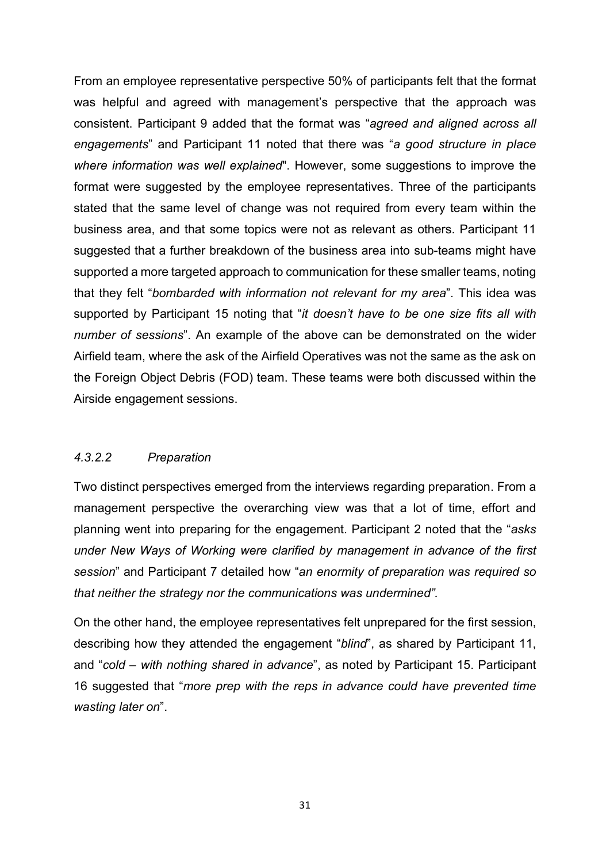From an employee representative perspective 50% of participants felt that the format was helpful and agreed with management's perspective that the approach was consistent. Participant 9 added that the format was "agreed and aligned across all engagements" and Participant 11 noted that there was "a good structure in place where information was well explained". However, some suggestions to improve the format were suggested by the employee representatives. Three of the participants stated that the same level of change was not required from every team within the business area, and that some topics were not as relevant as others. Participant 11 suggested that a further breakdown of the business area into sub-teams might have supported a more targeted approach to communication for these smaller teams, noting that they felt "bombarded with information not relevant for my area". This idea was supported by Participant 15 noting that "it doesn't have to be one size fits all with number of sessions". An example of the above can be demonstrated on the wider Airfield team, where the ask of the Airfield Operatives was not the same as the ask on the Foreign Object Debris (FOD) team. These teams were both discussed within the Airside engagement sessions.

# 4.3.2.2 Preparation

Two distinct perspectives emerged from the interviews regarding preparation. From a management perspective the overarching view was that a lot of time, effort and planning went into preparing for the engagement. Participant 2 noted that the "asks under New Ways of Working were clarified by management in advance of the first session" and Participant 7 detailed how "an enormity of preparation was required so that neither the strategy nor the communications was undermined".

On the other hand, the employee representatives felt unprepared for the first session, describing how they attended the engagement "blind", as shared by Participant 11, and "cold – with nothing shared in advance", as noted by Participant 15. Participant 16 suggested that "more prep with the reps in advance could have prevented time wasting later on".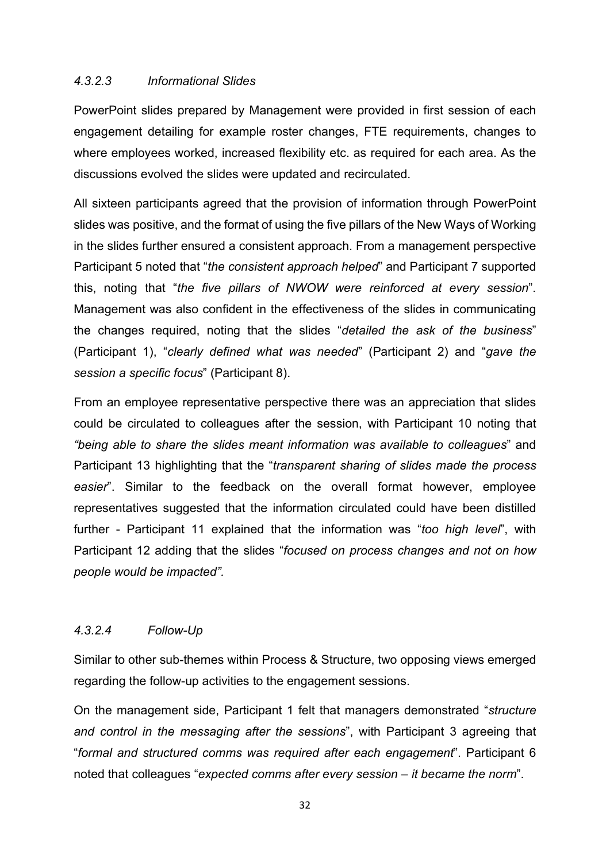## 4.3.2.3 Informational Slides

PowerPoint slides prepared by Management were provided in first session of each engagement detailing for example roster changes, FTE requirements, changes to where employees worked, increased flexibility etc. as required for each area. As the discussions evolved the slides were updated and recirculated.

All sixteen participants agreed that the provision of information through PowerPoint slides was positive, and the format of using the five pillars of the New Ways of Working in the slides further ensured a consistent approach. From a management perspective Participant 5 noted that "the consistent approach helped" and Participant 7 supported this, noting that "the five pillars of NWOW were reinforced at every session". Management was also confident in the effectiveness of the slides in communicating the changes required, noting that the slides "detailed the ask of the business" (Participant 1), "clearly defined what was needed" (Participant 2) and "gave the session a specific focus" (Participant 8).

From an employee representative perspective there was an appreciation that slides could be circulated to colleagues after the session, with Participant 10 noting that "being able to share the slides meant information was available to colleagues" and Participant 13 highlighting that the "transparent sharing of slides made the process easier". Similar to the feedback on the overall format however, employee representatives suggested that the information circulated could have been distilled further - Participant 11 explained that the information was "too high level", with Participant 12 adding that the slides "focused on process changes and not on how people would be impacted".

# 4.3.2.4 Follow-Up

Similar to other sub-themes within Process & Structure, two opposing views emerged regarding the follow-up activities to the engagement sessions.

On the management side, Participant 1 felt that managers demonstrated "structure and control in the messaging after the sessions", with Participant 3 agreeing that "formal and structured comms was required after each engagement". Participant 6 noted that colleagues "expected comms after every session – it became the norm".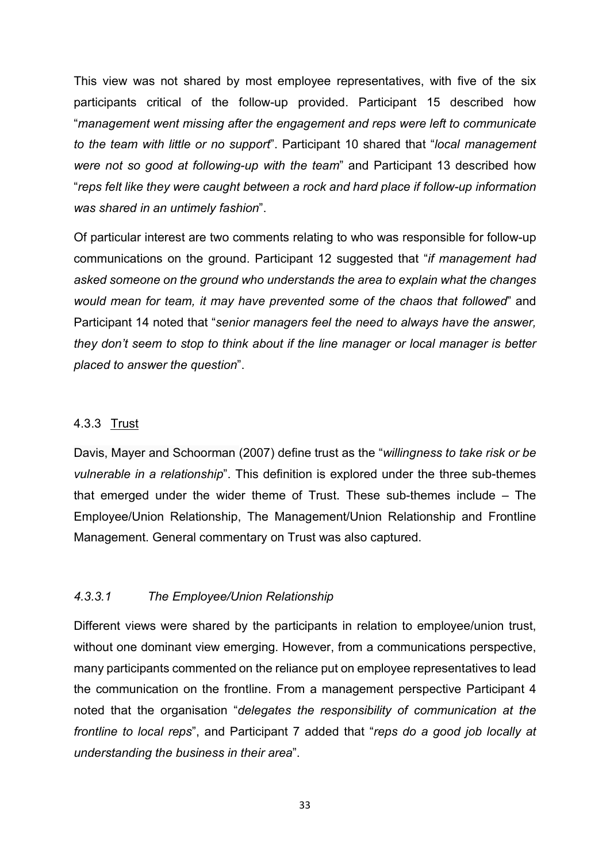This view was not shared by most employee representatives, with five of the six participants critical of the follow-up provided. Participant 15 described how "management went missing after the engagement and reps were left to communicate to the team with little or no support". Participant 10 shared that "local management were not so good at following-up with the team" and Participant 13 described how "reps felt like they were caught between a rock and hard place if follow-up information was shared in an untimely fashion".

Of particular interest are two comments relating to who was responsible for follow-up communications on the ground. Participant 12 suggested that "if management had asked someone on the ground who understands the area to explain what the changes would mean for team, it may have prevented some of the chaos that followed" and Participant 14 noted that "senior managers feel the need to always have the answer, they don't seem to stop to think about if the line manager or local manager is better placed to answer the question".

## 4.3.3 Trust

Davis, Mayer and Schoorman (2007) define trust as the "willingness to take risk or be vulnerable in a relationship". This definition is explored under the three sub-themes that emerged under the wider theme of Trust. These sub-themes include – The Employee/Union Relationship, The Management/Union Relationship and Frontline Management. General commentary on Trust was also captured.

# 4.3.3.1 The Employee/Union Relationship

Different views were shared by the participants in relation to employee/union trust, without one dominant view emerging. However, from a communications perspective, many participants commented on the reliance put on employee representatives to lead the communication on the frontline. From a management perspective Participant 4 noted that the organisation "delegates the responsibility of communication at the frontline to local reps", and Participant 7 added that "reps do a good job locally at understanding the business in their area".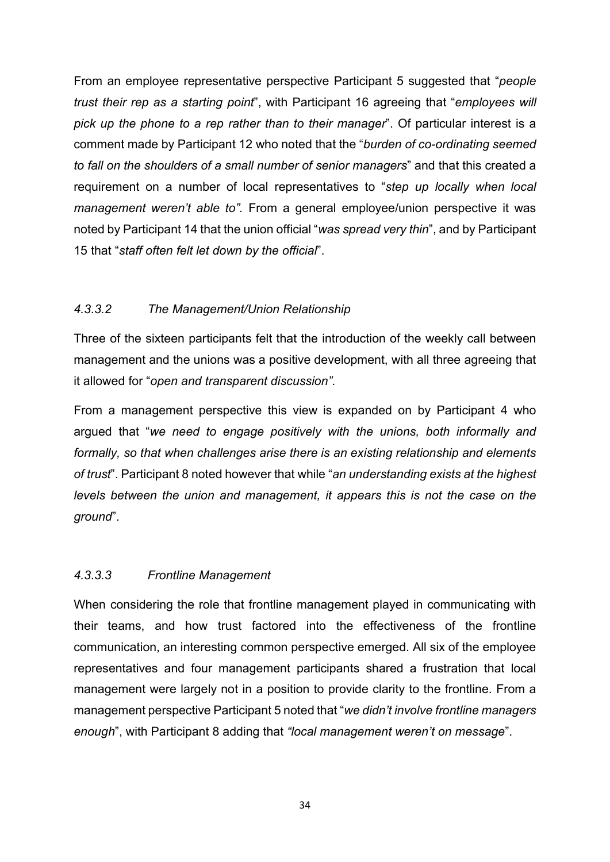From an employee representative perspective Participant 5 suggested that "people trust their rep as a starting point", with Participant 16 agreeing that "employees will pick up the phone to a rep rather than to their manager". Of particular interest is a comment made by Participant 12 who noted that the "burden of co-ordinating seemed to fall on the shoulders of a small number of senior managers" and that this created a requirement on a number of local representatives to "step up locally when local management weren't able to". From a general employee/union perspective it was noted by Participant 14 that the union official "was spread very thin", and by Participant 15 that "staff often felt let down by the official".

## 4.3.3.2 The Management/Union Relationship

Three of the sixteen participants felt that the introduction of the weekly call between management and the unions was a positive development, with all three agreeing that it allowed for "open and transparent discussion".

From a management perspective this view is expanded on by Participant 4 who argued that "we need to engage positively with the unions, both informally and formally, so that when challenges arise there is an existing relationship and elements of trust". Participant 8 noted however that while "an understanding exists at the highest levels between the union and management, it appears this is not the case on the ground".

## 4.3.3.3 Frontline Management

When considering the role that frontline management played in communicating with their teams, and how trust factored into the effectiveness of the frontline communication, an interesting common perspective emerged. All six of the employee representatives and four management participants shared a frustration that local management were largely not in a position to provide clarity to the frontline. From a management perspective Participant 5 noted that "we didn't involve frontline managers enough", with Participant 8 adding that "local management weren't on message".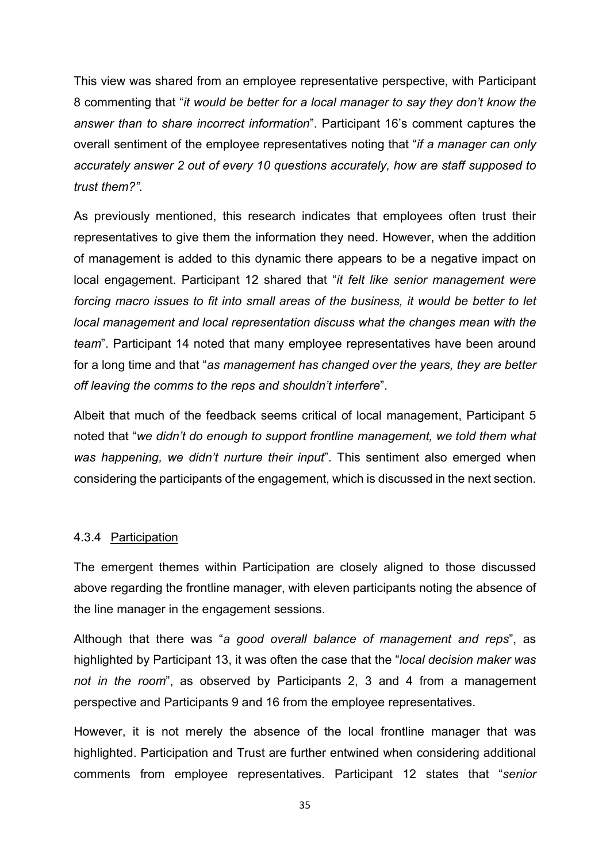This view was shared from an employee representative perspective, with Participant 8 commenting that "it would be better for a local manager to say they don't know the answer than to share incorrect information". Participant 16's comment captures the overall sentiment of the employee representatives noting that "if a manager can only accurately answer 2 out of every 10 questions accurately, how are staff supposed to trust them?".

As previously mentioned, this research indicates that employees often trust their representatives to give them the information they need. However, when the addition of management is added to this dynamic there appears to be a negative impact on local engagement. Participant 12 shared that "it felt like senior management were forcing macro issues to fit into small areas of the business, it would be better to let local management and local representation discuss what the changes mean with the team". Participant 14 noted that many employee representatives have been around for a long time and that "as management has changed over the years, they are better off leaving the comms to the reps and shouldn't interfere".

Albeit that much of the feedback seems critical of local management, Participant 5 noted that "we didn't do enough to support frontline management, we told them what was happening, we didn't nurture their input". This sentiment also emerged when considering the participants of the engagement, which is discussed in the next section.

## 4.3.4 Participation

The emergent themes within Participation are closely aligned to those discussed above regarding the frontline manager, with eleven participants noting the absence of the line manager in the engagement sessions.

Although that there was "a good overall balance of management and reps", as highlighted by Participant 13, it was often the case that the "local decision maker was not in the room", as observed by Participants 2, 3 and 4 from a management perspective and Participants 9 and 16 from the employee representatives.

However, it is not merely the absence of the local frontline manager that was highlighted. Participation and Trust are further entwined when considering additional comments from employee representatives. Participant 12 states that "senior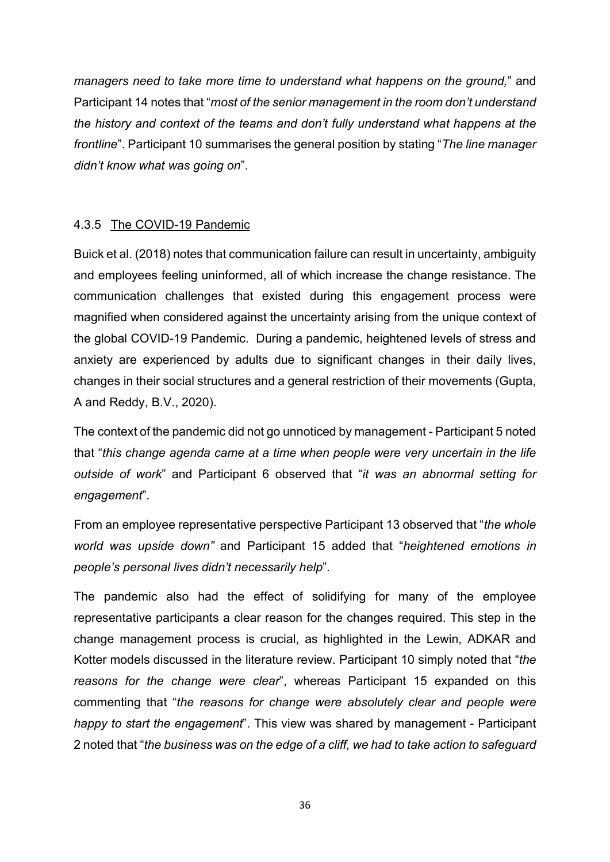managers need to take more time to understand what happens on the ground," and Participant 14 notes that "most of the senior management in the room don't understand the history and context of the teams and don't fully understand what happens at the frontline". Participant 10 summarises the general position by stating "The line manager didn't know what was going on".

# 4.3.5 The COVID-19 Pandemic

Buick et al. (2018) notes that communication failure can result in uncertainty, ambiguity and employees feeling uninformed, all of which increase the change resistance. The communication challenges that existed during this engagement process were magnified when considered against the uncertainty arising from the unique context of the global COVID-19 Pandemic. During a pandemic, heightened levels of stress and anxiety are experienced by adults due to significant changes in their daily lives, changes in their social structures and a general restriction of their movements (Gupta, A and Reddy, B.V., 2020).

The context of the pandemic did not go unnoticed by management - Participant 5 noted that "this change agenda came at a time when people were very uncertain in the life outside of work" and Participant 6 observed that "it was an abnormal setting for engagement".

From an employee representative perspective Participant 13 observed that "the whole world was upside down" and Participant 15 added that "heightened emotions in people's personal lives didn't necessarily help".

The pandemic also had the effect of solidifying for many of the employee representative participants a clear reason for the changes required. This step in the change management process is crucial, as highlighted in the Lewin, ADKAR and Kotter models discussed in the literature review. Participant 10 simply noted that "the reasons for the change were clear", whereas Participant 15 expanded on this commenting that "the reasons for change were absolutely clear and people were happy to start the engagement". This view was shared by management - Participant 2 noted that "the business was on the edge of a cliff, we had to take action to safeguard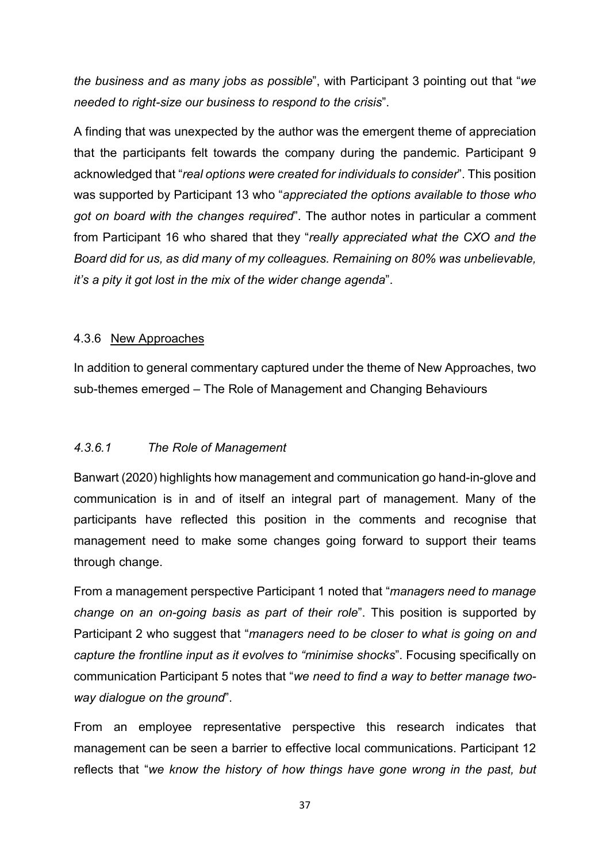the business and as many jobs as possible", with Participant 3 pointing out that "we needed to right-size our business to respond to the crisis".

A finding that was unexpected by the author was the emergent theme of appreciation that the participants felt towards the company during the pandemic. Participant 9 acknowledged that "real options were created for individuals to consider". This position was supported by Participant 13 who "appreciated the options available to those who got on board with the changes required". The author notes in particular a comment from Participant 16 who shared that they "really appreciated what the CXO and the Board did for us, as did many of my colleagues. Remaining on 80% was unbelievable, it's a pity it got lost in the mix of the wider change agenda".

## 4.3.6 New Approaches

In addition to general commentary captured under the theme of New Approaches, two sub-themes emerged – The Role of Management and Changing Behaviours

# 4.3.6.1 The Role of Management

Banwart (2020) highlights how management and communication go hand-in-glove and communication is in and of itself an integral part of management. Many of the participants have reflected this position in the comments and recognise that management need to make some changes going forward to support their teams through change.

From a management perspective Participant 1 noted that "managers need to manage change on an on-going basis as part of their role". This position is supported by Participant 2 who suggest that "managers need to be closer to what is going on and capture the frontline input as it evolves to "minimise shocks". Focusing specifically on communication Participant 5 notes that "we need to find a way to better manage twoway dialogue on the ground".

From an employee representative perspective this research indicates that management can be seen a barrier to effective local communications. Participant 12 reflects that "we know the history of how things have gone wrong in the past, but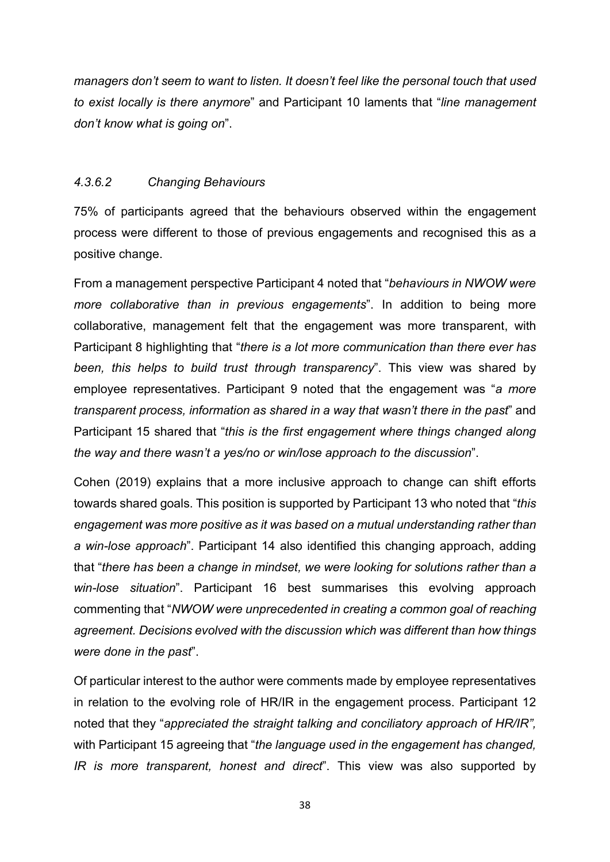managers don't seem to want to listen. It doesn't feel like the personal touch that used to exist locally is there anymore" and Participant 10 laments that "line management don't know what is going on".

#### 4.3.6.2 Changing Behaviours

75% of participants agreed that the behaviours observed within the engagement process were different to those of previous engagements and recognised this as a positive change.

From a management perspective Participant 4 noted that "behaviours in NWOW were more collaborative than in previous engagements". In addition to being more collaborative, management felt that the engagement was more transparent, with Participant 8 highlighting that "there is a lot more communication than there ever has been, this helps to build trust through transparency". This view was shared by employee representatives. Participant 9 noted that the engagement was "a more transparent process, information as shared in a way that wasn't there in the past" and Participant 15 shared that "this is the first engagement where things changed along the way and there wasn't a yes/no or win/lose approach to the discussion".

Cohen (2019) explains that a more inclusive approach to change can shift efforts towards shared goals. This position is supported by Participant 13 who noted that "this engagement was more positive as it was based on a mutual understanding rather than a win-lose approach". Participant 14 also identified this changing approach, adding that "there has been a change in mindset, we were looking for solutions rather than a win-lose situation". Participant 16 best summarises this evolving approach commenting that "NWOW were unprecedented in creating a common goal of reaching agreement. Decisions evolved with the discussion which was different than how things were done in the past".

Of particular interest to the author were comments made by employee representatives in relation to the evolving role of HR/IR in the engagement process. Participant 12 noted that they "appreciated the straight talking and conciliatory approach of HR/IR", with Participant 15 agreeing that "the language used in the engagement has changed, IR is more transparent, honest and direct". This view was also supported by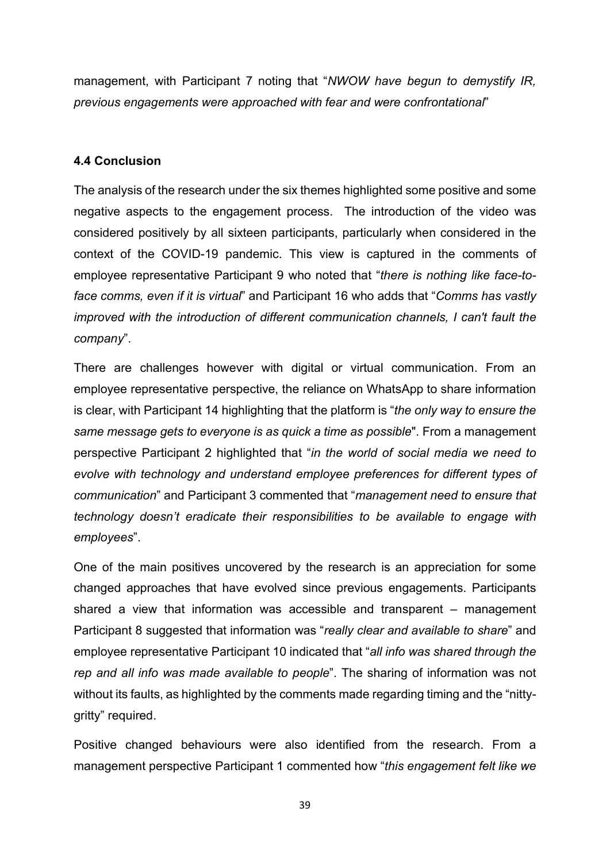management, with Participant 7 noting that "NWOW have begun to demystify IR, previous engagements were approached with fear and were confrontational"

## 4.4 Conclusion

The analysis of the research under the six themes highlighted some positive and some negative aspects to the engagement process. The introduction of the video was considered positively by all sixteen participants, particularly when considered in the context of the COVID-19 pandemic. This view is captured in the comments of employee representative Participant 9 who noted that "there is nothing like face-toface comms, even if it is virtual" and Participant 16 who adds that "Comms has vastly improved with the introduction of different communication channels, I can't fault the company".

There are challenges however with digital or virtual communication. From an employee representative perspective, the reliance on WhatsApp to share information is clear, with Participant 14 highlighting that the platform is "the only way to ensure the same message gets to everyone is as quick a time as possible". From a management perspective Participant 2 highlighted that "in the world of social media we need to evolve with technology and understand employee preferences for different types of communication" and Participant 3 commented that "management need to ensure that technology doesn't eradicate their responsibilities to be available to engage with employees".

One of the main positives uncovered by the research is an appreciation for some changed approaches that have evolved since previous engagements. Participants shared a view that information was accessible and transparent – management Participant 8 suggested that information was "really clear and available to share" and employee representative Participant 10 indicated that "all info was shared through the rep and all info was made available to people". The sharing of information was not without its faults, as highlighted by the comments made regarding timing and the "nittygritty" required.

Positive changed behaviours were also identified from the research. From a management perspective Participant 1 commented how "this engagement felt like we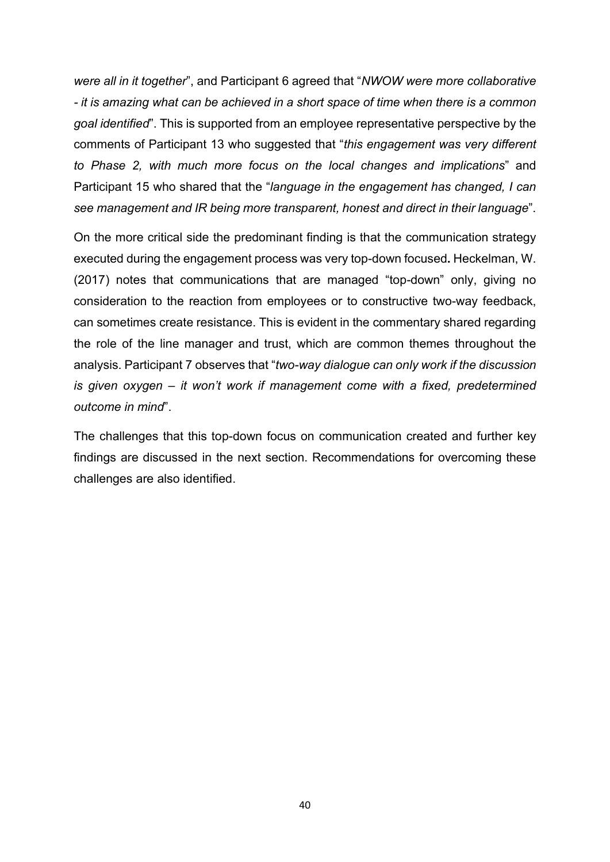were all in it together", and Participant 6 agreed that "NWOW were more collaborative - it is amazing what can be achieved in a short space of time when there is a common goal identified". This is supported from an employee representative perspective by the comments of Participant 13 who suggested that "this engagement was very different to Phase 2, with much more focus on the local changes and implications" and Participant 15 who shared that the "language in the engagement has changed, I can see management and IR being more transparent, honest and direct in their language".

On the more critical side the predominant finding is that the communication strategy executed during the engagement process was very top-down focused. Heckelman, W. (2017) notes that communications that are managed "top-down" only, giving no consideration to the reaction from employees or to constructive two-way feedback, can sometimes create resistance. This is evident in the commentary shared regarding the role of the line manager and trust, which are common themes throughout the analysis. Participant 7 observes that "two-way dialogue can only work if the discussion is given oxygen – it won't work if management come with a fixed, predetermined outcome in mind".

The challenges that this top-down focus on communication created and further key findings are discussed in the next section. Recommendations for overcoming these challenges are also identified.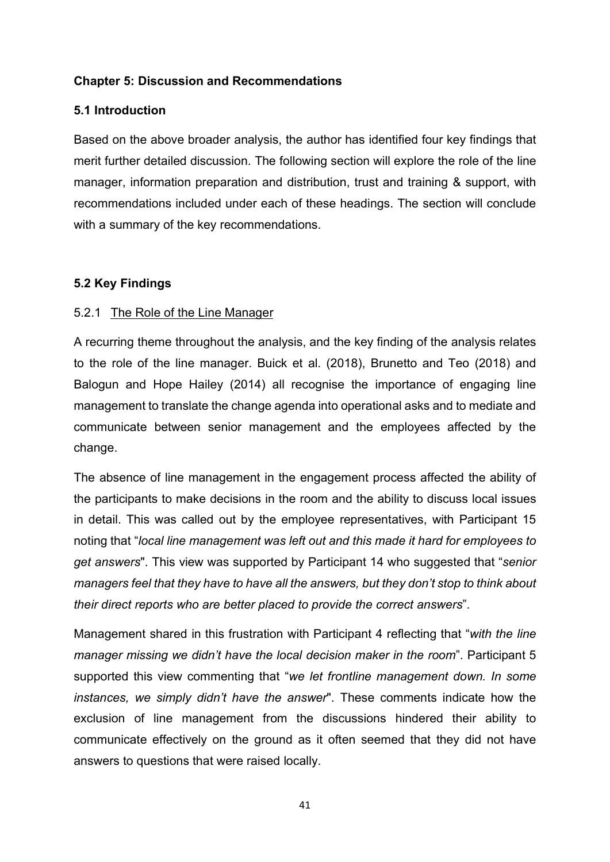## Chapter 5: Discussion and Recommendations

## 5.1 Introduction

Based on the above broader analysis, the author has identified four key findings that merit further detailed discussion. The following section will explore the role of the line manager, information preparation and distribution, trust and training & support, with recommendations included under each of these headings. The section will conclude with a summary of the key recommendations.

## 5.2 Key Findings

## 5.2.1 The Role of the Line Manager

A recurring theme throughout the analysis, and the key finding of the analysis relates to the role of the line manager. Buick et al. (2018), Brunetto and Teo (2018) and Balogun and Hope Hailey (2014) all recognise the importance of engaging line management to translate the change agenda into operational asks and to mediate and communicate between senior management and the employees affected by the change.

The absence of line management in the engagement process affected the ability of the participants to make decisions in the room and the ability to discuss local issues in detail. This was called out by the employee representatives, with Participant 15 noting that "local line management was left out and this made it hard for employees to get answers". This view was supported by Participant 14 who suggested that "senior managers feel that they have to have all the answers, but they don't stop to think about their direct reports who are better placed to provide the correct answers".

Management shared in this frustration with Participant 4 reflecting that "with the line manager missing we didn't have the local decision maker in the room". Participant 5 supported this view commenting that "we let frontline management down. In some instances, we simply didn't have the answer". These comments indicate how the exclusion of line management from the discussions hindered their ability to communicate effectively on the ground as it often seemed that they did not have answers to questions that were raised locally.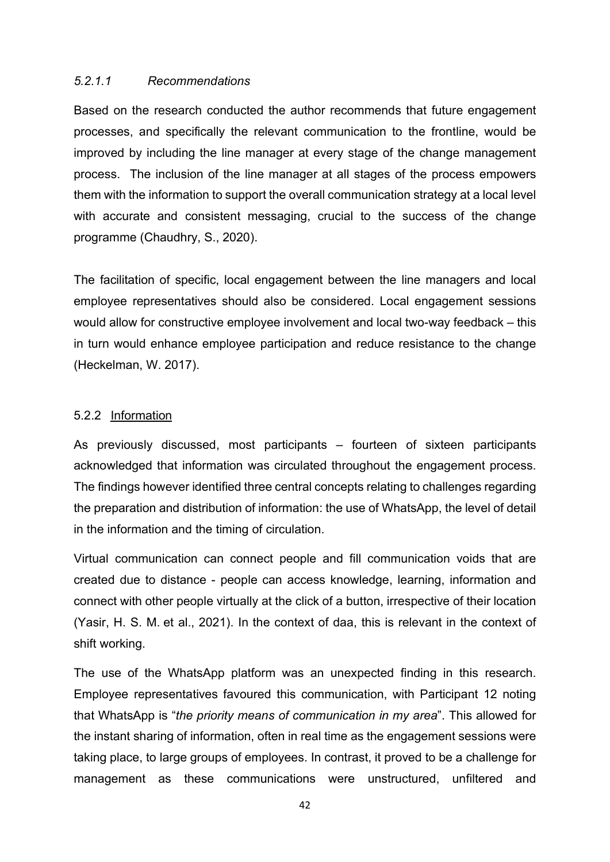## 5.2.1.1 Recommendations

Based on the research conducted the author recommends that future engagement processes, and specifically the relevant communication to the frontline, would be improved by including the line manager at every stage of the change management process. The inclusion of the line manager at all stages of the process empowers them with the information to support the overall communication strategy at a local level with accurate and consistent messaging, crucial to the success of the change programme (Chaudhry, S., 2020).

The facilitation of specific, local engagement between the line managers and local employee representatives should also be considered. Local engagement sessions would allow for constructive employee involvement and local two-way feedback – this in turn would enhance employee participation and reduce resistance to the change (Heckelman, W. 2017).

## 5.2.2 Information

As previously discussed, most participants – fourteen of sixteen participants acknowledged that information was circulated throughout the engagement process. The findings however identified three central concepts relating to challenges regarding the preparation and distribution of information: the use of WhatsApp, the level of detail in the information and the timing of circulation.

Virtual communication can connect people and fill communication voids that are created due to distance - people can access knowledge, learning, information and connect with other people virtually at the click of a button, irrespective of their location (Yasir, H. S. M. et al., 2021). In the context of daa, this is relevant in the context of shift working.

The use of the WhatsApp platform was an unexpected finding in this research. Employee representatives favoured this communication, with Participant 12 noting that WhatsApp is "the priority means of communication in my area". This allowed for the instant sharing of information, often in real time as the engagement sessions were taking place, to large groups of employees. In contrast, it proved to be a challenge for management as these communications were unstructured, unfiltered and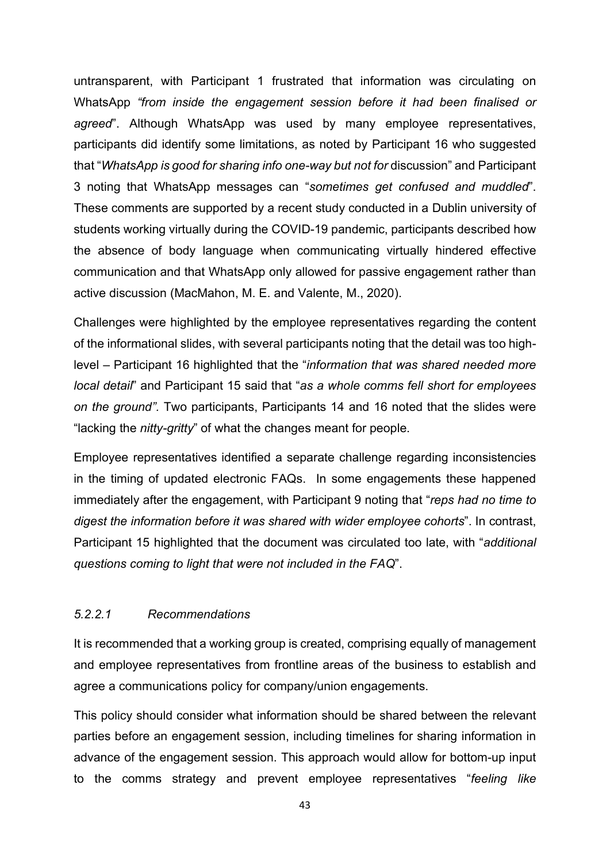untransparent, with Participant 1 frustrated that information was circulating on WhatsApp "from inside the engagement session before it had been finalised or agreed". Although WhatsApp was used by many employee representatives, participants did identify some limitations, as noted by Participant 16 who suggested that "WhatsApp is good for sharing info one-way but not for discussion" and Participant 3 noting that WhatsApp messages can "sometimes get confused and muddled". These comments are supported by a recent study conducted in a Dublin university of students working virtually during the COVID-19 pandemic, participants described how the absence of body language when communicating virtually hindered effective communication and that WhatsApp only allowed for passive engagement rather than active discussion (MacMahon, M. E. and Valente, M., 2020).

Challenges were highlighted by the employee representatives regarding the content of the informational slides, with several participants noting that the detail was too highlevel – Participant 16 highlighted that the "information that was shared needed more local detail" and Participant 15 said that "as a whole comms fell short for employees on the ground". Two participants, Participants 14 and 16 noted that the slides were "lacking the *nitty-gritty*" of what the changes meant for people.

Employee representatives identified a separate challenge regarding inconsistencies in the timing of updated electronic FAQs. In some engagements these happened immediately after the engagement, with Participant 9 noting that "reps had no time to digest the information before it was shared with wider employee cohorts". In contrast, Participant 15 highlighted that the document was circulated too late, with "additional questions coming to light that were not included in the FAQ".

## 5.2.2.1 Recommendations

It is recommended that a working group is created, comprising equally of management and employee representatives from frontline areas of the business to establish and agree a communications policy for company/union engagements.

This policy should consider what information should be shared between the relevant parties before an engagement session, including timelines for sharing information in advance of the engagement session. This approach would allow for bottom-up input to the comms strategy and prevent employee representatives "feeling like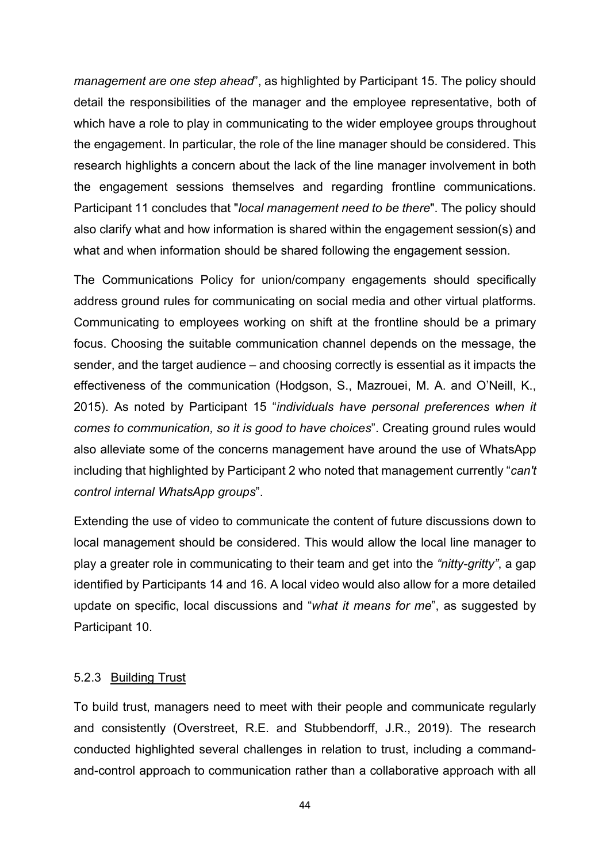management are one step ahead", as highlighted by Participant 15. The policy should detail the responsibilities of the manager and the employee representative, both of which have a role to play in communicating to the wider employee groups throughout the engagement. In particular, the role of the line manager should be considered. This research highlights a concern about the lack of the line manager involvement in both the engagement sessions themselves and regarding frontline communications. Participant 11 concludes that "local management need to be there". The policy should also clarify what and how information is shared within the engagement session(s) and what and when information should be shared following the engagement session.

The Communications Policy for union/company engagements should specifically address ground rules for communicating on social media and other virtual platforms. Communicating to employees working on shift at the frontline should be a primary focus. Choosing the suitable communication channel depends on the message, the sender, and the target audience – and choosing correctly is essential as it impacts the effectiveness of the communication (Hodgson, S., Mazrouei, M. A. and O'Neill, K., 2015). As noted by Participant 15 "individuals have personal preferences when it comes to communication, so it is good to have choices". Creating ground rules would also alleviate some of the concerns management have around the use of WhatsApp including that highlighted by Participant 2 who noted that management currently "can't control internal WhatsApp groups".

Extending the use of video to communicate the content of future discussions down to local management should be considered. This would allow the local line manager to play a greater role in communicating to their team and get into the "nitty-gritty", a gap identified by Participants 14 and 16. A local video would also allow for a more detailed update on specific, local discussions and "what it means for me", as suggested by Participant 10.

## 5.2.3 Building Trust

To build trust, managers need to meet with their people and communicate regularly and consistently (Overstreet, R.E. and Stubbendorff, J.R., 2019). The research conducted highlighted several challenges in relation to trust, including a commandand-control approach to communication rather than a collaborative approach with all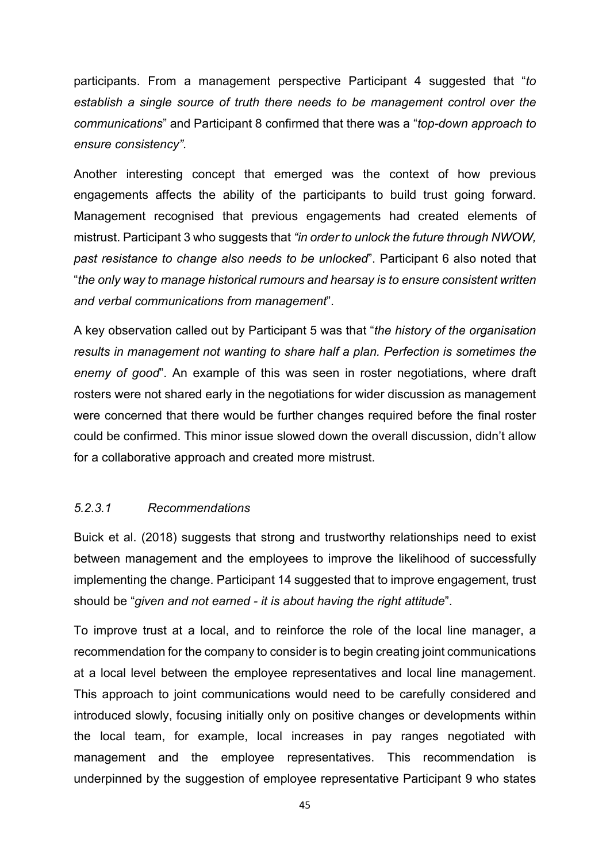participants. From a management perspective Participant 4 suggested that "to establish a single source of truth there needs to be management control over the communications" and Participant 8 confirmed that there was a "top-down approach to ensure consistency".

Another interesting concept that emerged was the context of how previous engagements affects the ability of the participants to build trust going forward. Management recognised that previous engagements had created elements of mistrust. Participant 3 who suggests that "in order to unlock the future through NWOW, past resistance to change also needs to be unlocked". Participant 6 also noted that "the only way to manage historical rumours and hearsay is to ensure consistent written and verbal communications from management".

A key observation called out by Participant 5 was that "the history of the organisation results in management not wanting to share half a plan. Perfection is sometimes the enemy of good". An example of this was seen in roster negotiations, where draft rosters were not shared early in the negotiations for wider discussion as management were concerned that there would be further changes required before the final roster could be confirmed. This minor issue slowed down the overall discussion, didn't allow for a collaborative approach and created more mistrust.

#### 5.2.3.1 Recommendations

Buick et al. (2018) suggests that strong and trustworthy relationships need to exist between management and the employees to improve the likelihood of successfully implementing the change. Participant 14 suggested that to improve engagement, trust should be "given and not earned - it is about having the right attitude".

To improve trust at a local, and to reinforce the role of the local line manager, a recommendation for the company to consider is to begin creating joint communications at a local level between the employee representatives and local line management. This approach to joint communications would need to be carefully considered and introduced slowly, focusing initially only on positive changes or developments within the local team, for example, local increases in pay ranges negotiated with management and the employee representatives. This recommendation is underpinned by the suggestion of employee representative Participant 9 who states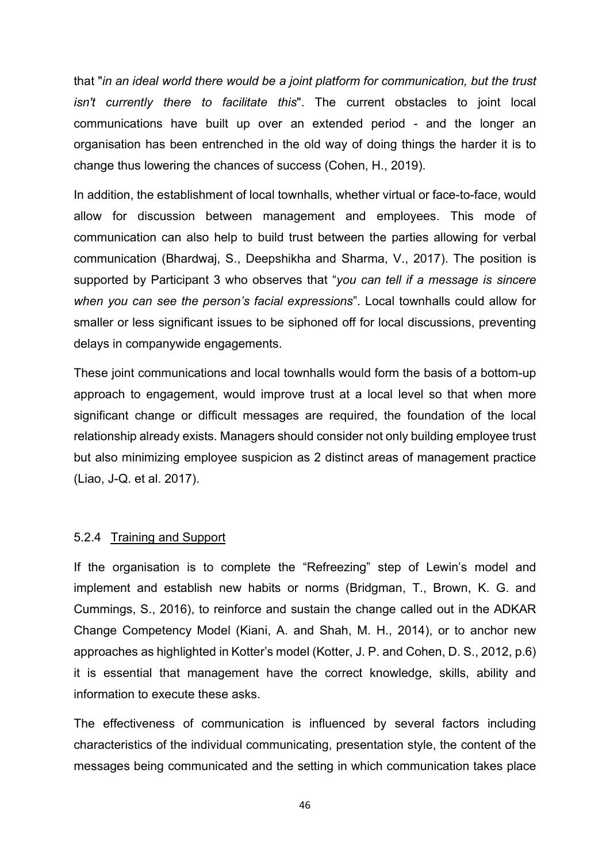that "in an ideal world there would be a joint platform for communication, but the trust isn't currently there to facilitate this". The current obstacles to joint local communications have built up over an extended period - and the longer an organisation has been entrenched in the old way of doing things the harder it is to change thus lowering the chances of success (Cohen, H., 2019).

In addition, the establishment of local townhalls, whether virtual or face-to-face, would allow for discussion between management and employees. This mode of communication can also help to build trust between the parties allowing for verbal communication (Bhardwaj, S., Deepshikha and Sharma, V., 2017). The position is supported by Participant 3 who observes that "you can tell if a message is sincere when you can see the person's facial expressions". Local townhalls could allow for smaller or less significant issues to be siphoned off for local discussions, preventing delays in companywide engagements.

These joint communications and local townhalls would form the basis of a bottom-up approach to engagement, would improve trust at a local level so that when more significant change or difficult messages are required, the foundation of the local relationship already exists. Managers should consider not only building employee trust but also minimizing employee suspicion as 2 distinct areas of management practice (Liao, J-Q. et al. 2017).

#### 5.2.4 Training and Support

If the organisation is to complete the "Refreezing" step of Lewin's model and implement and establish new habits or norms (Bridgman, T., Brown, K. G. and Cummings, S., 2016), to reinforce and sustain the change called out in the ADKAR Change Competency Model (Kiani, A. and Shah, M. H., 2014), or to anchor new approaches as highlighted in Kotter's model (Kotter, J. P. and Cohen, D. S., 2012, p.6) it is essential that management have the correct knowledge, skills, ability and information to execute these asks.

The effectiveness of communication is influenced by several factors including characteristics of the individual communicating, presentation style, the content of the messages being communicated and the setting in which communication takes place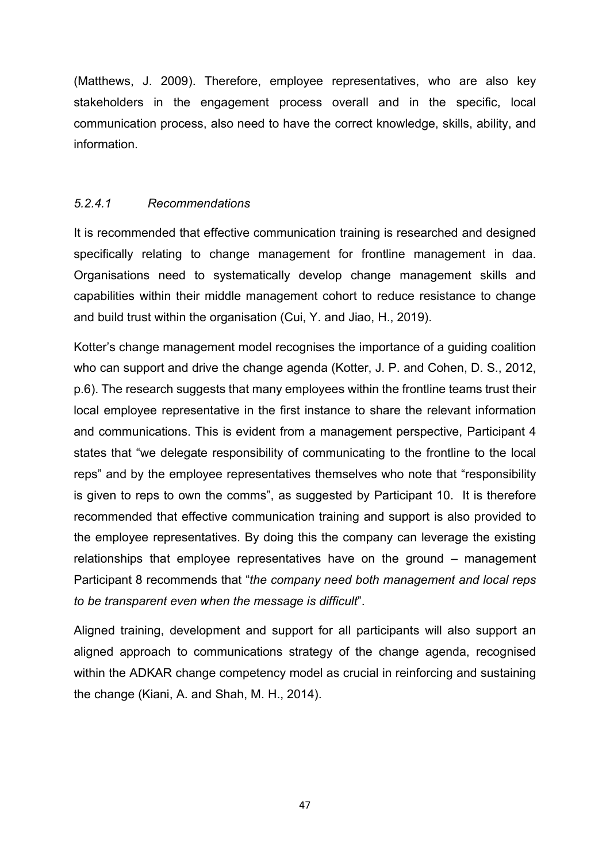(Matthews, J. 2009). Therefore, employee representatives, who are also key stakeholders in the engagement process overall and in the specific, local communication process, also need to have the correct knowledge, skills, ability, and information.

## 5.2.4.1 Recommendations

It is recommended that effective communication training is researched and designed specifically relating to change management for frontline management in daa. Organisations need to systematically develop change management skills and capabilities within their middle management cohort to reduce resistance to change and build trust within the organisation (Cui, Y. and Jiao, H., 2019).

Kotter's change management model recognises the importance of a guiding coalition who can support and drive the change agenda (Kotter, J. P. and Cohen, D. S., 2012, p.6). The research suggests that many employees within the frontline teams trust their local employee representative in the first instance to share the relevant information and communications. This is evident from a management perspective, Participant 4 states that "we delegate responsibility of communicating to the frontline to the local reps" and by the employee representatives themselves who note that "responsibility is given to reps to own the comms", as suggested by Participant 10. It is therefore recommended that effective communication training and support is also provided to the employee representatives. By doing this the company can leverage the existing relationships that employee representatives have on the ground – management Participant 8 recommends that "the company need both management and local reps to be transparent even when the message is difficult".

Aligned training, development and support for all participants will also support an aligned approach to communications strategy of the change agenda, recognised within the ADKAR change competency model as crucial in reinforcing and sustaining the change (Kiani, A. and Shah, M. H., 2014).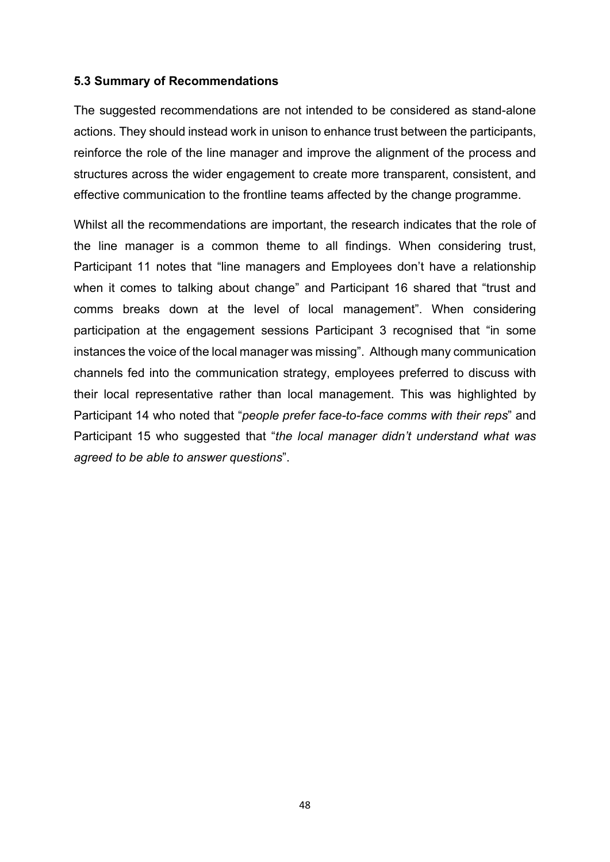#### 5.3 Summary of Recommendations

The suggested recommendations are not intended to be considered as stand-alone actions. They should instead work in unison to enhance trust between the participants, reinforce the role of the line manager and improve the alignment of the process and structures across the wider engagement to create more transparent, consistent, and effective communication to the frontline teams affected by the change programme.

Whilst all the recommendations are important, the research indicates that the role of the line manager is a common theme to all findings. When considering trust, Participant 11 notes that "line managers and Employees don't have a relationship when it comes to talking about change" and Participant 16 shared that "trust and comms breaks down at the level of local management". When considering participation at the engagement sessions Participant 3 recognised that "in some instances the voice of the local manager was missing". Although many communication channels fed into the communication strategy, employees preferred to discuss with their local representative rather than local management. This was highlighted by Participant 14 who noted that "people prefer face-to-face comms with their reps" and Participant 15 who suggested that "the local manager didn't understand what was agreed to be able to answer questions".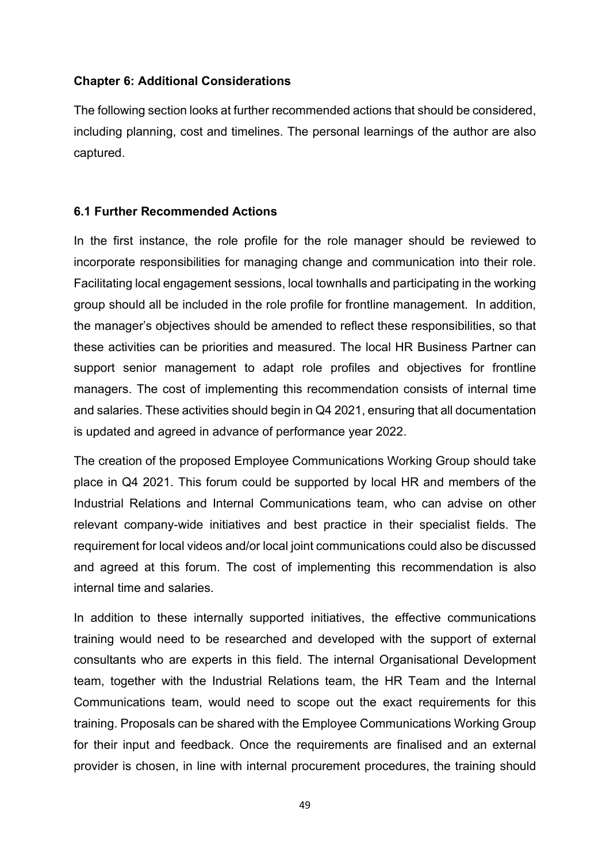## Chapter 6: Additional Considerations

The following section looks at further recommended actions that should be considered, including planning, cost and timelines. The personal learnings of the author are also captured.

## 6.1 Further Recommended Actions

In the first instance, the role profile for the role manager should be reviewed to incorporate responsibilities for managing change and communication into their role. Facilitating local engagement sessions, local townhalls and participating in the working group should all be included in the role profile for frontline management. In addition, the manager's objectives should be amended to reflect these responsibilities, so that these activities can be priorities and measured. The local HR Business Partner can support senior management to adapt role profiles and objectives for frontline managers. The cost of implementing this recommendation consists of internal time and salaries. These activities should begin in Q4 2021, ensuring that all documentation is updated and agreed in advance of performance year 2022.

The creation of the proposed Employee Communications Working Group should take place in Q4 2021. This forum could be supported by local HR and members of the Industrial Relations and Internal Communications team, who can advise on other relevant company-wide initiatives and best practice in their specialist fields. The requirement for local videos and/or local joint communications could also be discussed and agreed at this forum. The cost of implementing this recommendation is also internal time and salaries.

In addition to these internally supported initiatives, the effective communications training would need to be researched and developed with the support of external consultants who are experts in this field. The internal Organisational Development team, together with the Industrial Relations team, the HR Team and the Internal Communications team, would need to scope out the exact requirements for this training. Proposals can be shared with the Employee Communications Working Group for their input and feedback. Once the requirements are finalised and an external provider is chosen, in line with internal procurement procedures, the training should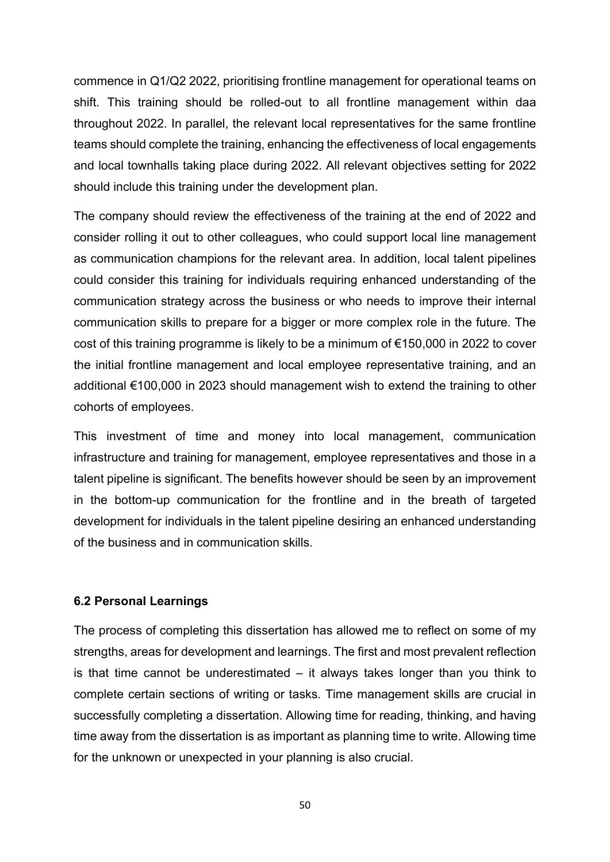commence in Q1/Q2 2022, prioritising frontline management for operational teams on shift. This training should be rolled-out to all frontline management within daa throughout 2022. In parallel, the relevant local representatives for the same frontline teams should complete the training, enhancing the effectiveness of local engagements and local townhalls taking place during 2022. All relevant objectives setting for 2022 should include this training under the development plan.

The company should review the effectiveness of the training at the end of 2022 and consider rolling it out to other colleagues, who could support local line management as communication champions for the relevant area. In addition, local talent pipelines could consider this training for individuals requiring enhanced understanding of the communication strategy across the business or who needs to improve their internal communication skills to prepare for a bigger or more complex role in the future. The cost of this training programme is likely to be a minimum of €150,000 in 2022 to cover the initial frontline management and local employee representative training, and an additional €100,000 in 2023 should management wish to extend the training to other cohorts of employees.

This investment of time and money into local management, communication infrastructure and training for management, employee representatives and those in a talent pipeline is significant. The benefits however should be seen by an improvement in the bottom-up communication for the frontline and in the breath of targeted development for individuals in the talent pipeline desiring an enhanced understanding of the business and in communication skills.

#### 6.2 Personal Learnings

The process of completing this dissertation has allowed me to reflect on some of my strengths, areas for development and learnings. The first and most prevalent reflection is that time cannot be underestimated  $-$  it always takes longer than you think to complete certain sections of writing or tasks. Time management skills are crucial in successfully completing a dissertation. Allowing time for reading, thinking, and having time away from the dissertation is as important as planning time to write. Allowing time for the unknown or unexpected in your planning is also crucial.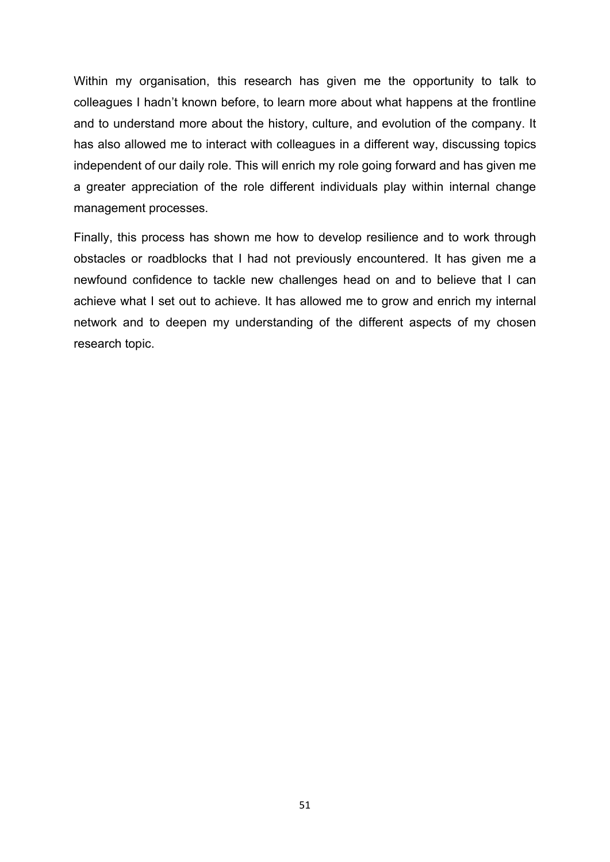Within my organisation, this research has given me the opportunity to talk to colleagues I hadn't known before, to learn more about what happens at the frontline and to understand more about the history, culture, and evolution of the company. It has also allowed me to interact with colleagues in a different way, discussing topics independent of our daily role. This will enrich my role going forward and has given me a greater appreciation of the role different individuals play within internal change management processes.

Finally, this process has shown me how to develop resilience and to work through obstacles or roadblocks that I had not previously encountered. It has given me a newfound confidence to tackle new challenges head on and to believe that I can achieve what I set out to achieve. It has allowed me to grow and enrich my internal network and to deepen my understanding of the different aspects of my chosen research topic.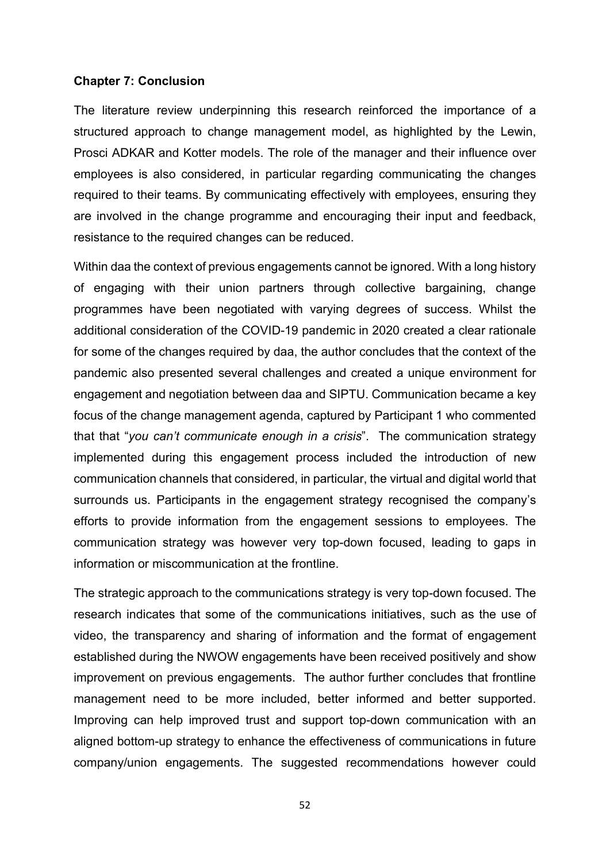#### Chapter 7: Conclusion

The literature review underpinning this research reinforced the importance of a structured approach to change management model, as highlighted by the Lewin, Prosci ADKAR and Kotter models. The role of the manager and their influence over employees is also considered, in particular regarding communicating the changes required to their teams. By communicating effectively with employees, ensuring they are involved in the change programme and encouraging their input and feedback, resistance to the required changes can be reduced.

Within daa the context of previous engagements cannot be ignored. With a long history of engaging with their union partners through collective bargaining, change programmes have been negotiated with varying degrees of success. Whilst the additional consideration of the COVID-19 pandemic in 2020 created a clear rationale for some of the changes required by daa, the author concludes that the context of the pandemic also presented several challenges and created a unique environment for engagement and negotiation between daa and SIPTU. Communication became a key focus of the change management agenda, captured by Participant 1 who commented that that "you can't communicate enough in a crisis". The communication strategy implemented during this engagement process included the introduction of new communication channels that considered, in particular, the virtual and digital world that surrounds us. Participants in the engagement strategy recognised the company's efforts to provide information from the engagement sessions to employees. The communication strategy was however very top-down focused, leading to gaps in information or miscommunication at the frontline.

The strategic approach to the communications strategy is very top-down focused. The research indicates that some of the communications initiatives, such as the use of video, the transparency and sharing of information and the format of engagement established during the NWOW engagements have been received positively and show improvement on previous engagements. The author further concludes that frontline management need to be more included, better informed and better supported. Improving can help improved trust and support top-down communication with an aligned bottom-up strategy to enhance the effectiveness of communications in future company/union engagements. The suggested recommendations however could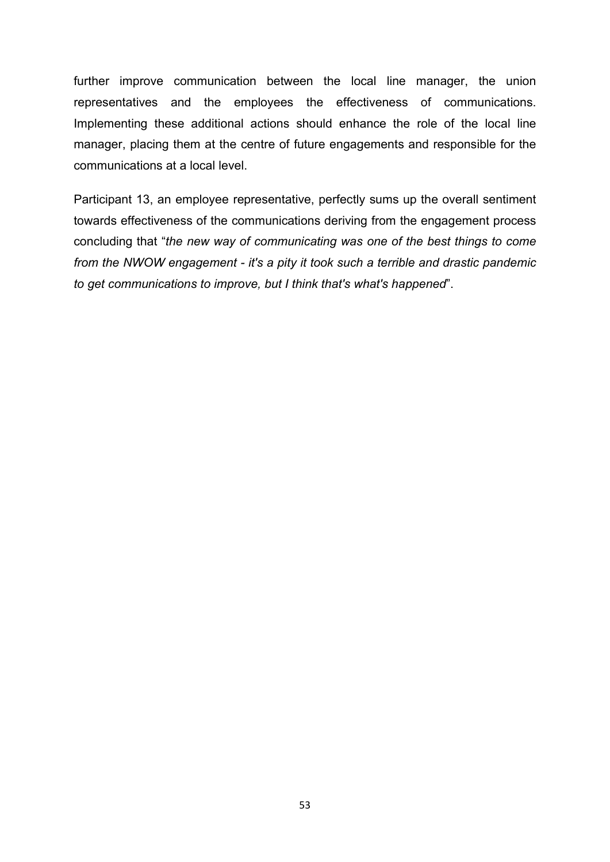further improve communication between the local line manager, the union representatives and the employees the effectiveness of communications. Implementing these additional actions should enhance the role of the local line manager, placing them at the centre of future engagements and responsible for the communications at a local level.

Participant 13, an employee representative, perfectly sums up the overall sentiment towards effectiveness of the communications deriving from the engagement process concluding that "the new way of communicating was one of the best things to come from the NWOW engagement - it's a pity it took such a terrible and drastic pandemic to get communications to improve, but I think that's what's happened".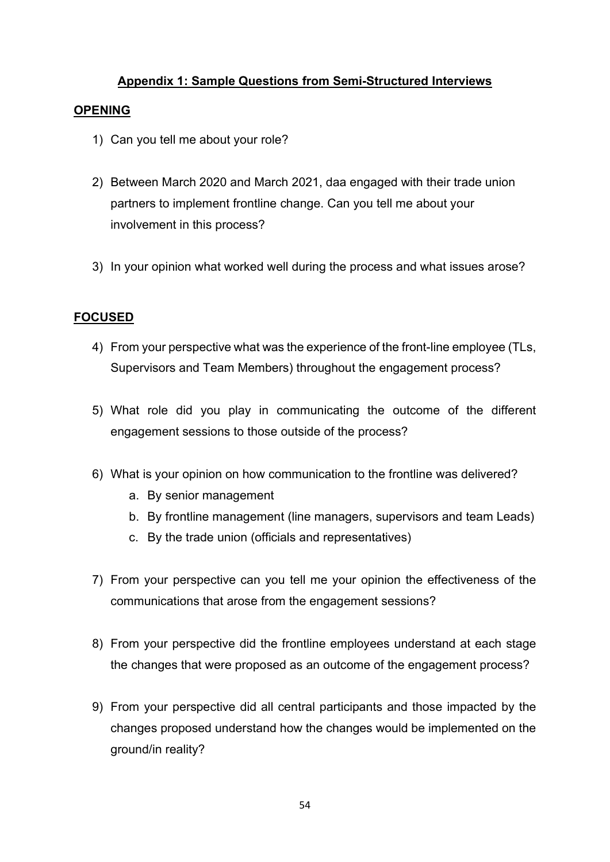## Appendix 1: Sample Questions from Semi-Structured Interviews

#### **OPENING**

- 1) Can you tell me about your role?
- 2) Between March 2020 and March 2021, daa engaged with their trade union partners to implement frontline change. Can you tell me about your involvement in this process?
- 3) In your opinion what worked well during the process and what issues arose?

## FOCUSED

- 4) From your perspective what was the experience of the front-line employee (TLs, Supervisors and Team Members) throughout the engagement process?
- 5) What role did you play in communicating the outcome of the different engagement sessions to those outside of the process?
- 6) What is your opinion on how communication to the frontline was delivered?
	- a. By senior management
	- b. By frontline management (line managers, supervisors and team Leads)
	- c. By the trade union (officials and representatives)
- 7) From your perspective can you tell me your opinion the effectiveness of the communications that arose from the engagement sessions?
- 8) From your perspective did the frontline employees understand at each stage the changes that were proposed as an outcome of the engagement process?
- 9) From your perspective did all central participants and those impacted by the changes proposed understand how the changes would be implemented on the ground/in reality?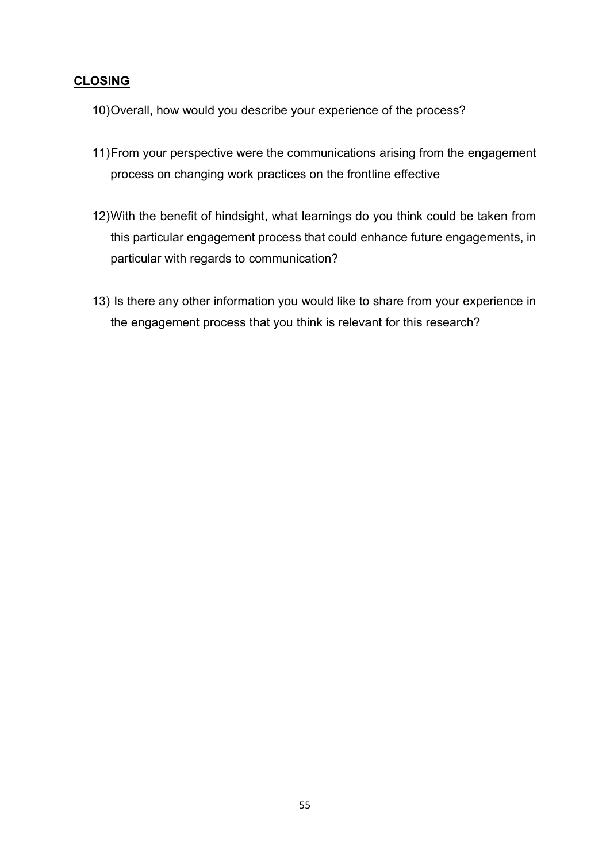# CLOSING

- 10) Overall, how would you describe your experience of the process?
- 11) From your perspective were the communications arising from the engagement process on changing work practices on the frontline effective
- 12) With the benefit of hindsight, what learnings do you think could be taken from this particular engagement process that could enhance future engagements, in particular with regards to communication?
- 13) Is there any other information you would like to share from your experience in the engagement process that you think is relevant for this research?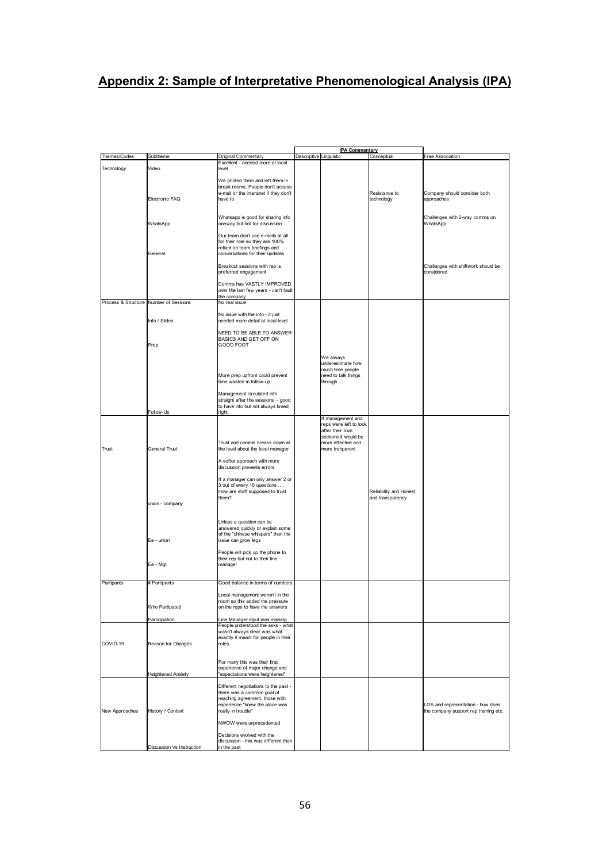# Appendix 2: Sample of Interpretative Phenomenological Analysis (IPA)

|                                        |                           |                                                                        |                        | <b>IPA Commentary</b>  |                        |                                       |
|----------------------------------------|---------------------------|------------------------------------------------------------------------|------------------------|------------------------|------------------------|---------------------------------------|
| Themes/Codes                           | Subtheme                  | Original Commentary                                                    | Descriptive Linguistic |                        | Conceptual             | Free Association                      |
|                                        |                           | Excellent - needed more at local                                       |                        |                        |                        |                                       |
| Technology                             | Video                     | level                                                                  |                        |                        |                        |                                       |
|                                        |                           |                                                                        |                        |                        |                        |                                       |
|                                        |                           | We printed them and left them in                                       |                        |                        |                        |                                       |
|                                        |                           | break rooms. People don't access                                       |                        |                        |                        |                                       |
|                                        |                           | e-mail or the interanet if they don't                                  |                        |                        | Resistance to          | Company should consider both          |
|                                        | Electronic FAQ            | have to                                                                |                        |                        | technology             | approaches                            |
|                                        |                           |                                                                        |                        |                        |                        |                                       |
|                                        |                           | Whatsapp is good for sharing info                                      |                        |                        |                        | Challenges with 2-way comms on        |
|                                        | WhatsApp                  | oneway but not for discussion                                          |                        |                        |                        | WhatsApp                              |
|                                        |                           |                                                                        |                        |                        |                        |                                       |
|                                        |                           | Our team don't use e-mails at all                                      |                        |                        |                        |                                       |
|                                        |                           | for their role so they are 100%                                        |                        |                        |                        |                                       |
|                                        |                           | reliant on team briefings and                                          |                        |                        |                        |                                       |
|                                        | General                   | conversations for their updates.                                       |                        |                        |                        |                                       |
|                                        |                           |                                                                        |                        |                        |                        |                                       |
|                                        |                           | Breakout sessions with rep is                                          |                        |                        |                        | Challenges with shiftwork should be   |
|                                        |                           | preferred engagement                                                   |                        |                        |                        | considered                            |
|                                        |                           |                                                                        |                        |                        |                        |                                       |
|                                        |                           | Comms has VASTLY IMPROVED                                              |                        |                        |                        |                                       |
|                                        |                           | over the last few years - can't fault                                  |                        |                        |                        |                                       |
|                                        |                           | the company                                                            |                        |                        |                        |                                       |
| Process & Structure Number of Sessions |                           | No real issue                                                          |                        |                        |                        |                                       |
|                                        |                           | No issue with the info - it just                                       |                        |                        |                        |                                       |
|                                        | Info / Slides             | needed more detail at local level                                      |                        |                        |                        |                                       |
|                                        |                           |                                                                        |                        |                        |                        |                                       |
|                                        |                           | NEED TO BE ABLE TO ANSWER                                              |                        |                        |                        |                                       |
|                                        |                           | BASICS AND GET OFF ON                                                  |                        |                        |                        |                                       |
|                                        | Prep                      | GOOD FOOT                                                              |                        |                        |                        |                                       |
|                                        |                           |                                                                        |                        |                        |                        |                                       |
|                                        |                           |                                                                        |                        | We always              |                        |                                       |
|                                        |                           |                                                                        |                        | underestimate how      |                        |                                       |
|                                        |                           |                                                                        |                        | much time people       |                        |                                       |
|                                        |                           | More prep upfront could prevent                                        |                        | need to talk things    |                        |                                       |
|                                        |                           | time wasted in follow-up                                               |                        | through                |                        |                                       |
|                                        |                           |                                                                        |                        |                        |                        |                                       |
|                                        |                           | Management circulated info                                             |                        |                        |                        |                                       |
|                                        |                           | straight after the sessions - good                                     |                        |                        |                        |                                       |
|                                        |                           | to have info but not always timed                                      |                        |                        |                        |                                       |
|                                        | Follow-Up                 | right                                                                  |                        | If management and      |                        |                                       |
|                                        |                           |                                                                        |                        | reps were left to look |                        |                                       |
|                                        |                           |                                                                        |                        | after their own        |                        |                                       |
|                                        |                           |                                                                        |                        | sections it would be   |                        |                                       |
|                                        |                           | Trust and comms breaks down at                                         |                        | more effective and     |                        |                                       |
| Trust                                  | General Trust             | the level about the local manager                                      |                        | more tranparent        |                        |                                       |
|                                        |                           |                                                                        |                        |                        |                        |                                       |
|                                        |                           | A softer approach with more                                            |                        |                        |                        |                                       |
|                                        |                           | discussion prevents errors                                             |                        |                        |                        |                                       |
|                                        |                           |                                                                        |                        |                        |                        |                                       |
|                                        |                           | If a manager can only answer 2 or                                      |                        |                        |                        |                                       |
|                                        |                           | 3 out of every 10 questions                                            |                        |                        |                        |                                       |
|                                        |                           | How are staff supposed to trust                                        |                        |                        | Reliability and Honest |                                       |
|                                        |                           | them?                                                                  |                        |                        | and transparency       |                                       |
|                                        | union - company           |                                                                        |                        |                        |                        |                                       |
|                                        |                           |                                                                        |                        |                        |                        |                                       |
|                                        |                           |                                                                        |                        |                        |                        |                                       |
|                                        |                           | Unless a question can be                                               |                        |                        |                        |                                       |
|                                        |                           | answered quickly or explain some<br>of the "chinese whispers" then the |                        |                        |                        |                                       |
|                                        | Ee - union                | issue can grow legs                                                    |                        |                        |                        |                                       |
|                                        |                           |                                                                        |                        |                        |                        |                                       |
|                                        |                           | People will pick up the phone to                                       |                        |                        |                        |                                       |
|                                        |                           | their rep but not to their line                                        |                        |                        |                        |                                       |
|                                        | Ee - Mgt                  | manager                                                                |                        |                        |                        |                                       |
|                                        |                           |                                                                        |                        |                        |                        |                                       |
|                                        |                           |                                                                        |                        |                        |                        |                                       |
| Partipants                             | # Partipants              | Good balance in terms of numbers                                       |                        |                        |                        |                                       |
|                                        |                           |                                                                        |                        |                        |                        |                                       |
|                                        |                           | Local management weren't in the                                        |                        |                        |                        |                                       |
|                                        |                           | room so this added the pressure                                        |                        |                        |                        |                                       |
|                                        | Who Partipated            | on the reps to have the answers                                        |                        |                        |                        |                                       |
|                                        |                           |                                                                        |                        |                        |                        |                                       |
|                                        | Participation             | Line Manager input was missing<br>People understood the asks - what    |                        |                        |                        |                                       |
|                                        |                           | wasn't always clear was what                                           |                        |                        |                        |                                       |
|                                        |                           | exactly it meant for people in their                                   |                        |                        |                        |                                       |
| COVID-19                               | Reason for Changes        | roles.                                                                 |                        |                        |                        |                                       |
|                                        |                           |                                                                        |                        |                        |                        |                                       |
|                                        |                           |                                                                        |                        |                        |                        |                                       |
|                                        |                           | For many this was their first                                          |                        |                        |                        |                                       |
|                                        |                           | experience of major change and                                         |                        |                        |                        |                                       |
|                                        | <b>Heightened Anxiety</b> | "expectations were heightened"                                         |                        |                        |                        |                                       |
|                                        |                           |                                                                        |                        |                        |                        |                                       |
|                                        |                           | Different negotiations to the past -<br>there was a common goal of     |                        |                        |                        |                                       |
|                                        |                           | reaching agreement, those with                                         |                        |                        |                        |                                       |
|                                        |                           | experience "knew the place was                                         |                        |                        |                        | LOS and representation - how does     |
| New Approaches                         | History / Context         | really in trouble"                                                     |                        |                        |                        | the company support rep training etc. |
|                                        |                           |                                                                        |                        |                        |                        |                                       |
|                                        |                           | NWOW were unprecedented                                                |                        |                        |                        |                                       |
|                                        |                           |                                                                        |                        |                        |                        |                                       |
|                                        |                           | Decisions evolved with the                                             |                        |                        |                        |                                       |
|                                        |                           | discussion - this was different than                                   |                        |                        |                        |                                       |
|                                        | Discussion Vs Instruction | in the past                                                            |                        |                        |                        |                                       |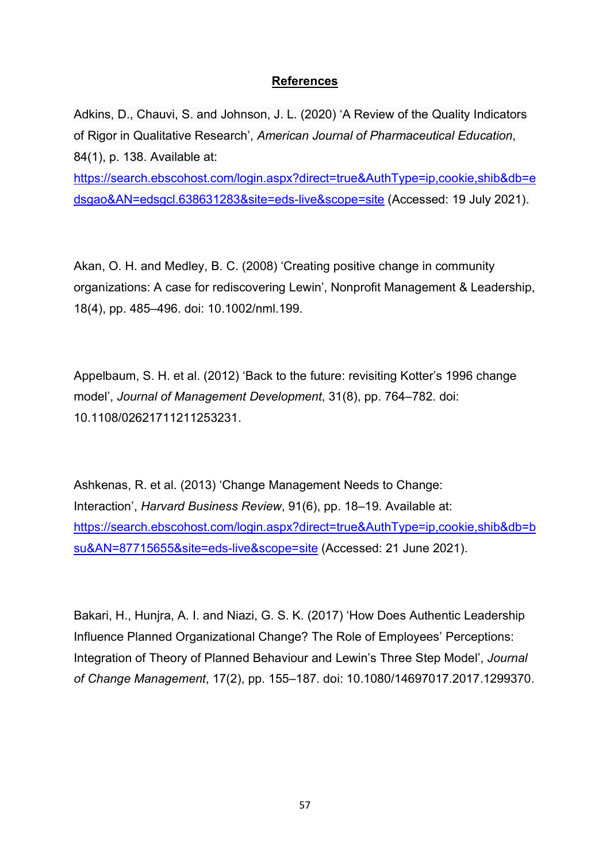## References

Adkins, D., Chauvi, S. and Johnson, J. L. (2020) 'A Review of the Quality Indicators of Rigor in Qualitative Research', American Journal of Pharmaceutical Education, 84(1), p. 138. Available at:

https://search.ebscohost.com/login.aspx?direct=true&AuthType=ip,cookie,shib&db=e dsgao&AN=edsgcl.638631283&site=eds-live&scope=site (Accessed: 19 July 2021).

Akan, O. H. and Medley, B. C. (2008) 'Creating positive change in community organizations: A case for rediscovering Lewin', Nonprofit Management & Leadership, 18(4), pp. 485–496. doi: 10.1002/nml.199.

Appelbaum, S. H. et al. (2012) 'Back to the future: revisiting Kotter's 1996 change model', Journal of Management Development, 31(8), pp. 764–782. doi: 10.1108/02621711211253231.

Ashkenas, R. et al. (2013) 'Change Management Needs to Change: Interaction', Harvard Business Review, 91(6), pp. 18-19. Available at: https://search.ebscohost.com/login.aspx?direct=true&AuthType=ip,cookie,shib&db=b su&AN=87715655&site=eds-live&scope=site (Accessed: 21 June 2021).

Bakari, H., Hunjra, A. I. and Niazi, G. S. K. (2017) 'How Does Authentic Leadership Influence Planned Organizational Change? The Role of Employees' Perceptions: Integration of Theory of Planned Behaviour and Lewin's Three Step Model', Journal of Change Management, 17(2), pp. 155–187. doi: 10.1080/14697017.2017.1299370.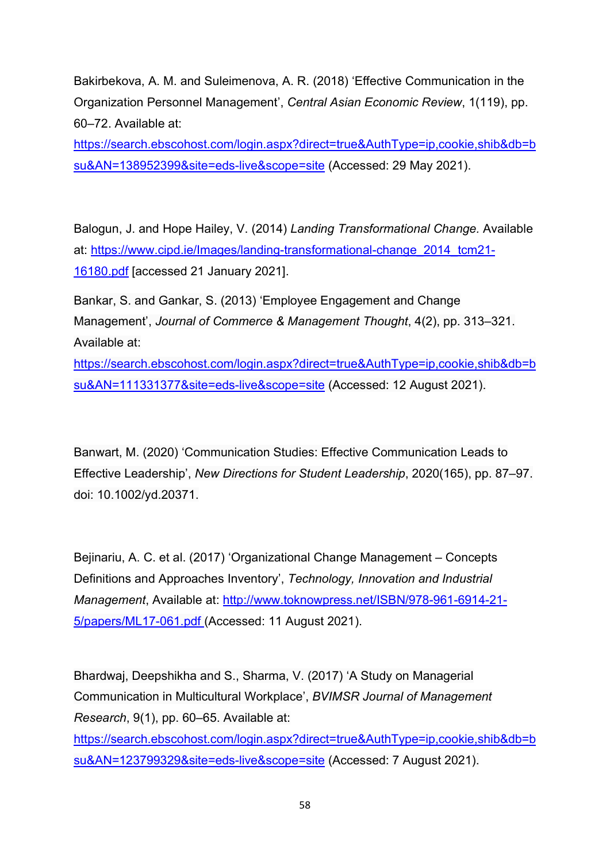Bakirbekova, A. M. and Suleimenova, A. R. (2018) 'Effective Communication in the Organization Personnel Management', Central Asian Economic Review, 1(119), pp. 60–72. Available at:

https://search.ebscohost.com/login.aspx?direct=true&AuthType=ip,cookie,shib&db=b su&AN=138952399&site=eds-live&scope=site (Accessed: 29 May 2021).

Balogun, J. and Hope Hailey, V. (2014) Landing Transformational Change. Available at: https://www.cipd.ie/Images/landing-transformational-change\_2014\_tcm21- 16180.pdf [accessed 21 January 2021].

Bankar, S. and Gankar, S. (2013) 'Employee Engagement and Change Management', Journal of Commerce & Management Thought, 4(2), pp. 313–321. Available at:

https://search.ebscohost.com/login.aspx?direct=true&AuthType=ip,cookie,shib&db=b su&AN=111331377&site=eds-live&scope=site (Accessed: 12 August 2021).

Banwart, M. (2020) 'Communication Studies: Effective Communication Leads to Effective Leadership', New Directions for Student Leadership, 2020(165), pp. 87–97. doi: 10.1002/yd.20371.

Bejinariu, A. C. et al. (2017) 'Organizational Change Management – Concepts Definitions and Approaches Inventory', Technology, Innovation and Industrial Management, Available at: http://www.toknowpress.net/ISBN/978-961-6914-21- 5/papers/ML17-061.pdf (Accessed: 11 August 2021).

Bhardwaj, Deepshikha and S., Sharma, V. (2017) 'A Study on Managerial Communication in Multicultural Workplace', BVIMSR Journal of Management Research, 9(1), pp. 60–65. Available at: https://search.ebscohost.com/login.aspx?direct=true&AuthType=ip,cookie,shib&db=b su&AN=123799329&site=eds-live&scope=site (Accessed: 7 August 2021).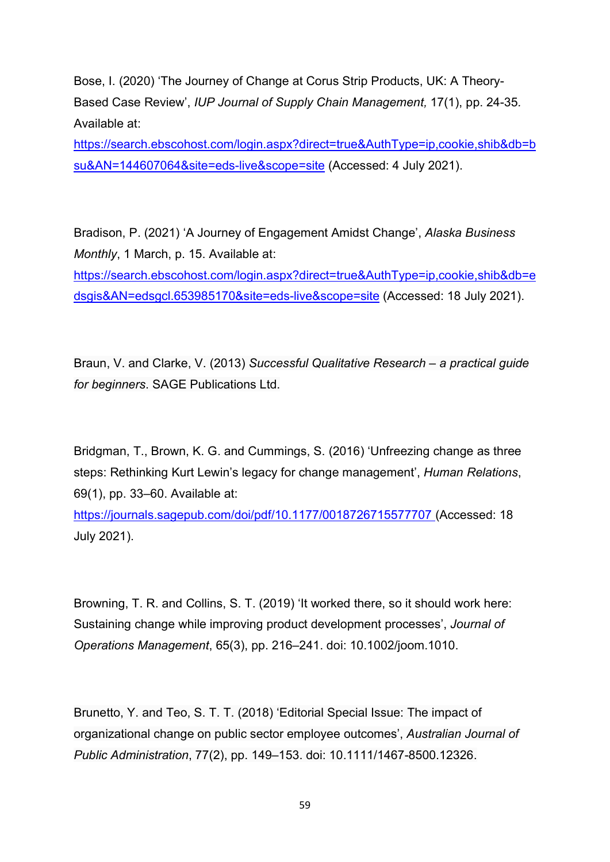Bose, I. (2020) 'The Journey of Change at Corus Strip Products, UK: A Theory-Based Case Review', IUP Journal of Supply Chain Management, 17(1), pp. 24-35. Available at:

https://search.ebscohost.com/login.aspx?direct=true&AuthType=ip,cookie,shib&db=b su&AN=144607064&site=eds-live&scope=site (Accessed: 4 July 2021).

Bradison, P. (2021) 'A Journey of Engagement Amidst Change', Alaska Business Monthly, 1 March, p. 15. Available at: https://search.ebscohost.com/login.aspx?direct=true&AuthType=ip,cookie,shib&db=e dsgis&AN=edsgcl.653985170&site=eds-live&scope=site (Accessed: 18 July 2021).

Braun, V. and Clarke, V. (2013) Successful Qualitative Research – a practical guide for beginners. SAGE Publications Ltd.

Bridgman, T., Brown, K. G. and Cummings, S. (2016) 'Unfreezing change as three steps: Rethinking Kurt Lewin's legacy for change management', Human Relations, 69(1), pp. 33–60. Available at:

https://journals.sagepub.com/doi/pdf/10.1177/0018726715577707 (Accessed: 18 July 2021).

Browning, T. R. and Collins, S. T. (2019) 'It worked there, so it should work here: Sustaining change while improving product development processes', Journal of Operations Management, 65(3), pp. 216–241. doi: 10.1002/joom.1010.

Brunetto, Y. and Teo, S. T. T. (2018) 'Editorial Special Issue: The impact of organizational change on public sector employee outcomes', Australian Journal of Public Administration, 77(2), pp. 149–153. doi: 10.1111/1467-8500.12326.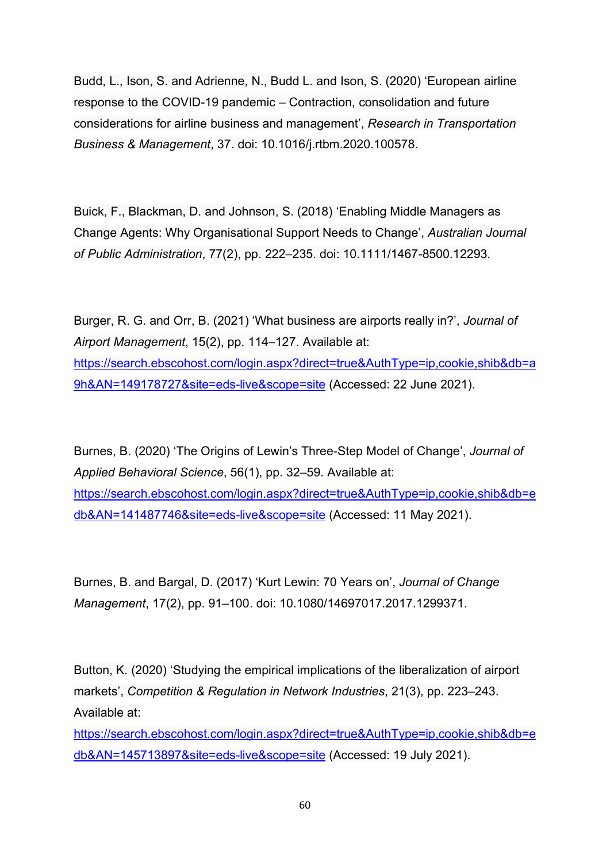Budd, L., Ison, S. and Adrienne, N., Budd L. and Ison, S. (2020) 'European airline response to the COVID-19 pandemic – Contraction, consolidation and future considerations for airline business and management', Research in Transportation Business & Management, 37. doi: 10.1016/j.rtbm.2020.100578.

Buick, F., Blackman, D. and Johnson, S. (2018) 'Enabling Middle Managers as Change Agents: Why Organisational Support Needs to Change', Australian Journal of Public Administration, 77(2), pp. 222–235. doi: 10.1111/1467-8500.12293.

Burger, R. G. and Orr, B. (2021) 'What business are airports really in?', Journal of Airport Management, 15(2), pp. 114–127. Available at: https://search.ebscohost.com/login.aspx?direct=true&AuthType=ip,cookie,shib&db=a 9h&AN=149178727&site=eds-live&scope=site (Accessed: 22 June 2021).

Burnes, B. (2020) 'The Origins of Lewin's Three-Step Model of Change', Journal of Applied Behavioral Science, 56(1), pp. 32–59. Available at: https://search.ebscohost.com/login.aspx?direct=true&AuthType=ip,cookie,shib&db=e db&AN=141487746&site=eds-live&scope=site (Accessed: 11 May 2021).

Burnes, B. and Bargal, D. (2017) 'Kurt Lewin: 70 Years on', Journal of Change Management, 17(2), pp. 91–100. doi: 10.1080/14697017.2017.1299371.

Button, K. (2020) 'Studying the empirical implications of the liberalization of airport markets', Competition & Regulation in Network Industries, 21(3), pp. 223–243. Available at:

https://search.ebscohost.com/login.aspx?direct=true&AuthType=ip,cookie,shib&db=e db&AN=145713897&site=eds-live&scope=site (Accessed: 19 July 2021).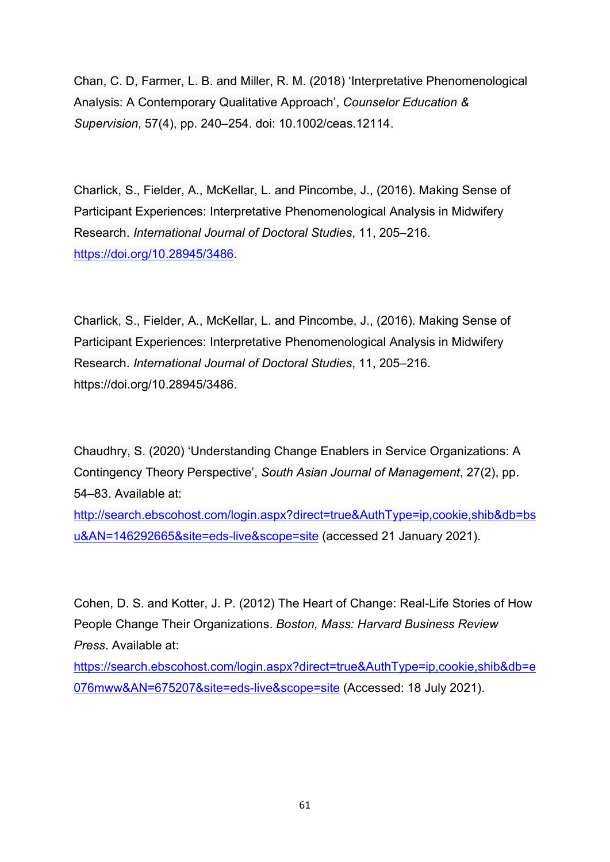Chan, C. D, Farmer, L. B. and Miller, R. M. (2018) 'Interpretative Phenomenological Analysis: A Contemporary Qualitative Approach', Counselor Education & Supervision, 57(4), pp. 240–254. doi: 10.1002/ceas.12114.

Charlick, S., Fielder, A., McKellar, L. and Pincombe, J., (2016). Making Sense of Participant Experiences: Interpretative Phenomenological Analysis in Midwifery Research. International Journal of Doctoral Studies, 11, 205–216. https://doi.org/10.28945/3486.

Charlick, S., Fielder, A., McKellar, L. and Pincombe, J., (2016). Making Sense of Participant Experiences: Interpretative Phenomenological Analysis in Midwifery Research. International Journal of Doctoral Studies, 11, 205–216. https://doi.org/10.28945/3486.

Chaudhry, S. (2020) 'Understanding Change Enablers in Service Organizations: A Contingency Theory Perspective', South Asian Journal of Management, 27(2), pp. 54–83. Available at:

http://search.ebscohost.com/login.aspx?direct=true&AuthType=ip,cookie,shib&db=bs u&AN=146292665&site=eds-live&scope=site (accessed 21 January 2021).

Cohen, D. S. and Kotter, J. P. (2012) The Heart of Change: Real-Life Stories of How People Change Their Organizations. Boston, Mass: Harvard Business Review Press. Available at:

https://search.ebscohost.com/login.aspx?direct=true&AuthType=ip,cookie,shib&db=e 076mww&AN=675207&site=eds-live&scope=site (Accessed: 18 July 2021).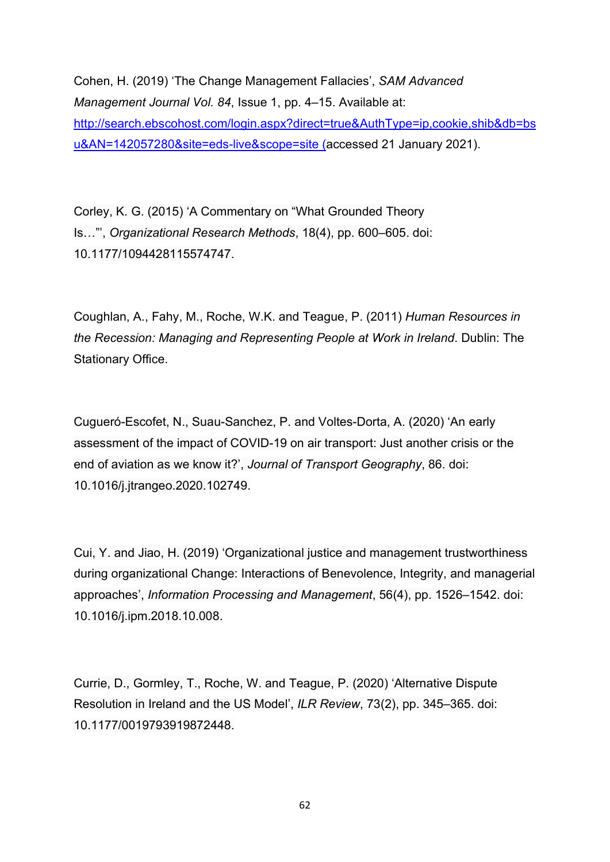Cohen, H. (2019) 'The Change Management Fallacies', SAM Advanced Management Journal Vol. 84, Issue 1, pp. 4–15. Available at: http://search.ebscohost.com/login.aspx?direct=true&AuthType=ip,cookie,shib&db=bs u&AN=142057280&site=eds-live&scope=site (accessed 21 January 2021).

Corley, K. G. (2015) 'A Commentary on "What Grounded Theory Is…"', Organizational Research Methods, 18(4), pp. 600–605. doi: 10.1177/1094428115574747.

Coughlan, A., Fahy, M., Roche, W.K. and Teague, P. (2011) Human Resources in the Recession: Managing and Representing People at Work in Ireland. Dublin: The Stationary Office.

Cugueró-Escofet, N., Suau-Sanchez, P. and Voltes-Dorta, A. (2020) 'An early assessment of the impact of COVID-19 on air transport: Just another crisis or the end of aviation as we know it?', Journal of Transport Geography, 86. doi: 10.1016/j.jtrangeo.2020.102749.

Cui, Y. and Jiao, H. (2019) 'Organizational justice and management trustworthiness during organizational Change: Interactions of Benevolence, Integrity, and managerial approaches', Information Processing and Management, 56(4), pp. 1526–1542. doi: 10.1016/j.ipm.2018.10.008.

Currie, D., Gormley, T., Roche, W. and Teague, P. (2020) 'Alternative Dispute Resolution in Ireland and the US Model', ILR Review, 73(2), pp. 345–365. doi: 10.1177/0019793919872448.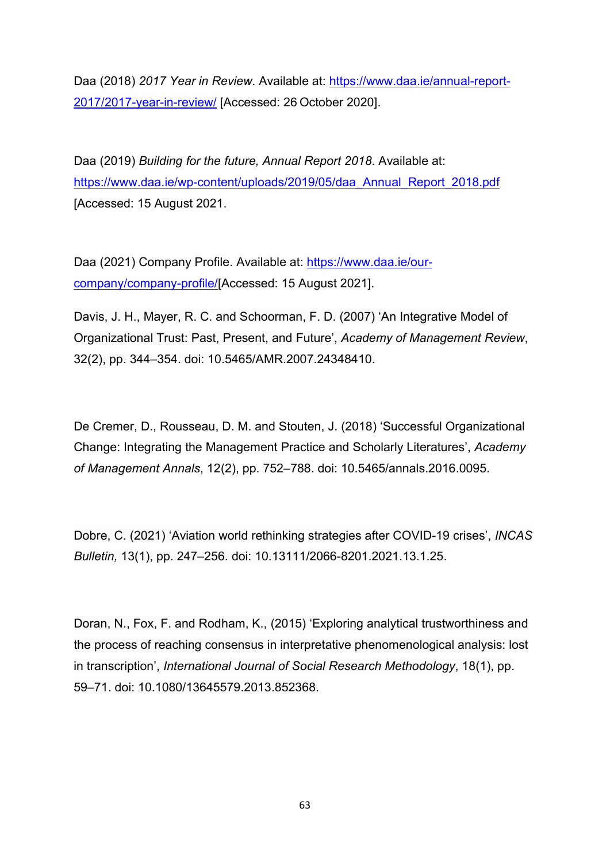Daa (2018) 2017 Year in Review. Available at: https://www.daa.ie/annual-report-2017/2017-year-in-review/ [Accessed: 26 October 2020].

Daa (2019) Building for the future, Annual Report 2018. Available at: https://www.daa.ie/wp-content/uploads/2019/05/daa\_Annual\_Report\_2018.pdf [Accessed: 15 August 2021.

Daa (2021) Company Profile. Available at: https://www.daa.ie/ourcompany/company-profile/[Accessed: 15 August 2021].

Davis, J. H., Mayer, R. C. and Schoorman, F. D. (2007) 'An Integrative Model of Organizational Trust: Past, Present, and Future', Academy of Management Review, 32(2), pp. 344–354. doi: 10.5465/AMR.2007.24348410.

De Cremer, D., Rousseau, D. M. and Stouten, J. (2018) 'Successful Organizational Change: Integrating the Management Practice and Scholarly Literatures', Academy of Management Annals, 12(2), pp. 752–788. doi: 10.5465/annals.2016.0095.

Dobre, C. (2021) 'Aviation world rethinking strategies after COVID-19 crises', INCAS Bulletin, 13(1), pp. 247–256. doi: 10.13111/2066-8201.2021.13.1.25.

Doran, N., Fox, F. and Rodham, K., (2015) 'Exploring analytical trustworthiness and the process of reaching consensus in interpretative phenomenological analysis: lost in transcription', International Journal of Social Research Methodology, 18(1), pp. 59–71. doi: 10.1080/13645579.2013.852368.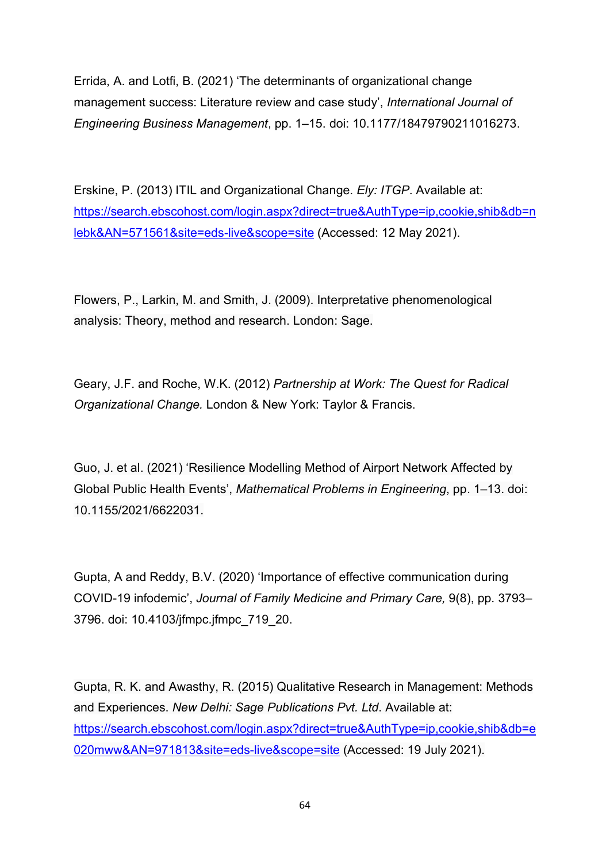Errida, A. and Lotfi, B. (2021) 'The determinants of organizational change management success: Literature review and case study', International Journal of Engineering Business Management, pp. 1–15. doi: 10.1177/18479790211016273.

Erskine, P. (2013) ITIL and Organizational Change. Ely: ITGP. Available at: https://search.ebscohost.com/login.aspx?direct=true&AuthType=ip,cookie,shib&db=n lebk&AN=571561&site=eds-live&scope=site (Accessed: 12 May 2021).

Flowers, P., Larkin, M. and Smith, J. (2009). Interpretative phenomenological analysis: Theory, method and research. London: Sage.

Geary, J.F. and Roche, W.K. (2012) Partnership at Work: The Quest for Radical Organizational Change. London & New York: Taylor & Francis.

Guo, J. et al. (2021) 'Resilience Modelling Method of Airport Network Affected by Global Public Health Events', Mathematical Problems in Engineering, pp. 1–13. doi: 10.1155/2021/6622031.

Gupta, A and Reddy, B.V. (2020) 'Importance of effective communication during COVID-19 infodemic', Journal of Family Medicine and Primary Care, 9(8), pp. 3793– 3796. doi: 10.4103/jfmpc.jfmpc\_719\_20.

Gupta, R. K. and Awasthy, R. (2015) Qualitative Research in Management: Methods and Experiences. New Delhi: Sage Publications Pvt. Ltd. Available at: https://search.ebscohost.com/login.aspx?direct=true&AuthType=ip,cookie,shib&db=e 020mww&AN=971813&site=eds-live&scope=site (Accessed: 19 July 2021).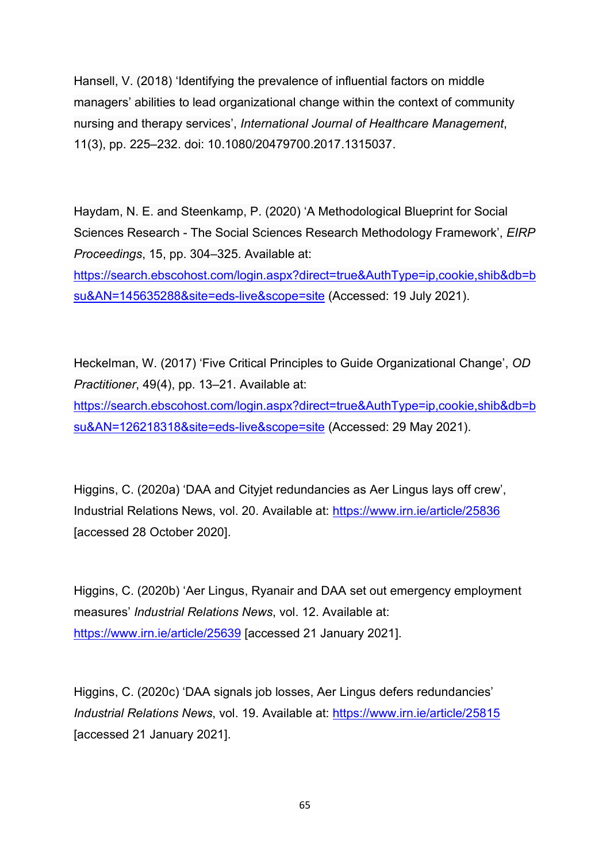Hansell, V. (2018) 'Identifying the prevalence of influential factors on middle managers' abilities to lead organizational change within the context of community nursing and therapy services', International Journal of Healthcare Management, 11(3), pp. 225–232. doi: 10.1080/20479700.2017.1315037.

Haydam, N. E. and Steenkamp, P. (2020) 'A Methodological Blueprint for Social Sciences Research - The Social Sciences Research Methodology Framework', EIRP Proceedings, 15, pp. 304–325. Available at:

https://search.ebscohost.com/login.aspx?direct=true&AuthType=ip,cookie,shib&db=b su&AN=145635288&site=eds-live&scope=site (Accessed: 19 July 2021).

Heckelman, W. (2017) 'Five Critical Principles to Guide Organizational Change', OD Practitioner, 49(4), pp. 13–21. Available at: https://search.ebscohost.com/login.aspx?direct=true&AuthType=ip,cookie,shib&db=b su&AN=126218318&site=eds-live&scope=site (Accessed: 29 May 2021).

Higgins, C. (2020a) 'DAA and Citviet redundancies as Aer Lingus lays off crew'. Industrial Relations News, vol. 20. Available at: https://www.irn.ie/article/25836 [accessed 28 October 2020].

Higgins, C. (2020b) 'Aer Lingus, Ryanair and DAA set out emergency employment measures' Industrial Relations News, vol. 12. Available at: https://www.irn.ie/article/25639 [accessed 21 January 2021].

Higgins, C. (2020c) 'DAA signals job losses, Aer Lingus defers redundancies' Industrial Relations News, vol. 19. Available at: https://www.irn.ie/article/25815 [accessed 21 January 2021].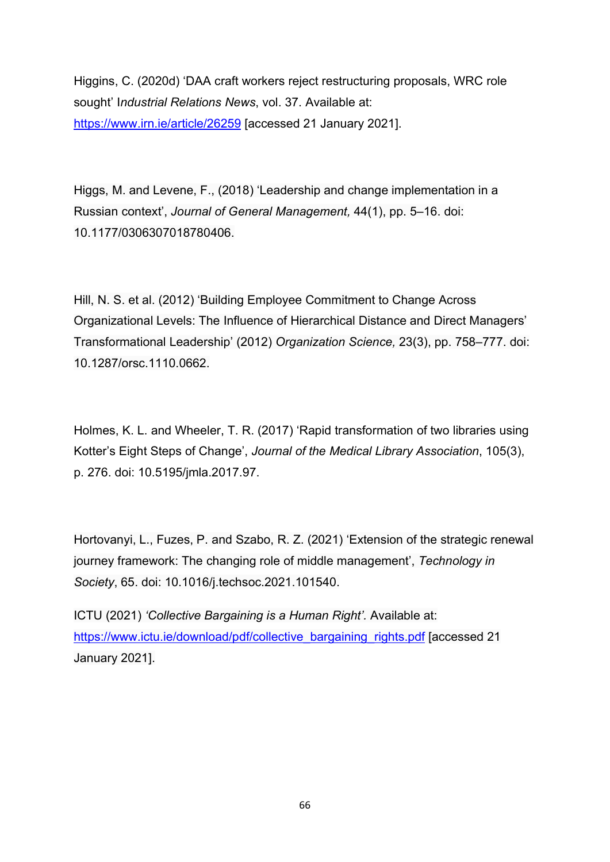Higgins, C. (2020d) 'DAA craft workers reject restructuring proposals, WRC role sought' Industrial Relations News, vol. 37. Available at: https://www.irn.ie/article/26259 [accessed 21 January 2021].

Higgs, M. and Levene, F., (2018) 'Leadership and change implementation in a Russian context', Journal of General Management, 44(1), pp. 5–16. doi: 10.1177/0306307018780406.

Hill, N. S. et al. (2012) 'Building Employee Commitment to Change Across Organizational Levels: The Influence of Hierarchical Distance and Direct Managers' Transformational Leadership' (2012) Organization Science, 23(3), pp. 758–777. doi: 10.1287/orsc.1110.0662.

Holmes, K. L. and Wheeler, T. R. (2017) 'Rapid transformation of two libraries using Kotter's Eight Steps of Change', Journal of the Medical Library Association, 105(3), p. 276. doi: 10.5195/jmla.2017.97.

Hortovanyi, L., Fuzes, P. and Szabo, R. Z. (2021) 'Extension of the strategic renewal journey framework: The changing role of middle management', Technology in Society, 65. doi: 10.1016/j.techsoc.2021.101540.

ICTU (2021) 'Collective Bargaining is a Human Right'. Available at: https://www.ictu.ie/download/pdf/collective\_bargaining\_rights.pdf [accessed 21 January 2021].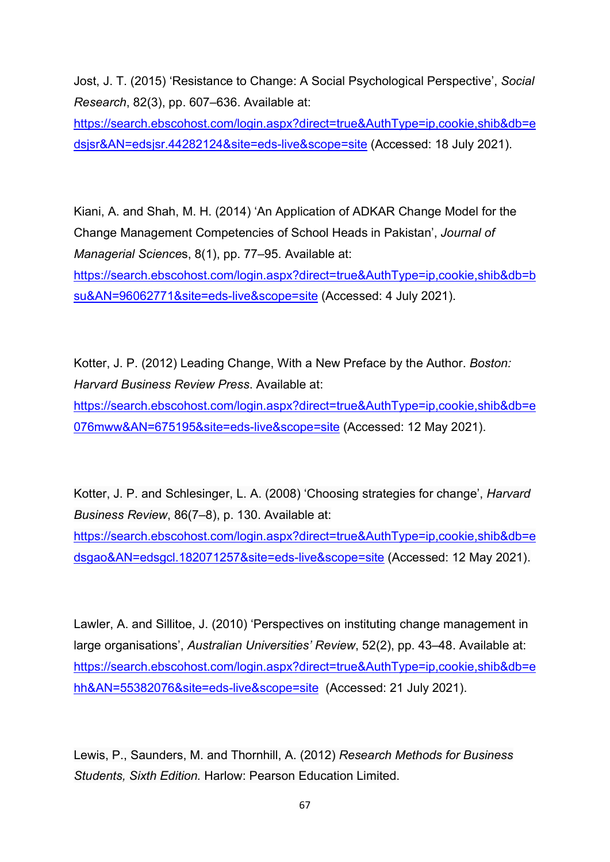Jost, J. T. (2015) 'Resistance to Change: A Social Psychological Perspective', Social Research, 82(3), pp. 607–636. Available at:

https://search.ebscohost.com/login.aspx?direct=true&AuthType=ip,cookie,shib&db=e dsjsr&AN=edsjsr.44282124&site=eds-live&scope=site (Accessed: 18 July 2021).

Kiani, A. and Shah, M. H. (2014) 'An Application of ADKAR Change Model for the Change Management Competencies of School Heads in Pakistan', Journal of Managerial Sciences, 8(1), pp. 77–95. Available at: https://search.ebscohost.com/login.aspx?direct=true&AuthType=ip,cookie,shib&db=b su&AN=96062771&site=eds-live&scope=site (Accessed: 4 July 2021).

Kotter, J. P. (2012) Leading Change, With a New Preface by the Author. Boston: Harvard Business Review Press. Available at:

https://search.ebscohost.com/login.aspx?direct=true&AuthType=ip,cookie,shib&db=e 076mww&AN=675195&site=eds-live&scope=site (Accessed: 12 May 2021).

Kotter, J. P. and Schlesinger, L. A. (2008) 'Choosing strategies for change', Harvard Business Review, 86(7–8), p. 130. Available at:

https://search.ebscohost.com/login.aspx?direct=true&AuthType=ip,cookie,shib&db=e dsgao&AN=edsgcl.182071257&site=eds-live&scope=site (Accessed: 12 May 2021).

Lawler, A. and Sillitoe, J. (2010) 'Perspectives on instituting change management in large organisations', Australian Universities' Review, 52(2), pp. 43–48. Available at: https://search.ebscohost.com/login.aspx?direct=true&AuthType=ip,cookie,shib&db=e hh&AN=55382076&site=eds-live&scope=site (Accessed: 21 July 2021).

Lewis, P., Saunders, M. and Thornhill, A. (2012) Research Methods for Business Students, Sixth Edition. Harlow: Pearson Education Limited.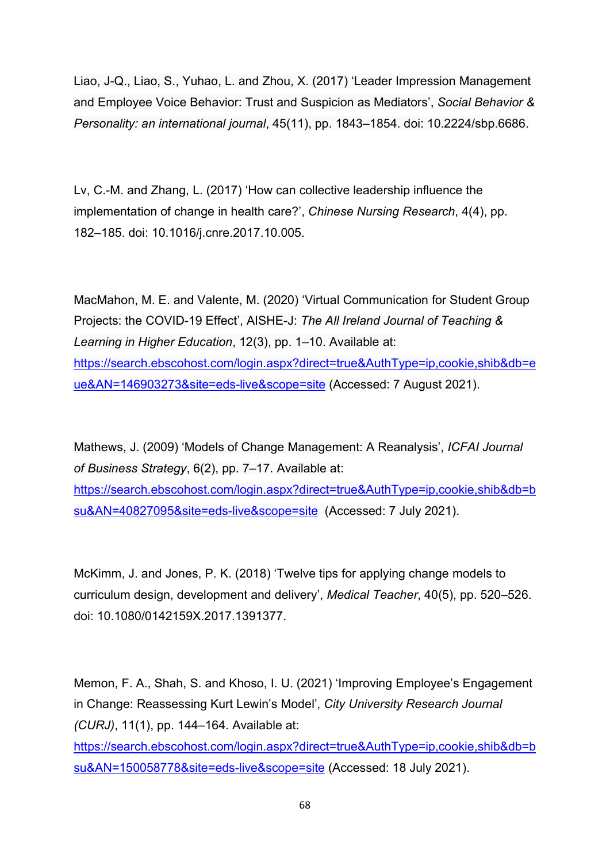Liao, J-Q., Liao, S., Yuhao, L. and Zhou, X. (2017) 'Leader Impression Management and Employee Voice Behavior: Trust and Suspicion as Mediators', Social Behavior & Personality: an international journal, 45(11), pp. 1843–1854. doi: 10.2224/sbp.6686.

Lv, C.-M. and Zhang, L. (2017) 'How can collective leadership influence the implementation of change in health care?', Chinese Nursing Research, 4(4), pp. 182–185. doi: 10.1016/j.cnre.2017.10.005.

MacMahon, M. E. and Valente, M. (2020) 'Virtual Communication for Student Group Projects: the COVID-19 Effect', AISHE-J: The All Ireland Journal of Teaching & Learning in Higher Education, 12(3), pp. 1–10. Available at: https://search.ebscohost.com/login.aspx?direct=true&AuthType=ip,cookie,shib&db=e ue&AN=146903273&site=eds-live&scope=site (Accessed: 7 August 2021).

Mathews, J. (2009) 'Models of Change Management: A Reanalysis', ICFAI Journal of Business Strategy, 6(2), pp. 7–17. Available at: https://search.ebscohost.com/login.aspx?direct=true&AuthType=ip,cookie,shib&db=b su&AN=40827095&site=eds-live&scope=site (Accessed: 7 July 2021).

McKimm, J. and Jones, P. K. (2018) 'Twelve tips for applying change models to curriculum design, development and delivery', Medical Teacher, 40(5), pp. 520–526. doi: 10.1080/0142159X.2017.1391377.

Memon, F. A., Shah, S. and Khoso, I. U. (2021) 'Improving Employee's Engagement in Change: Reassessing Kurt Lewin's Model', City University Research Journal (CURJ), 11(1), pp. 144–164. Available at:

https://search.ebscohost.com/login.aspx?direct=true&AuthType=ip,cookie,shib&db=b su&AN=150058778&site=eds-live&scope=site (Accessed: 18 July 2021).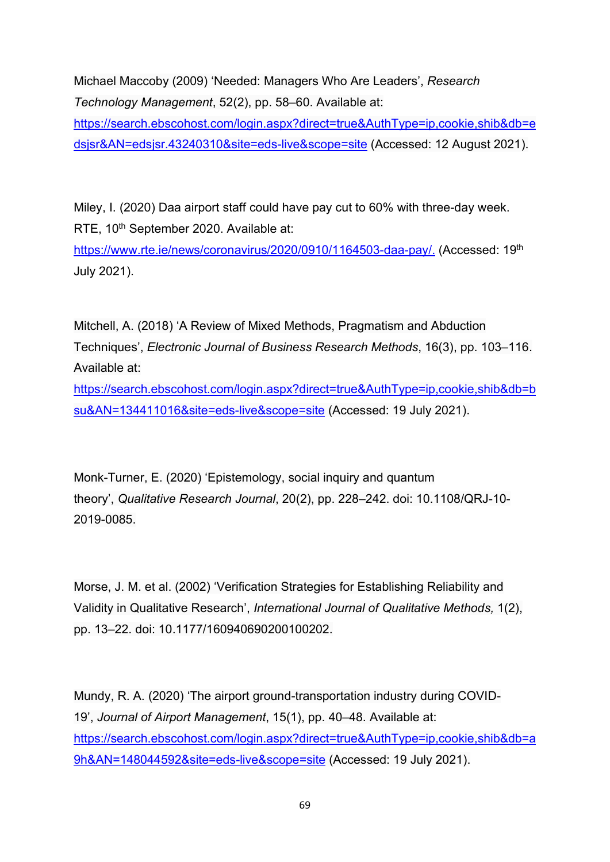Michael Maccoby (2009) 'Needed: Managers Who Are Leaders', Research Technology Management, 52(2), pp. 58–60. Available at: https://search.ebscohost.com/login.aspx?direct=true&AuthType=ip,cookie,shib&db=e dsjsr&AN=edsjsr.43240310&site=eds-live&scope=site (Accessed: 12 August 2021).

Miley, I. (2020) Daa airport staff could have pay cut to 60% with three-day week. RTE, 10<sup>th</sup> September 2020. Available at:

https://www.rte.ie/news/coronavirus/2020/0910/1164503-daa-pay/. (Accessed: 19<sup>th</sup>) July 2021).

Mitchell, A. (2018) 'A Review of Mixed Methods, Pragmatism and Abduction Techniques', Electronic Journal of Business Research Methods, 16(3), pp. 103–116. Available at:

https://search.ebscohost.com/login.aspx?direct=true&AuthType=ip,cookie,shib&db=b su&AN=134411016&site=eds-live&scope=site (Accessed: 19 July 2021).

Monk-Turner, E. (2020) 'Epistemology, social inquiry and quantum theory', Qualitative Research Journal, 20(2), pp. 228–242. doi: 10.1108/QRJ-10- 2019-0085.

Morse, J. M. et al. (2002) 'Verification Strategies for Establishing Reliability and Validity in Qualitative Research', International Journal of Qualitative Methods, 1(2), pp. 13–22. doi: 10.1177/160940690200100202.

Mundy, R. A. (2020) 'The airport ground-transportation industry during COVID-19', Journal of Airport Management, 15(1), pp. 40–48. Available at: https://search.ebscohost.com/login.aspx?direct=true&AuthType=ip,cookie,shib&db=a 9h&AN=148044592&site=eds-live&scope=site (Accessed: 19 July 2021).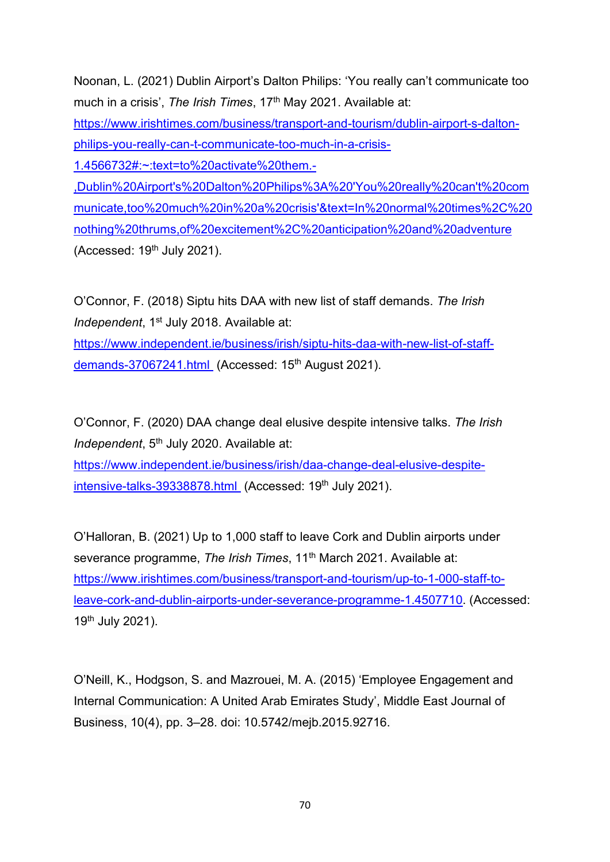Noonan, L. (2021) Dublin Airport's Dalton Philips: 'You really can't communicate too much in a crisis', The Irish Times, 17<sup>th</sup> May 2021. Available at: https://www.irishtimes.com/business/transport-and-tourism/dublin-airport-s-daltonphilips-you-really-can-t-communicate-too-much-in-a-crisis-1.4566732#:~:text=to%20activate%20them.- ,Dublin%20Airport's%20Dalton%20Philips%3A%20'You%20really%20can't%20com municate,too%20much%20in%20a%20crisis'&text=In%20normal%20times%2C%20 nothing%20thrums,of%20excitement%2C%20anticipation%20and%20adventure (Accessed:  $19<sup>th</sup>$  July 2021).

O'Connor, F. (2018) Siptu hits DAA with new list of staff demands. The Irish Independent, 1<sup>st</sup> July 2018. Available at:

https://www.independent.ie/business/irish/siptu-hits-daa-with-new-list-of-staffdemands-37067241.html (Accessed: 15<sup>th</sup> August 2021).

O'Connor, F. (2020) DAA change deal elusive despite intensive talks. The Irish Independent, 5<sup>th</sup> July 2020, Available at:

https://www.independent.ie/business/irish/daa-change-deal-elusive-despiteintensive-talks-39338878.html (Accessed: 19<sup>th</sup> July 2021).

O'Halloran, B. (2021) Up to 1,000 staff to leave Cork and Dublin airports under severance programme, The Irish Times, 11<sup>th</sup> March 2021. Available at: https://www.irishtimes.com/business/transport-and-tourism/up-to-1-000-staff-toleave-cork-and-dublin-airports-under-severance-programme-1.4507710. (Accessed: 19th July 2021).

O'Neill, K., Hodgson, S. and Mazrouei, M. A. (2015) 'Employee Engagement and Internal Communication: A United Arab Emirates Study', Middle East Journal of Business, 10(4), pp. 3–28. doi: 10.5742/mejb.2015.92716.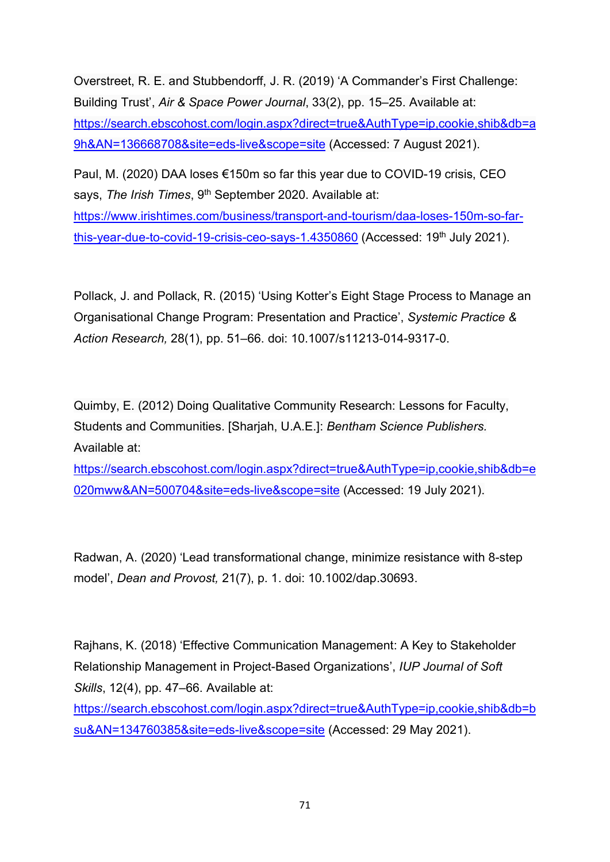Overstreet, R. E. and Stubbendorff, J. R. (2019) 'A Commander's First Challenge: Building Trust', Air & Space Power Journal, 33(2), pp. 15–25. Available at: https://search.ebscohost.com/login.aspx?direct=true&AuthType=ip,cookie,shib&db=a 9h&AN=136668708&site=eds-live&scope=site (Accessed: 7 August 2021).

Paul, M. (2020) DAA loses €150m so far this year due to COVID-19 crisis, CEO says, The Irish Times, 9<sup>th</sup> September 2020. Available at:

https://www.irishtimes.com/business/transport-and-tourism/daa-loses-150m-so-farthis-year-due-to-covid-19-crisis-ceo-says-1.4350860 (Accessed: 19<sup>th</sup> July 2021).

Pollack, J. and Pollack, R. (2015) 'Using Kotter's Eight Stage Process to Manage an Organisational Change Program: Presentation and Practice', Systemic Practice & Action Research, 28(1), pp. 51–66. doi: 10.1007/s11213-014-9317-0.

Quimby, E. (2012) Doing Qualitative Community Research: Lessons for Faculty, Students and Communities. [Sharjah, U.A.E.]: Bentham Science Publishers. Available at:

https://search.ebscohost.com/login.aspx?direct=true&AuthType=ip,cookie,shib&db=e 020mww&AN=500704&site=eds-live&scope=site (Accessed: 19 July 2021).

Radwan, A. (2020) 'Lead transformational change, minimize resistance with 8-step model', Dean and Provost, 21(7), p. 1. doi: 10.1002/dap.30693.

Rajhans, K. (2018) 'Effective Communication Management: A Key to Stakeholder Relationship Management in Project-Based Organizations', IUP Journal of Soft Skills, 12(4), pp. 47–66. Available at:

https://search.ebscohost.com/login.aspx?direct=true&AuthType=ip,cookie,shib&db=b su&AN=134760385&site=eds-live&scope=site (Accessed: 29 May 2021).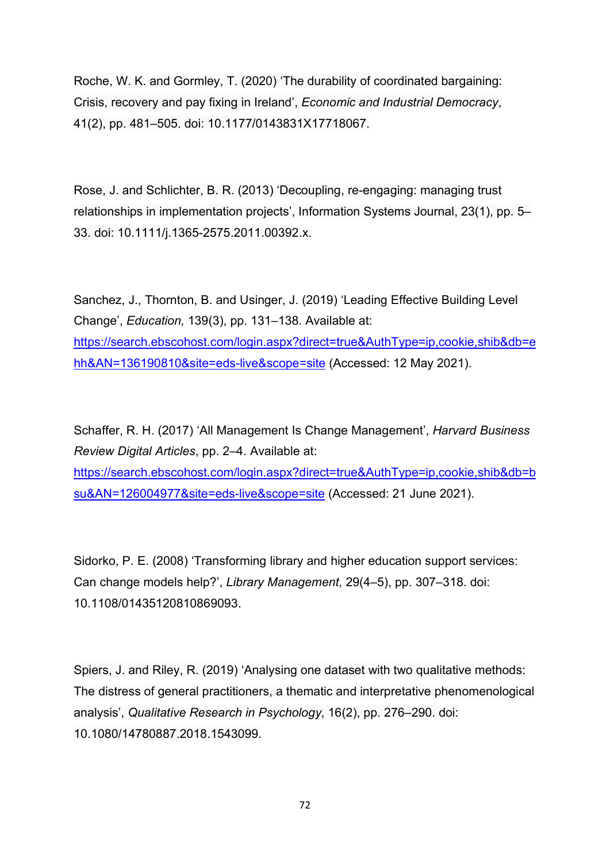Roche, W. K. and Gormley, T. (2020) 'The durability of coordinated bargaining: Crisis, recovery and pay fixing in Ireland', Economic and Industrial Democracy, 41(2), pp. 481–505. doi: 10.1177/0143831X17718067.

Rose, J. and Schlichter, B. R. (2013) 'Decoupling, re-engaging: managing trust relationships in implementation projects', Information Systems Journal, 23(1), pp. 5– 33. doi: 10.1111/j.1365-2575.2011.00392.x.

Sanchez, J., Thornton, B. and Usinger, J. (2019) 'Leading Effective Building Level Change', Education, 139(3), pp. 131–138. Available at: https://search.ebscohost.com/login.aspx?direct=true&AuthType=ip,cookie,shib&db=e hh&AN=136190810&site=eds-live&scope=site (Accessed: 12 May 2021).

Schaffer, R. H. (2017) 'All Management Is Change Management', Harvard Business Review Digital Articles, pp. 2–4. Available at: https://search.ebscohost.com/login.aspx?direct=true&AuthType=ip,cookie,shib&db=b su&AN=126004977&site=eds-live&scope=site (Accessed: 21 June 2021).

Sidorko, P. E. (2008) 'Transforming library and higher education support services: Can change models help?', Library Management, 29(4–5), pp. 307–318. doi: 10.1108/01435120810869093.

Spiers, J. and Riley, R. (2019) 'Analysing one dataset with two qualitative methods: The distress of general practitioners, a thematic and interpretative phenomenological analysis', Qualitative Research in Psychology, 16(2), pp. 276–290. doi: 10.1080/14780887.2018.1543099.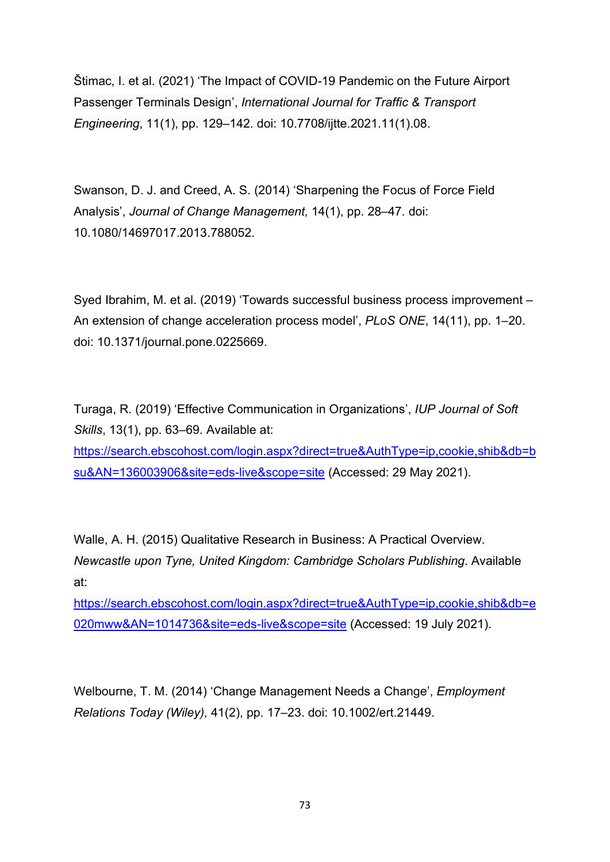Štimac, I. et al. (2021) 'The Impact of COVID-19 Pandemic on the Future Airport Passenger Terminals Design', International Journal for Traffic & Transport Engineering, 11(1), pp. 129–142. doi: 10.7708/ijtte.2021.11(1).08.

Swanson, D. J. and Creed, A. S. (2014) 'Sharpening the Focus of Force Field Analysis', Journal of Change Management, 14(1), pp. 28–47. doi: 10.1080/14697017.2013.788052.

Syed Ibrahim, M. et al. (2019) 'Towards successful business process improvement – An extension of change acceleration process model', PLoS ONE, 14(11), pp. 1–20. doi: 10.1371/journal.pone.0225669.

Turaga, R. (2019) 'Effective Communication in Organizations', IUP Journal of Soft Skills, 13(1), pp. 63–69. Available at: https://search.ebscohost.com/login.aspx?direct=true&AuthType=ip,cookie,shib&db=b su&AN=136003906&site=eds-live&scope=site (Accessed: 29 May 2021).

Walle, A. H. (2015) Qualitative Research in Business: A Practical Overview. Newcastle upon Tyne, United Kingdom: Cambridge Scholars Publishing. Available at:

https://search.ebscohost.com/login.aspx?direct=true&AuthType=ip,cookie,shib&db=e 020mww&AN=1014736&site=eds-live&scope=site (Accessed: 19 July 2021).

Welbourne, T. M. (2014) 'Change Management Needs a Change', Employment Relations Today (Wiley), 41(2), pp. 17–23. doi: 10.1002/ert.21449.